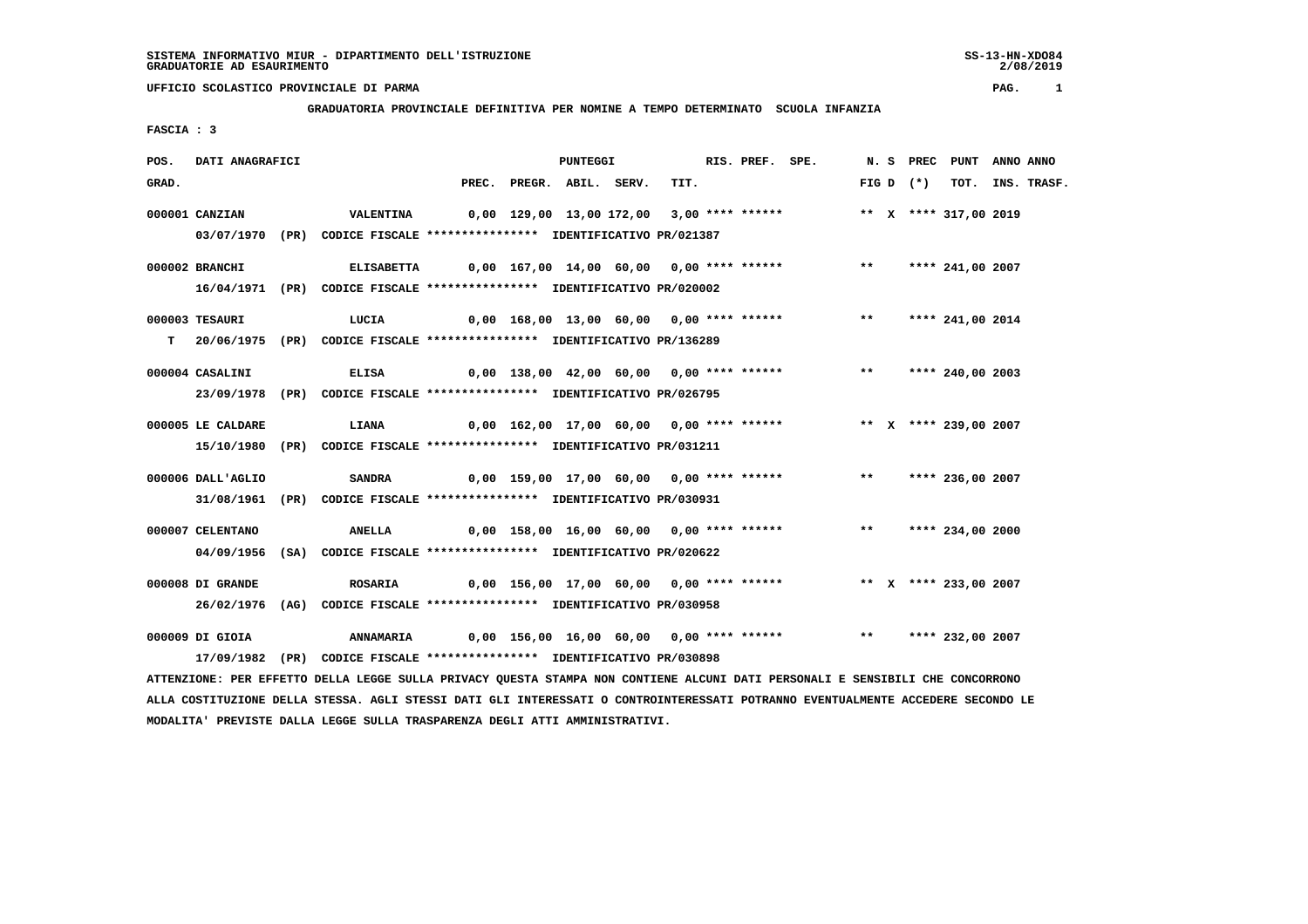2/08/2019

# **UFFICIO SCOLASTICO PROVINCIALE DI PARMA PAG. 1**

### **GRADUATORIA PROVINCIALE DEFINITIVA PER NOMINE A TEMPO DETERMINATO SCUOLA INFANZIA**

 **FASCIA : 3**

| POS.  | DATI ANAGRAFICI   |                                                                            |                                                                       | <b>PUNTEGGI</b>                          |      | RIS. PREF. SPE. |                                                                          |  |             | N. S PREC PUNT        | ANNO ANNO |                  |
|-------|-------------------|----------------------------------------------------------------------------|-----------------------------------------------------------------------|------------------------------------------|------|-----------------|--------------------------------------------------------------------------|--|-------------|-----------------------|-----------|------------------|
| GRAD. |                   |                                                                            |                                                                       | PREC. PREGR. ABIL. SERV.                 | TIT. |                 |                                                                          |  | FIG D $(*)$ |                       |           | TOT. INS. TRASF. |
|       | 000001 CANZIAN    | <b>VALENTINA</b>                                                           | 0,00 129,00 13,00 172,00 3,00 **** ******                             |                                          |      |                 |                                                                          |  |             | ** X **** 317,00 2019 |           |                  |
|       |                   | 03/07/1970 (PR) CODICE FISCALE *************** IDENTIFICATIVO PR/021387    |                                                                       |                                          |      |                 |                                                                          |  |             |                       |           |                  |
|       | 000002 BRANCHI    | ELISABETTA                                                                 | 0,00 167,00 14,00 60,00  0,00 **** ******      **    **** 241,00 2007 |                                          |      |                 |                                                                          |  |             |                       |           |                  |
|       |                   | 16/04/1971 (PR) CODICE FISCALE *************** IDENTIFICATIVO PR/020002    |                                                                       |                                          |      |                 |                                                                          |  |             |                       |           |                  |
|       | 000003 TESAURI    | LUCIA                                                                      | 0,00 168,00 13,00 60,00  0,00 **** ******      **   **** 241,00 2014  |                                          |      |                 |                                                                          |  |             |                       |           |                  |
|       |                   | T 20/06/1975 (PR) CODICE FISCALE **************** IDENTIFICATIVO PR/136289 |                                                                       |                                          |      |                 |                                                                          |  |             |                       |           |                  |
|       | 000004 CASALINI   | <b>ELISA</b>                                                               |                                                                       | 0,00 138,00 42,00 60,00 0,00 **** ****** |      |                 |                                                                          |  |             | ** **** 240,00 2003   |           |                  |
|       |                   | 23/09/1978 (PR) CODICE FISCALE *************** IDENTIFICATIVO PR/026795    |                                                                       |                                          |      |                 |                                                                          |  |             |                       |           |                  |
|       | 000005 LE CALDARE | <b>LIANA</b>                                                               |                                                                       |                                          |      |                 | 0,00 162,00 17,00 60,00 0,00 **** ******           ** x **** 239,00 2007 |  |             |                       |           |                  |
|       |                   | 15/10/1980 (PR) CODICE FISCALE *************** IDENTIFICATIVO PR/031211    |                                                                       |                                          |      |                 |                                                                          |  |             |                       |           |                  |
|       | 000006 DALL'AGLIO | <b>SANDRA</b>                                                              |                                                                       | 0,00 159,00 17,00 60,00 0,00 **** ****** |      |                 |                                                                          |  |             | ** **** 236,00 2007   |           |                  |
|       |                   | 31/08/1961 (PR) CODICE FISCALE *************** IDENTIFICATIVO PR/030931    |                                                                       |                                          |      |                 |                                                                          |  |             |                       |           |                  |
|       | 000007 CELENTANO  | <b>ANELLA</b>                                                              |                                                                       |                                          |      |                 | 0,00 158,00 16,00 60,00 0,00 **** ******                                 |  |             | ** **** 234,00 2000   |           |                  |
|       |                   | 04/09/1956 (SA) CODICE FISCALE *************** IDENTIFICATIVO PR/020622    |                                                                       |                                          |      |                 |                                                                          |  |             |                       |           |                  |
|       | 000008 DI GRANDE  | <b>ROSARIA</b>                                                             |                                                                       |                                          |      |                 | 0,00 156,00 17,00 60,00 0,00 **** ****** *** ** ** **** 233,00 2007      |  |             |                       |           |                  |
|       |                   | 26/02/1976 (AG) CODICE FISCALE *************** IDENTIFICATIVO PR/030958    |                                                                       |                                          |      |                 |                                                                          |  |             |                       |           |                  |
|       | 000009 DI GIOIA   | <b>ANNAMARIA</b>                                                           |                                                                       |                                          |      |                 | 0,00 156,00 16,00 60,00 0,00 **** ******                                 |  |             | ** **** 232,00 2007   |           |                  |
|       |                   | 17/09/1982 (PR) CODICE FISCALE *************** IDENTIFICATIVO PR/030898    |                                                                       |                                          |      |                 |                                                                          |  |             |                       |           |                  |

 **ATTENZIONE: PER EFFETTO DELLA LEGGE SULLA PRIVACY QUESTA STAMPA NON CONTIENE ALCUNI DATI PERSONALI E SENSIBILI CHE CONCORRONO ALLA COSTITUZIONE DELLA STESSA. AGLI STESSI DATI GLI INTERESSATI O CONTROINTERESSATI POTRANNO EVENTUALMENTE ACCEDERE SECONDO LE MODALITA' PREVISTE DALLA LEGGE SULLA TRASPARENZA DEGLI ATTI AMMINISTRATIVI.**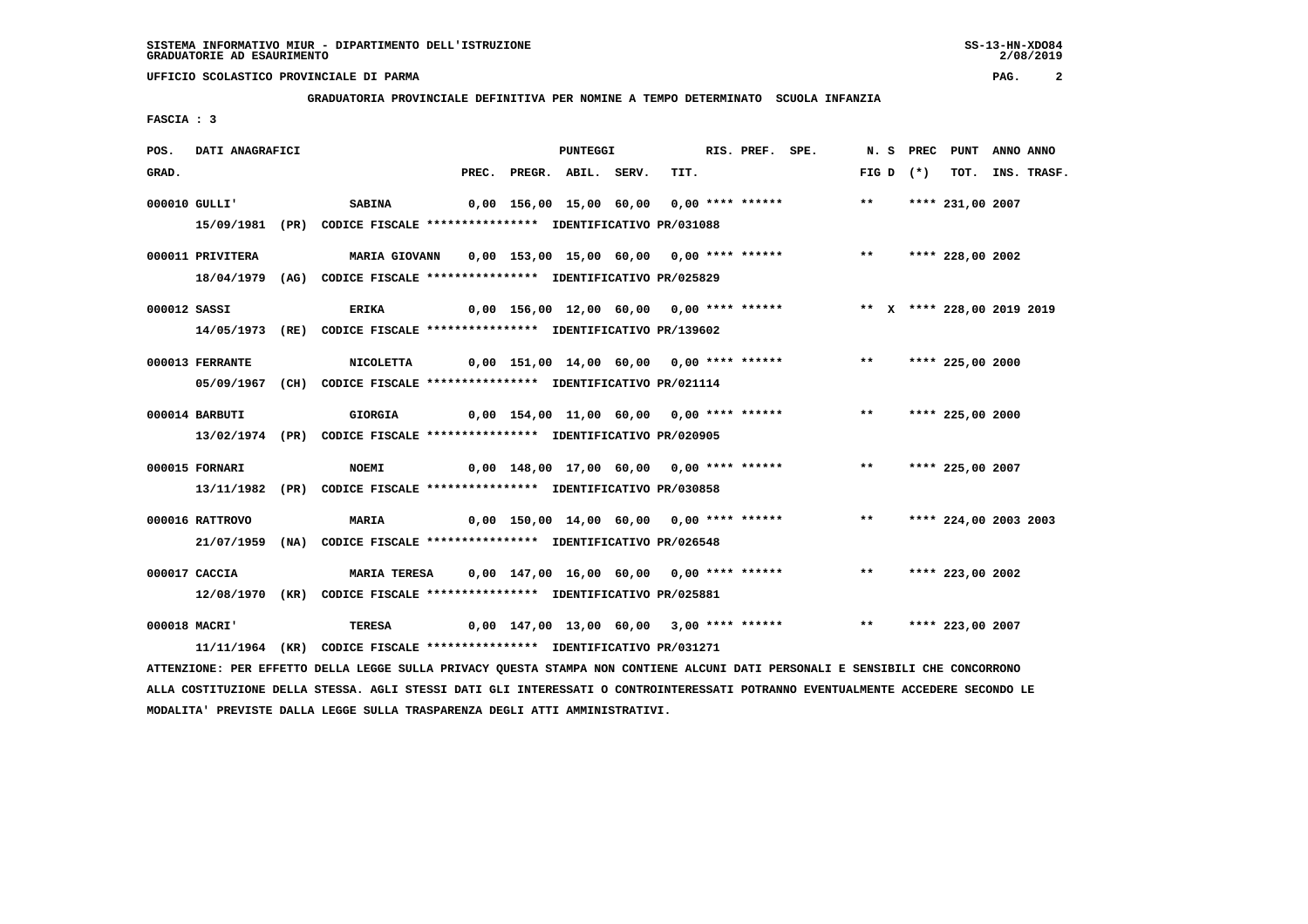**GRADUATORIA PROVINCIALE DEFINITIVA PER NOMINE A TEMPO DETERMINATO SCUOLA INFANZIA**

 **FASCIA : 3**

| POS.  | DATI ANAGRAFICI  |                                                                                                                               |  | PUNTEGGI                 |      |  | RIS. PREF. SPE.                                                          |             | N. S PREC PUNT ANNO ANNO |                  |
|-------|------------------|-------------------------------------------------------------------------------------------------------------------------------|--|--------------------------|------|--|--------------------------------------------------------------------------|-------------|--------------------------|------------------|
| GRAD. |                  |                                                                                                                               |  | PREC. PREGR. ABIL. SERV. | TIT. |  |                                                                          | FIG D $(*)$ |                          | TOT. INS. TRASF. |
|       | 000010 GULLI'    | <b>SABINA</b>                                                                                                                 |  |                          |      |  | 0,00 156,00 15,00 60,00 0,00 **** ****** *** **                          |             | **** 231,00 2007         |                  |
|       |                  | 15/09/1981 (PR) CODICE FISCALE **************** IDENTIFICATIVO PR/031088                                                      |  |                          |      |  |                                                                          |             |                          |                  |
|       | 000011 PRIVITERA |                                                                                                                               |  |                          |      |  |                                                                          |             |                          |                  |
|       |                  | 18/04/1979 (AG) CODICE FISCALE *************** IDENTIFICATIVO PR/025829                                                       |  |                          |      |  |                                                                          |             |                          |                  |
|       | 000012 SASSI     | <b>ERIKA</b>                                                                                                                  |  |                          |      |  | 0,00 156,00 12,00 60,00 0,00 **** ****** *** ** ** **** 228,00 2019 2019 |             |                          |                  |
|       |                  | 14/05/1973 (RE) CODICE FISCALE *************** IDENTIFICATIVO PR/139602                                                       |  |                          |      |  |                                                                          |             |                          |                  |
|       | 000013 FERRANTE  |                                                                                                                               |  |                          |      |  |                                                                          |             |                          |                  |
|       |                  | 05/09/1967 (CH) CODICE FISCALE *************** IDENTIFICATIVO PR/021114                                                       |  |                          |      |  |                                                                          |             |                          |                  |
|       | 000014 BARBUTI   | GIORGIA                                                                                                                       |  |                          |      |  | 0,00 154,00 11,00 60,00 0,00 **** ****** *** *** **** 225,00 2000        |             |                          |                  |
|       |                  | 13/02/1974 (PR) CODICE FISCALE *************** IDENTIFICATIVO PR/020905                                                       |  |                          |      |  |                                                                          |             |                          |                  |
|       | 000015 FORNARI   | <b>NOEMI</b>                                                                                                                  |  |                          |      |  | 0,00 148,00 17,00 60,00  0,00 **** ******      **   **** 225,00 2007     |             |                          |                  |
|       |                  | 13/11/1982 (PR) CODICE FISCALE *************** IDENTIFICATIVO PR/030858                                                       |  |                          |      |  |                                                                          |             |                          |                  |
|       | 000016 RATTROVO  | <b>MARIA</b>                                                                                                                  |  |                          |      |  | 0,00 150,00 14,00 60,00 0,00 **** ****** *** *** **** 224,00 2003 2003   |             |                          |                  |
|       |                  | 21/07/1959 (NA) CODICE FISCALE *************** IDENTIFICATIVO PR/026548                                                       |  |                          |      |  |                                                                          |             |                          |                  |
|       | 000017 CACCIA    | MARIA TERESA 0,00 147,00 16,00 60,00 0,00 **** ******                                                                         |  |                          |      |  |                                                                          |             | ** **** 223,00 2002      |                  |
|       |                  | 12/08/1970 (KR) CODICE FISCALE *************** IDENTIFICATIVO PR/025881                                                       |  |                          |      |  |                                                                          |             |                          |                  |
|       | 000018 MACRI'    | TERESA 6,00 147,00 13,00 60,00 3,00 **** ****** *** **** **** 223,00 2007                                                     |  |                          |      |  |                                                                          |             |                          |                  |
|       |                  | 11/11/1964 (KR) CODICE FISCALE *************** IDENTIFICATIVO PR/031271                                                       |  |                          |      |  |                                                                          |             |                          |                  |
|       |                  | ATTENZIONE: PER EFFETTO DELLA LEGGE SULLA PRIVACY QUESTA STAMPA NON CONTIENE ALCUNI DATI PERSONALI E SENSIBILI CHE CONCORRONO |  |                          |      |  |                                                                          |             |                          |                  |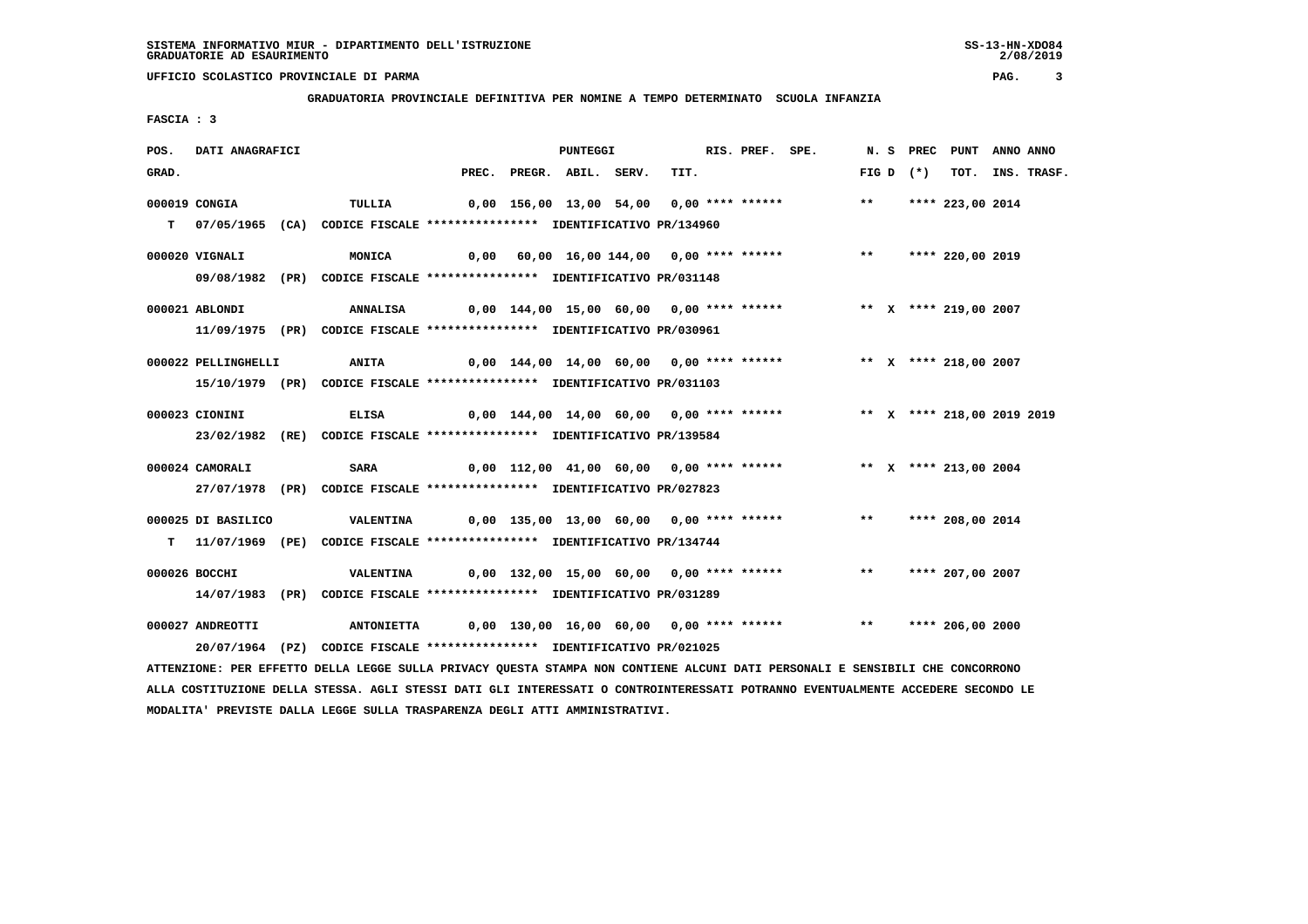**GRADUATORIA PROVINCIALE DEFINITIVA PER NOMINE A TEMPO DETERMINATO SCUOLA INFANZIA**

 **FASCIA : 3**

| POS.  | DATI ANAGRAFICI     |                                                                                                                               |  | <b>PUNTEGGI</b>          |                                          | RIS. PREF. SPE. |                                                                      |       |             | N. S PREC PUNT ANNO ANNO |                  |
|-------|---------------------|-------------------------------------------------------------------------------------------------------------------------------|--|--------------------------|------------------------------------------|-----------------|----------------------------------------------------------------------|-------|-------------|--------------------------|------------------|
| GRAD. |                     |                                                                                                                               |  | PREC. PREGR. ABIL. SERV. | TIT.                                     |                 |                                                                      |       | FIG D $(*)$ |                          | TOT. INS. TRASF. |
|       | 000019 CONGIA       | TULLIA                                                                                                                        |  |                          |                                          |                 | 0,00 156,00 13,00 54,00 0,00 **** ******                             | $***$ |             | **** 223,00 2014         |                  |
|       |                     | T 07/05/1965 (CA) CODICE FISCALE **************** IDENTIFICATIVO PR/134960                                                    |  |                          |                                          |                 |                                                                      |       |             |                          |                  |
|       | 000020 VIGNALI      | MONICA                                                                                                                        |  |                          |                                          |                 | 0,00 60,00 16,00 144,00 0,00 **** ****** *** *** **** 220,00 2019    |       |             |                          |                  |
|       |                     | 09/08/1982 (PR) CODICE FISCALE **************** IDENTIFICATIVO PR/031148                                                      |  |                          |                                          |                 |                                                                      |       |             |                          |                  |
|       |                     |                                                                                                                               |  |                          |                                          |                 |                                                                      |       |             |                          |                  |
|       | 000021 ABLONDI      | <b>ANNALISA</b>                                                                                                               |  |                          |                                          |                 | 0,00 144,00 15,00 60,00 0,00 **** ****** *** ** *** 219,00 2007      |       |             |                          |                  |
|       |                     | 11/09/1975 (PR) CODICE FISCALE **************** IDENTIFICATIVO PR/030961                                                      |  |                          |                                          |                 |                                                                      |       |             |                          |                  |
|       | 000022 PELLINGHELLI | <b>ANITA</b>                                                                                                                  |  |                          |                                          |                 | 0,00 144,00 14,00 60,00 0,00 **** ****** *** ** ** **** 218,00 2007  |       |             |                          |                  |
|       |                     | 15/10/1979 (PR) CODICE FISCALE **************** IDENTIFICATIVO PR/031103                                                      |  |                          |                                          |                 |                                                                      |       |             |                          |                  |
|       |                     |                                                                                                                               |  |                          |                                          |                 |                                                                      |       |             |                          |                  |
|       | 000023 CIONINI      | <b>ELISA</b>                                                                                                                  |  |                          |                                          |                 |                                                                      |       |             |                          |                  |
|       |                     | 23/02/1982 (RE) CODICE FISCALE *************** IDENTIFICATIVO PR/139584                                                       |  |                          |                                          |                 |                                                                      |       |             |                          |                  |
|       | 000024 CAMORALI     | <b>SARA</b>                                                                                                                   |  |                          |                                          |                 | 0,00 112,00 41,00 60,00 0,00 **** ****** **** ** ** **** 213,00 2004 |       |             |                          |                  |
|       |                     | 27/07/1978 (PR) CODICE FISCALE *************** IDENTIFICATIVO PR/027823                                                       |  |                          |                                          |                 |                                                                      |       |             |                          |                  |
|       |                     |                                                                                                                               |  |                          |                                          |                 |                                                                      |       |             |                          |                  |
|       | 000025 DI BASILICO  | <b>VALENTINA</b>                                                                                                              |  |                          |                                          |                 | 0,00 135,00 13,00 60,00 0,00 **** ******                             |       |             | ** **** 208,00 2014      |                  |
|       |                     | T 11/07/1969 (PE) CODICE FISCALE *************** IDENTIFICATIVO PR/134744                                                     |  |                          |                                          |                 |                                                                      |       |             |                          |                  |
|       | 000026 BOCCHI       | VALENTINA                                                                                                                     |  |                          | 0,00 132,00 15,00 60,00 0,00 **** ****** |                 |                                                                      |       |             | ** **** 207,00 2007      |                  |
|       |                     | 14/07/1983 (PR) CODICE FISCALE *************** IDENTIFICATIVO PR/031289                                                       |  |                          |                                          |                 |                                                                      |       |             |                          |                  |
|       |                     |                                                                                                                               |  |                          |                                          |                 |                                                                      |       |             |                          |                  |
|       | 000027 ANDREOTTI    | ANTONIETTA   0,00 130,00 16,00 60,00 0,00 **** ******   ***   ****   206,00 2000                                              |  |                          |                                          |                 |                                                                      |       |             |                          |                  |
|       |                     | 20/07/1964 (PZ) CODICE FISCALE *************** IDENTIFICATIVO PR/021025                                                       |  |                          |                                          |                 |                                                                      |       |             |                          |                  |
|       |                     | ATTENZIONE: PER EFFETTO DELLA LEGGE SULLA PRIVACY QUESTA STAMPA NON CONTIENE ALCUNI DATI PERSONALI E SENSIBILI CHE CONCORRONO |  |                          |                                          |                 |                                                                      |       |             |                          |                  |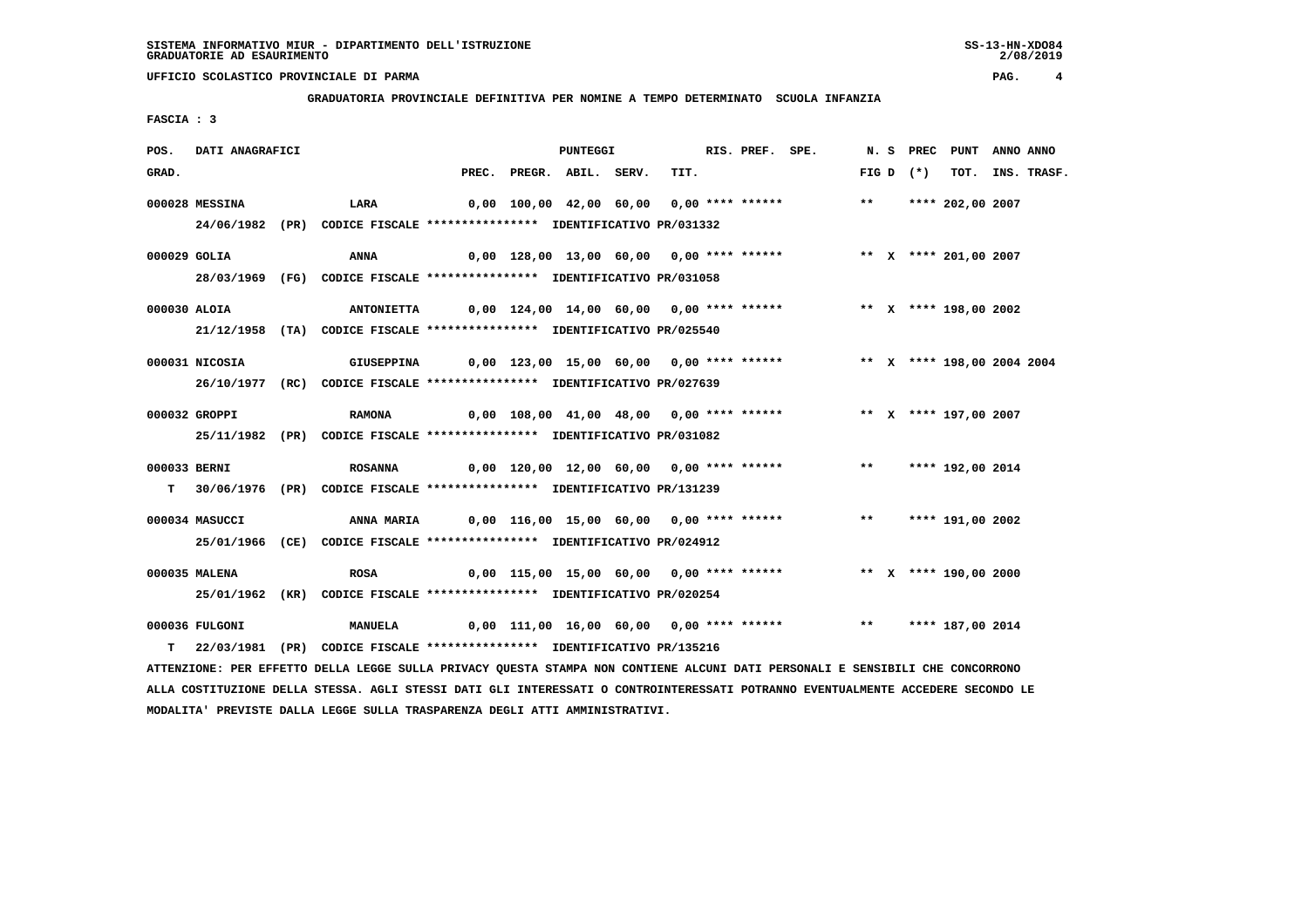**GRADUATORIA PROVINCIALE DEFINITIVA PER NOMINE A TEMPO DETERMINATO SCUOLA INFANZIA**

 **FASCIA : 3**

| POS.  | DATI ANAGRAFICI |                                                                                       |                                                                   | <b>PUNTEGGI</b>    |      | RIS. PREF. SPE. |                                                                      |       |             | N. S PREC PUNT   | ANNO ANNO |                  |
|-------|-----------------|---------------------------------------------------------------------------------------|-------------------------------------------------------------------|--------------------|------|-----------------|----------------------------------------------------------------------|-------|-------------|------------------|-----------|------------------|
| GRAD. |                 |                                                                                       | PREC.                                                             | PREGR. ABIL. SERV. | TIT. |                 |                                                                      |       | FIG D $(*)$ |                  |           | TOT. INS. TRASF. |
|       | 000028 MESSINA  | <b>LARA</b>                                                                           |                                                                   |                    |      |                 | 0,00 100,00 42,00 60,00 0,00 **** ******                             | $***$ |             | **** 202,00 2007 |           |                  |
|       |                 | 24/06/1982 (PR) CODICE FISCALE *************** IDENTIFICATIVO PR/031332               |                                                                   |                    |      |                 |                                                                      |       |             |                  |           |                  |
|       | $000029$ GOLIA  | ANNA                                                                                  |                                                                   |                    |      |                 | 0,00 128,00 13,00 60,00 0,00 **** ****** *** ** ** **** 201,00 2007  |       |             |                  |           |                  |
|       |                 | 28/03/1969 (FG) CODICE FISCALE *************** IDENTIFICATIVO PR/031058               |                                                                   |                    |      |                 |                                                                      |       |             |                  |           |                  |
|       | 000030 ALOIA    | ANTONIETTA 0,00 124,00 14,00 60,00 0,00 **** ****** *** ** ** X **** 198,00 2002      |                                                                   |                    |      |                 |                                                                      |       |             |                  |           |                  |
|       |                 | 21/12/1958 (TA) CODICE FISCALE *************** IDENTIFICATIVO PR/025540               |                                                                   |                    |      |                 |                                                                      |       |             |                  |           |                  |
|       | 000031 NICOSIA  | GIUSEPPINA 0,00 123,00 15,00 60,00 0,00 **** ****** *** ** ** X **** 198,00 2004 2004 |                                                                   |                    |      |                 |                                                                      |       |             |                  |           |                  |
|       |                 | 26/10/1977 (RC) CODICE FISCALE *************** IDENTIFICATIVO PR/027639               |                                                                   |                    |      |                 |                                                                      |       |             |                  |           |                  |
|       | 000032 GROPPI   | <b>RAMONA</b>                                                                         |                                                                   |                    |      |                 | 0,00 108,00 41,00 48,00 0,00 **** ****** *** ** *** 197,00 2007      |       |             |                  |           |                  |
|       |                 | 25/11/1982 (PR) CODICE FISCALE *************** IDENTIFICATIVO PR/031082               |                                                                   |                    |      |                 |                                                                      |       |             |                  |           |                  |
|       | 000033 BERNI    | <b>ROSANNA</b>                                                                        |                                                                   |                    |      |                 | 0,00 120,00 12,00 60,00  0,00 **** ******      **   **** 192,00 2014 |       |             |                  |           |                  |
|       |                 | T 30/06/1976 (PR) CODICE FISCALE **************** IDENTIFICATIVO PR/131239            |                                                                   |                    |      |                 |                                                                      |       |             |                  |           |                  |
|       | 000034 MASUCCI  | <b>ANNA MARIA</b>                                                                     | 0,00 116,00 15,00 60,00 0,00 **** ****** *** *** **** 191,00 2002 |                    |      |                 |                                                                      |       |             |                  |           |                  |
|       |                 | 25/01/1966 (CE) CODICE FISCALE *************** IDENTIFICATIVO PR/024912               |                                                                   |                    |      |                 |                                                                      |       |             |                  |           |                  |
|       | 000035 MALENA   | <b>ROSA</b>                                                                           |                                                                   |                    |      |                 | 0,00 115,00 15,00 60,00 0,00 **** ****** **** *** X **** 190,00 2000 |       |             |                  |           |                  |
|       |                 | 25/01/1962 (KR) CODICE FISCALE *************** IDENTIFICATIVO PR/020254               |                                                                   |                    |      |                 |                                                                      |       |             |                  |           |                  |
|       | 000036 FULGONI  | <b>MANUELA</b>                                                                        |                                                                   |                    |      |                 | 0,00 111,00 16,00 60,00 0,00 **** ****** *** *** **** 187,00 2014    |       |             |                  |           |                  |
| T.    |                 | 22/03/1981 (PR) CODICE FISCALE **************** IDENTIFICATIVO PR/135216              |                                                                   |                    |      |                 |                                                                      |       |             |                  |           |                  |

 **ATTENZIONE: PER EFFETTO DELLA LEGGE SULLA PRIVACY QUESTA STAMPA NON CONTIENE ALCUNI DATI PERSONALI E SENSIBILI CHE CONCORRONO ALLA COSTITUZIONE DELLA STESSA. AGLI STESSI DATI GLI INTERESSATI O CONTROINTERESSATI POTRANNO EVENTUALMENTE ACCEDERE SECONDO LE MODALITA' PREVISTE DALLA LEGGE SULLA TRASPARENZA DEGLI ATTI AMMINISTRATIVI.**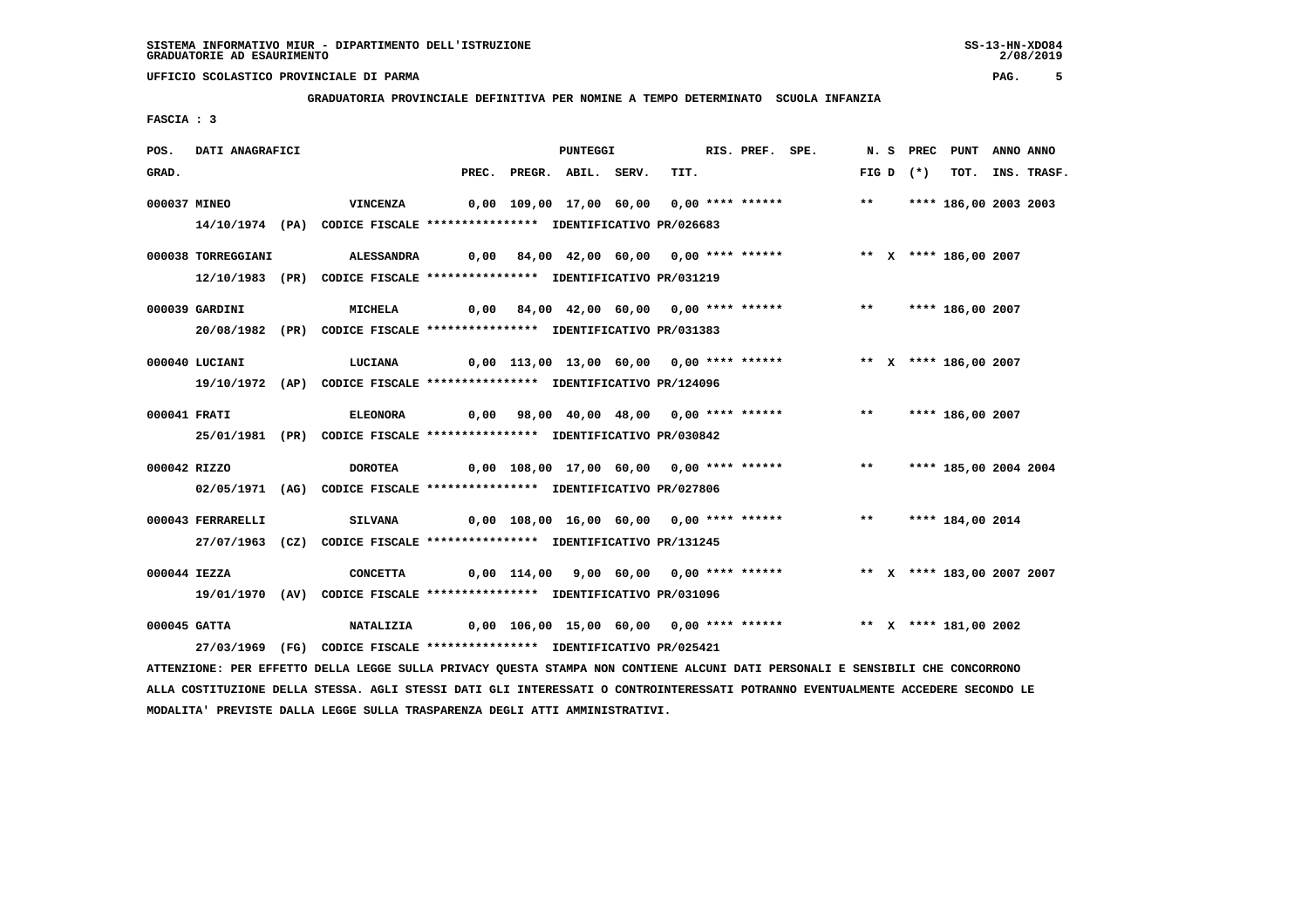#### **GRADUATORIA PROVINCIALE DEFINITIVA PER NOMINE A TEMPO DETERMINATO SCUOLA INFANZIA**

 **FASCIA : 3**

| POS.  | DATI ANAGRAFICI    |                                                                                                                               |                                                                           | <b>PUNTEGGI</b>    |                                         | RIS. PREF. SPE. |                                                                   |       |            | N. S PREC PUNT ANNO ANNO   |                  |
|-------|--------------------|-------------------------------------------------------------------------------------------------------------------------------|---------------------------------------------------------------------------|--------------------|-----------------------------------------|-----------------|-------------------------------------------------------------------|-------|------------|----------------------------|------------------|
| GRAD. |                    |                                                                                                                               | PREC.                                                                     | PREGR. ABIL. SERV. | TIT.                                    |                 |                                                                   |       | $FIGD (*)$ |                            | TOT. INS. TRASF. |
|       | 000037 MINEO       | <b>VINCENZA</b>                                                                                                               |                                                                           |                    |                                         |                 | 0,00 109,00 17,00 60,00 0,00 **** ******                          | $***$ |            | **** 186,00 2003 2003      |                  |
|       |                    | 14/10/1974 (PA) CODICE FISCALE *************** IDENTIFICATIVO PR/026683                                                       |                                                                           |                    |                                         |                 |                                                                   |       |            |                            |                  |
|       | 000038 TORREGGIANI |                                                                                                                               |                                                                           |                    |                                         |                 |                                                                   |       |            |                            |                  |
|       |                    | 12/10/1983 (PR) CODICE FISCALE **************** IDENTIFICATIVO PR/031219                                                      |                                                                           |                    |                                         |                 |                                                                   |       |            |                            |                  |
|       | 000039 GARDINI     | <b>MICHELA</b>                                                                                                                |                                                                           |                    |                                         |                 | 0,00 84,00 42,00 60,00 0,00 **** ****** *** *** **** 186,00 2007  |       |            |                            |                  |
|       |                    | 20/08/1982 (PR) CODICE FISCALE *************** IDENTIFICATIVO PR/031383                                                       |                                                                           |                    |                                         |                 |                                                                   |       |            |                            |                  |
|       | 000040 LUCIANI     | LUCIANA                                                                                                                       |                                                                           |                    |                                         |                 | 0,00 113,00 13,00 60,00 0,00 **** ****** * *** * **** 186,00 2007 |       |            |                            |                  |
|       |                    | 19/10/1972 (AP) CODICE FISCALE *************** IDENTIFICATIVO PR/124096                                                       |                                                                           |                    |                                         |                 |                                                                   |       |            |                            |                  |
|       |                    |                                                                                                                               |                                                                           |                    |                                         |                 |                                                                   |       |            |                            |                  |
|       | 000041 FRATI       | <b>ELEONORA</b>                                                                                                               |                                                                           |                    |                                         |                 | 0,00 98,00 40,00 48,00 0,00 **** ****** *** *** **** 186,00 2007  |       |            |                            |                  |
|       |                    | 25/01/1981 (PR) CODICE FISCALE *************** IDENTIFICATIVO PR/030842                                                       |                                                                           |                    |                                         |                 |                                                                   |       |            |                            |                  |
|       | 000042 RIZZO       | <b>DOROTEA</b>                                                                                                                | 0,00 108,00 17,00 60,00  0,00 **** ******      **   **** 185,00 2004 2004 |                    |                                         |                 |                                                                   |       |            |                            |                  |
|       |                    | 02/05/1971 (AG) CODICE FISCALE *************** IDENTIFICATIVO PR/027806                                                       |                                                                           |                    |                                         |                 |                                                                   |       |            |                            |                  |
|       | 000043 FERRARELLI  | <b>SILVANA</b>                                                                                                                |                                                                           |                    |                                         |                 | 0,00 108,00 16,00 60,00 0,00 **** ****** *** *** **** 184,00 2014 |       |            |                            |                  |
|       |                    | 27/07/1963 (CZ) CODICE FISCALE *************** IDENTIFICATIVO PR/131245                                                       |                                                                           |                    |                                         |                 |                                                                   |       |            |                            |                  |
|       |                    |                                                                                                                               |                                                                           |                    |                                         |                 |                                                                   |       |            |                            |                  |
|       | 000044 IEZZA       | <b>CONCETTA</b>                                                                                                               |                                                                           |                    | 0,00 114,00 9,00 60,00 0,00 **** ****** |                 |                                                                   |       |            | ** X **** 183,00 2007 2007 |                  |
|       |                    | 19/01/1970 (AV) CODICE FISCALE *************** IDENTIFICATIVO PR/031096                                                       |                                                                           |                    |                                         |                 |                                                                   |       |            |                            |                  |
|       | 000045 GATTA       | NATALIZIA 0,00 106,00 15,00 60,00 0,00 **** ****** *** ** ** **** 181,00 2002                                                 |                                                                           |                    |                                         |                 |                                                                   |       |            |                            |                  |
|       |                    | 27/03/1969 (FG) CODICE FISCALE *************** IDENTIFICATIVO PR/025421                                                       |                                                                           |                    |                                         |                 |                                                                   |       |            |                            |                  |
|       |                    | ATTENZIONE: PER EFFETTO DELLA LEGGE SULLA PRIVACY QUESTA STAMPA NON CONTIENE ALCUNI DATI PERSONALI E SENSIBILI CHE CONCORRONO |                                                                           |                    |                                         |                 |                                                                   |       |            |                            |                  |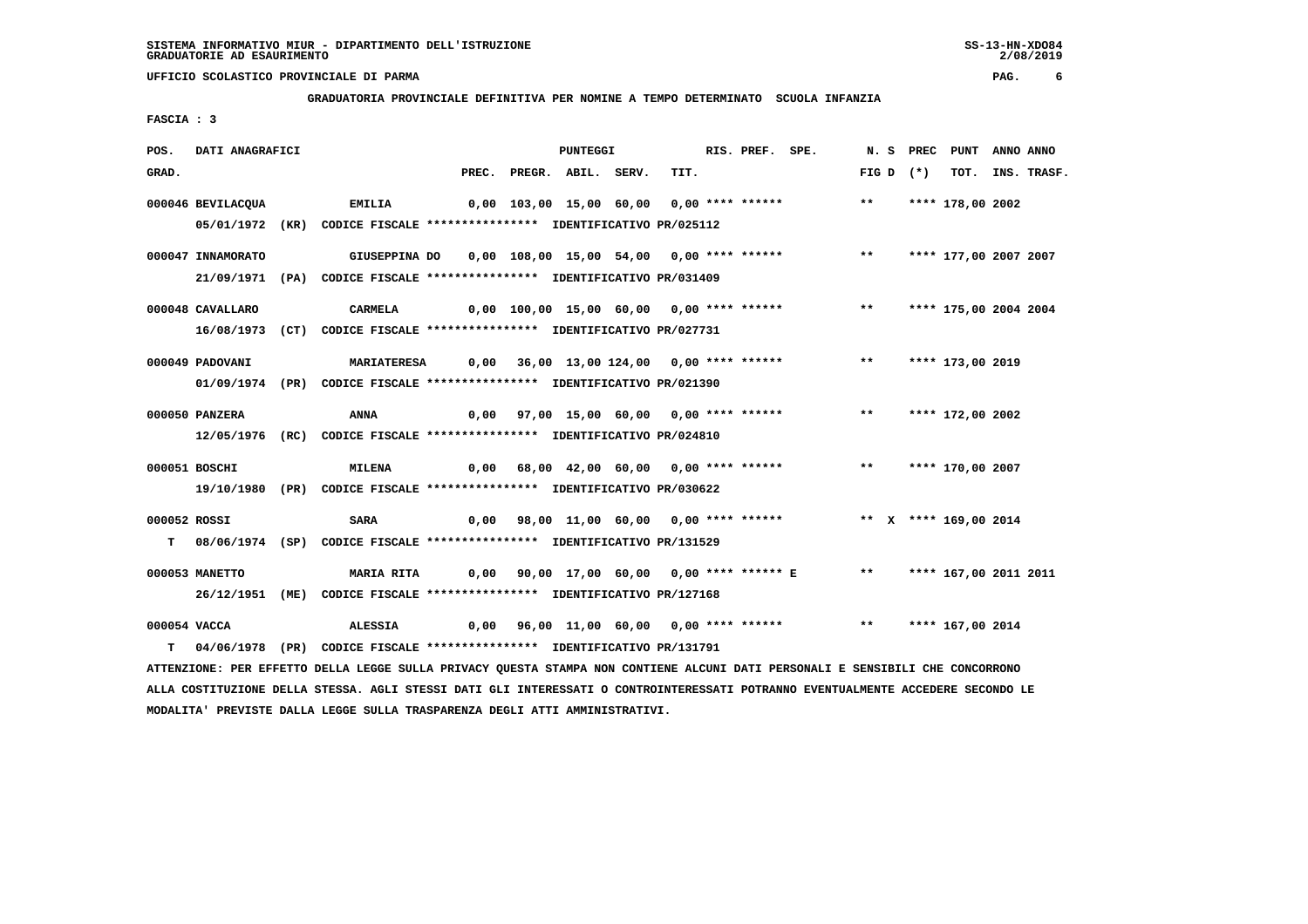**GRADUATORIA PROVINCIALE DEFINITIVA PER NOMINE A TEMPO DETERMINATO SCUOLA INFANZIA**

 **FASCIA : 3**

| POS.  | DATI ANAGRAFICI   |                                                                                                                               |       | <b>PUNTEGGI</b>    |  | RIS. PREF. SPE. |                                                                     |             | N.S PREC | PUNT                  | ANNO ANNO |                  |
|-------|-------------------|-------------------------------------------------------------------------------------------------------------------------------|-------|--------------------|--|-----------------|---------------------------------------------------------------------|-------------|----------|-----------------------|-----------|------------------|
| GRAD. |                   |                                                                                                                               | PREC. | PREGR. ABIL. SERV. |  | TIT.            |                                                                     | FIG D $(*)$ |          |                       |           | TOT. INS. TRASF. |
|       | 000046 BEVILACQUA | <b>EMILIA</b>                                                                                                                 |       |                    |  |                 | 0,00 103,00 15,00 60,00 0,00 **** ******                            | $***$       |          | **** 178,00 2002      |           |                  |
|       |                   | 05/01/1972 (KR) CODICE FISCALE *************** IDENTIFICATIVO PR/025112                                                       |       |                    |  |                 |                                                                     |             |          |                       |           |                  |
|       | 000047 INNAMORATO | GIUSEPPINA DO 0,00 108,00 15,00 54,00 0,00 **** ****** **** **** 177,00 2007 2007                                             |       |                    |  |                 |                                                                     |             |          |                       |           |                  |
|       |                   | 21/09/1971 (PA) CODICE FISCALE *************** IDENTIFICATIVO PR/031409                                                       |       |                    |  |                 |                                                                     |             |          |                       |           |                  |
|       | 000048 CAVALLARO  | CARMELA                                                                                                                       |       |                    |  |                 | 0,00 100,00 15,00 60,00 0,00 **** ******           **               |             |          | **** 175,00 2004 2004 |           |                  |
|       |                   | 16/08/1973 (CT) CODICE FISCALE *************** IDENTIFICATIVO PR/027731                                                       |       |                    |  |                 |                                                                     |             |          |                       |           |                  |
|       | 000049 PADOVANI   | <b>MARIATERESA</b>                                                                                                            |       |                    |  |                 | 0,00 36,00 13,00 124,00 0,00 **** ****** *** *** **** 173,00 2019   |             |          |                       |           |                  |
|       |                   | 01/09/1974 (PR) CODICE FISCALE **************** IDENTIFICATIVO PR/021390                                                      |       |                    |  |                 |                                                                     |             |          |                       |           |                  |
|       | 000050 PANZERA    | <b>ANNA</b>                                                                                                                   |       |                    |  |                 | 0,00 97,00 15,00 60,00 0,00 **** ****** *** *** **** 172,00 2002    |             |          |                       |           |                  |
|       |                   | 12/05/1976 (RC) CODICE FISCALE *************** IDENTIFICATIVO PR/024810                                                       |       |                    |  |                 |                                                                     |             |          |                       |           |                  |
|       |                   |                                                                                                                               |       |                    |  |                 |                                                                     |             |          |                       |           |                  |
|       | 000051 BOSCHI     | <b>MILENA</b>                                                                                                                 |       |                    |  |                 | 0,00 68,00 42,00 60,00 0,00 **** ****** *** *** **** 170,00 2007    |             |          |                       |           |                  |
|       |                   | 19/10/1980 (PR) CODICE FISCALE *************** IDENTIFICATIVO PR/030622                                                       |       |                    |  |                 |                                                                     |             |          |                       |           |                  |
|       | 000052 ROSSI      | SARA                                                                                                                          |       |                    |  |                 | 0,00 98,00 11,00 60,00 0,00 **** ****** **** *** X **** 169,00 2014 |             |          |                       |           |                  |
|       |                   | T 08/06/1974 (SP) CODICE FISCALE *************** IDENTIFICATIVO PR/131529                                                     |       |                    |  |                 |                                                                     |             |          |                       |           |                  |
|       | 000053 MANETTO    | <b>MARIA RITA</b>                                                                                                             |       |                    |  |                 | 0,00 90,00 17,00 60,00 0,00 **** ****** E ** **** 167,00 2011 2011  |             |          |                       |           |                  |
|       |                   | 26/12/1951 (ME) CODICE FISCALE *************** IDENTIFICATIVO PR/127168                                                       |       |                    |  |                 |                                                                     |             |          |                       |           |                  |
|       | 000054 VACCA      | <b>ALESSIA</b>                                                                                                                |       |                    |  |                 | 0,00 96,00 11,00 60,00 0,00 **** ****** *** *** **** 167,00 2014    |             |          |                       |           |                  |
|       |                   | T 04/06/1978 (PR) CODICE FISCALE **************** IDENTIFICATIVO PR/131791                                                    |       |                    |  |                 |                                                                     |             |          |                       |           |                  |
|       |                   | ATTENZIONE: PER EFFETTO DELLA LEGGE SULLA PRIVACY QUESTA STAMPA NON CONTIENE ALCUNI DATI PERSONALI E SENSIBILI CHE CONCORRONO |       |                    |  |                 |                                                                     |             |          |                       |           |                  |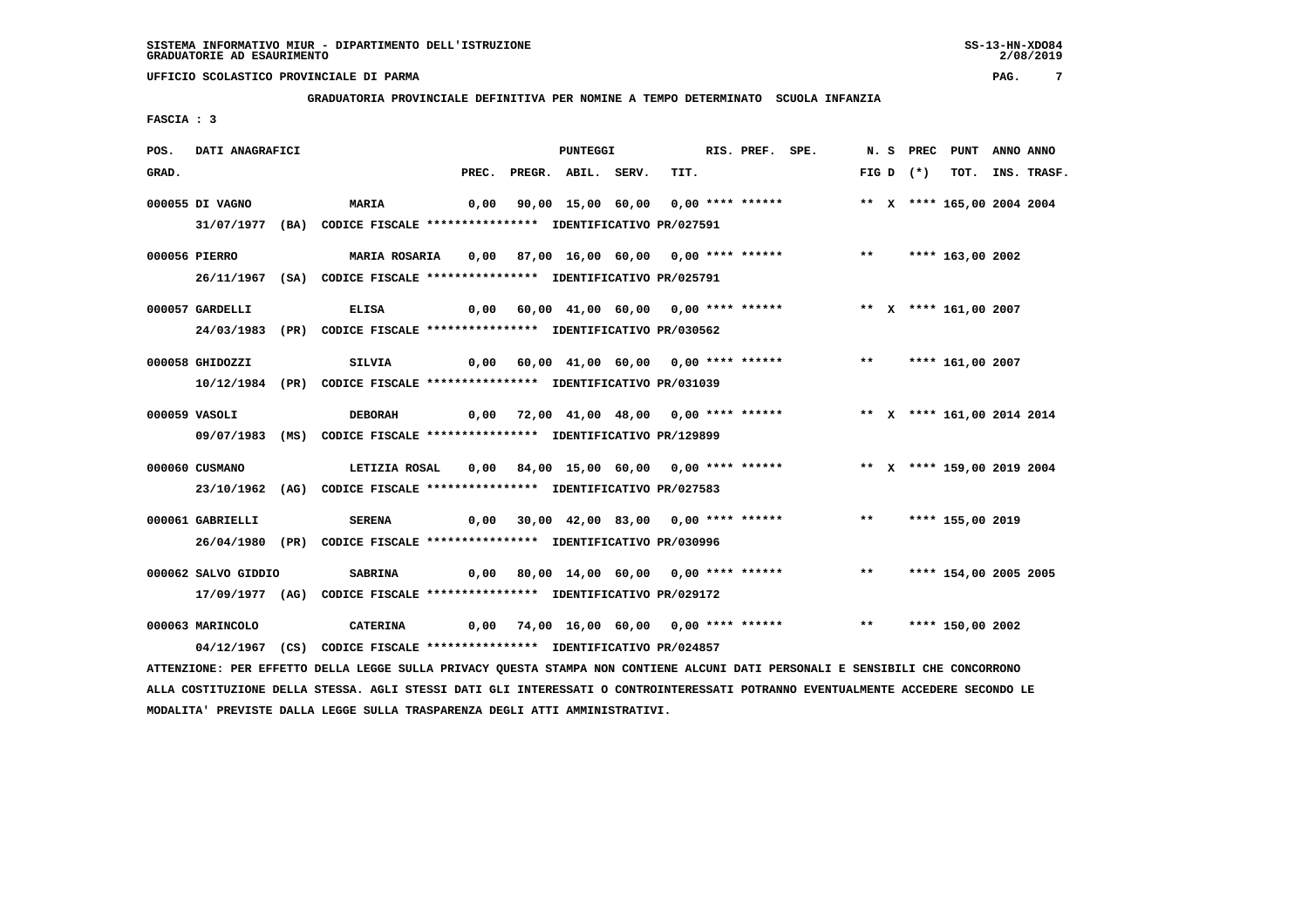**GRADUATORIA PROVINCIALE DEFINITIVA PER NOMINE A TEMPO DETERMINATO SCUOLA INFANZIA**

 **FASCIA : 3**

| POS.  | DATI ANAGRAFICI     |                                                                                                                               |       | PUNTEGGI           |      | RIS. PREF. SPE. |                                                                         |  | N. S PREC PUNT ANNO ANNO   |  |
|-------|---------------------|-------------------------------------------------------------------------------------------------------------------------------|-------|--------------------|------|-----------------|-------------------------------------------------------------------------|--|----------------------------|--|
| GRAD. |                     |                                                                                                                               | PREC. | PREGR. ABIL. SERV. | TIT. |                 |                                                                         |  | FIG D (*) TOT. INS. TRASF. |  |
|       | 000055 DI VAGNO     | <b>MARIA</b>                                                                                                                  | 0,00  |                    |      |                 | 90,00 15,00 60,00 0,00 **** ******                                      |  | ** X **** 165,00 2004 2004 |  |
|       |                     | 31/07/1977 (BA) CODICE FISCALE **************** IDENTIFICATIVO PR/027591                                                      |       |                    |      |                 |                                                                         |  |                            |  |
|       | 000056 PIERRO       |                                                                                                                               |       |                    |      |                 |                                                                         |  |                            |  |
|       |                     | 26/11/1967 (SA) CODICE FISCALE *************** IDENTIFICATIVO PR/025791                                                       |       |                    |      |                 |                                                                         |  |                            |  |
|       | 000057 GARDELLI     | <b>ELISA</b>                                                                                                                  |       |                    |      |                 | 0,00 60,00 41,00 60,00 0,00 **** ******           ** X **** 161,00 2007 |  |                            |  |
|       |                     | 24/03/1983 (PR) CODICE FISCALE *************** IDENTIFICATIVO PR/030562                                                       |       |                    |      |                 |                                                                         |  |                            |  |
|       | 000058 GHIDOZZI     | SILVIA                                                                                                                        |       |                    |      |                 | 0,00 60,00 41,00 60,00 0,00 **** ****** *** *** **** 161,00 2007        |  |                            |  |
|       |                     | 10/12/1984 (PR) CODICE FISCALE *************** IDENTIFICATIVO PR/031039                                                       |       |                    |      |                 |                                                                         |  |                            |  |
|       | 000059 VASOLI       | <b>DEBORAH</b>                                                                                                                |       |                    |      |                 | 0,00 72,00 41,00 48,00 0,00 **** ****** * *** * **** 161,00 2014 2014   |  |                            |  |
|       |                     | 09/07/1983 (MS) CODICE FISCALE *************** IDENTIFICATIVO PR/129899                                                       |       |                    |      |                 |                                                                         |  |                            |  |
|       | 000060 CUSMANO      | LETIZIA ROSAL     0,00    84,00   15,00   60,00   0,00 **** ******                **   X   **** 159,00 2019 2004              |       |                    |      |                 |                                                                         |  |                            |  |
|       |                     | 23/10/1962 (AG) CODICE FISCALE *************** IDENTIFICATIVO PR/027583                                                       |       |                    |      |                 |                                                                         |  |                            |  |
|       | 000061 GABRIELLI    | <b>SERENA</b>                                                                                                                 |       |                    |      |                 | 0,00 30,00 42,00 83,00 0,00 **** ****** *** *** **** 155,00 2019        |  |                            |  |
|       |                     | 26/04/1980 (PR) CODICE FISCALE *************** IDENTIFICATIVO PR/030996                                                       |       |                    |      |                 |                                                                         |  |                            |  |
|       | 000062 SALVO GIDDIO | <b>SABRINA</b>                                                                                                                |       |                    |      |                 | 0,00 80,00 14,00 60,00 0,00 **** ****** *** **** 154,00 2005 2005       |  |                            |  |
|       |                     | 17/09/1977 (AG) CODICE FISCALE **************** IDENTIFICATIVO PR/029172                                                      |       |                    |      |                 |                                                                         |  |                            |  |
|       | 000063 MARINCOLO    | CATERINA      0,00  74,00 16,00 60,00  0,00 **** ******      **   **** 150,00 2002                                            |       |                    |      |                 |                                                                         |  |                            |  |
|       |                     | 04/12/1967 (CS) CODICE FISCALE *************** IDENTIFICATIVO PR/024857                                                       |       |                    |      |                 |                                                                         |  |                            |  |
|       |                     | ATTENZIONE: PER EFFETTO DELLA LEGGE SULLA PRIVACY QUESTA STAMPA NON CONTIENE ALCUNI DATI PERSONALI E SENSIBILI CHE CONCORRONO |       |                    |      |                 |                                                                         |  |                            |  |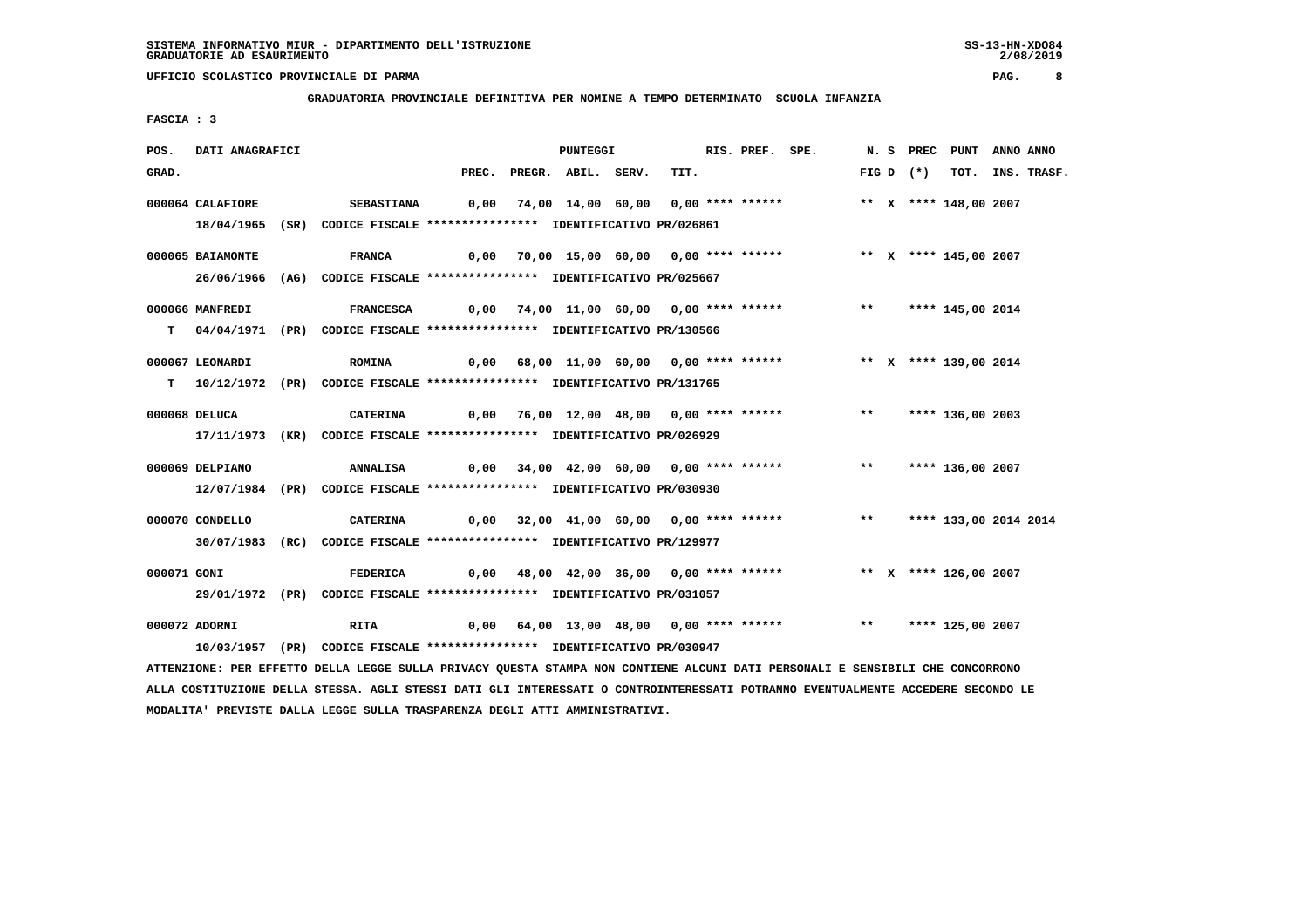**GRADUATORIA PROVINCIALE DEFINITIVA PER NOMINE A TEMPO DETERMINATO SCUOLA INFANZIA**

 **FASCIA : 3**

| POS.        | DATI ANAGRAFICI  |                                                                                                                               |  | <b>PUNTEGGI</b>          |                                         |      | RIS. PREF. SPE.                                                           |  |            | N. S PREC PUNT ANNO ANNO |                  |
|-------------|------------------|-------------------------------------------------------------------------------------------------------------------------------|--|--------------------------|-----------------------------------------|------|---------------------------------------------------------------------------|--|------------|--------------------------|------------------|
| GRAD.       |                  |                                                                                                                               |  | PREC. PREGR. ABIL. SERV. |                                         | TIT. |                                                                           |  | $FIGD (*)$ |                          | TOT. INS. TRASF. |
|             | 000064 CALAFIORE | <b>SEBASTIANA</b>                                                                                                             |  |                          | 0,00 74,00 14,00 60,00 0,00 **** ****** |      |                                                                           |  |            | ** X **** 148,00 2007    |                  |
|             |                  | 18/04/1965 (SR) CODICE FISCALE *************** IDENTIFICATIVO PR/026861                                                       |  |                          |                                         |      |                                                                           |  |            |                          |                  |
|             |                  |                                                                                                                               |  |                          |                                         |      |                                                                           |  |            |                          |                  |
|             | 000065 BAIAMONTE | <b>FRANCA</b>                                                                                                                 |  |                          |                                         |      | 0,00 70,00 15,00 60,00 0,00 **** ******      ** x **** 145,00 2007        |  |            |                          |                  |
|             |                  | 26/06/1966 (AG) CODICE FISCALE *************** IDENTIFICATIVO PR/025667                                                       |  |                          |                                         |      |                                                                           |  |            |                          |                  |
|             | 000066 MANFREDI  | FRANCESCA 0,00 74,00 11,00 60,00 0,00 **** ****** **** **** 145,00 2014                                                       |  |                          |                                         |      |                                                                           |  |            |                          |                  |
|             |                  | T 04/04/1971 (PR) CODICE FISCALE **************** IDENTIFICATIVO PR/130566                                                    |  |                          |                                         |      |                                                                           |  |            |                          |                  |
|             | 000067 LEONARDI  | <b>ROMINA</b>                                                                                                                 |  |                          |                                         |      | 0,00 68,00 11,00 60,00 0,00 **** ******             ** x **** 139,00 2014 |  |            |                          |                  |
|             |                  |                                                                                                                               |  |                          |                                         |      |                                                                           |  |            |                          |                  |
|             |                  | T   10/12/1972 (PR)  CODICE FISCALE ***************  IDENTIFICATIVO PR/131765                                                 |  |                          |                                         |      |                                                                           |  |            |                          |                  |
|             | 000068 DELUCA    | CATERINA 6,00 76,00 12,00 48,00 0,00 **** ****** *** *** **** 136,00 2003                                                     |  |                          |                                         |      |                                                                           |  |            |                          |                  |
|             |                  | 17/11/1973 (KR) CODICE FISCALE *************** IDENTIFICATIVO PR/026929                                                       |  |                          |                                         |      |                                                                           |  |            |                          |                  |
|             |                  |                                                                                                                               |  |                          |                                         |      |                                                                           |  |            |                          |                  |
|             | 000069 DELPIANO  |                                                                                                                               |  |                          |                                         |      |                                                                           |  |            |                          |                  |
|             |                  | 12/07/1984 (PR) CODICE FISCALE *************** IDENTIFICATIVO PR/030930                                                       |  |                          |                                         |      |                                                                           |  |            |                          |                  |
|             | 000070 CONDELLO  | <b>CATERINA</b>                                                                                                               |  |                          |                                         |      | 0,00 32,00 41,00 60,00 0,00 **** ******     **   **** 133,00 2014 2014    |  |            |                          |                  |
|             |                  | 30/07/1983 (RC) CODICE FISCALE *************** IDENTIFICATIVO PR/129977                                                       |  |                          |                                         |      |                                                                           |  |            |                          |                  |
|             |                  |                                                                                                                               |  |                          |                                         |      |                                                                           |  |            |                          |                  |
| 000071 GONI |                  | <b>FEDERICA</b>                                                                                                               |  |                          |                                         |      | 0,00 48,00 42,00 36,00 0,00 **** ****** **** ** ** **** 126,00 2007       |  |            |                          |                  |
|             |                  | 29/01/1972 (PR) CODICE FISCALE *************** IDENTIFICATIVO PR/031057                                                       |  |                          |                                         |      |                                                                           |  |            |                          |                  |
|             | 000072 ADORNI    | RITA 6,00 64,00 13,00 48,00 0,00 **** ****** *** **** 125,00 2007                                                             |  |                          |                                         |      |                                                                           |  |            |                          |                  |
|             |                  | 10/03/1957 (PR) CODICE FISCALE *************** IDENTIFICATIVO PR/030947                                                       |  |                          |                                         |      |                                                                           |  |            |                          |                  |
|             |                  | ATTENZIONE: PER EFFETTO DELLA LEGGE SULLA PRIVACY QUESTA STAMPA NON CONTIENE ALCUNI DATI PERSONALI E SENSIBILI CHE CONCORRONO |  |                          |                                         |      |                                                                           |  |            |                          |                  |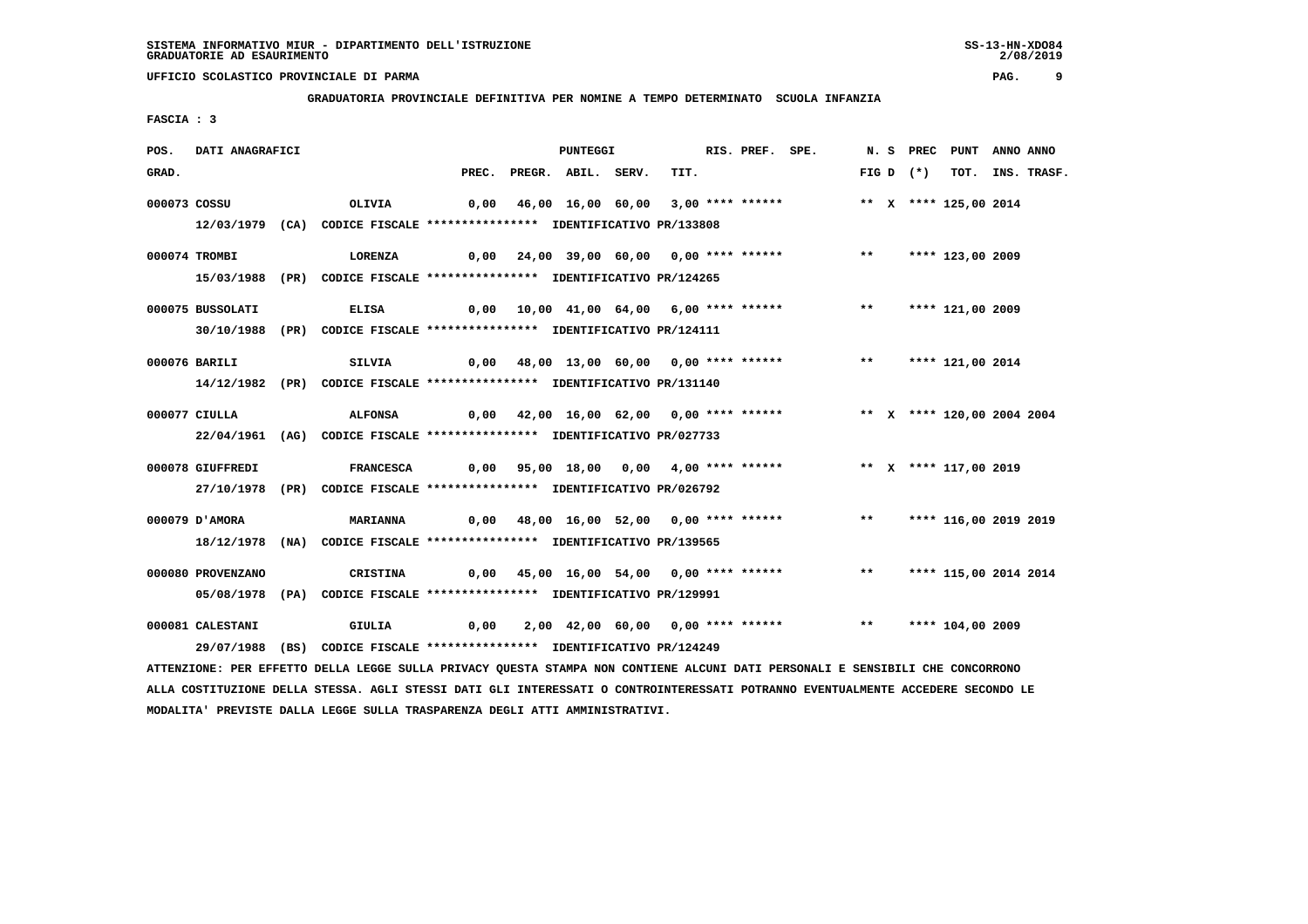**GRADUATORIA PROVINCIALE DEFINITIVA PER NOMINE A TEMPO DETERMINATO SCUOLA INFANZIA**

 **FASCIA : 3**

| POS.  | DATI ANAGRAFICI   |                                                                                                                                 |      | <b>PUNTEGGI</b>          |                                                                         | RIS. PREF. SPE. |  |             | N. S PREC PUNT ANNO ANNO |                  |
|-------|-------------------|---------------------------------------------------------------------------------------------------------------------------------|------|--------------------------|-------------------------------------------------------------------------|-----------------|--|-------------|--------------------------|------------------|
| GRAD. |                   |                                                                                                                                 |      | PREC. PREGR. ABIL. SERV. | TIT.                                                                    |                 |  | FIG D $(*)$ |                          | TOT. INS. TRASF. |
|       | 000073 COSSU      | OLIVIA                                                                                                                          |      |                          | 0,00 46,00 16,00 60,00 3,00 **** ******                                 |                 |  |             | ** X **** 125,00 2014    |                  |
|       |                   | 12/03/1979 (CA) CODICE FISCALE *************** IDENTIFICATIVO PR/133808                                                         |      |                          |                                                                         |                 |  |             |                          |                  |
|       |                   |                                                                                                                                 |      |                          |                                                                         |                 |  |             |                          |                  |
|       | 000074 TROMBI     | LORENZA                                                                                                                         |      |                          | $0,00$ 24,00 39,00 60,00 0,00 **** ****** *** *** **** 123,00 2009      |                 |  |             |                          |                  |
|       |                   | 15/03/1988 (PR) CODICE FISCALE **************** IDENTIFICATIVO PR/124265                                                        |      |                          |                                                                         |                 |  |             |                          |                  |
|       | 000075 BUSSOLATI  | <b>ELISA</b>                                                                                                                    |      |                          | 0,00 10,00 41,00 64,00 6,00 **** ****** *** *** **** 121,00 2009        |                 |  |             |                          |                  |
|       |                   | 30/10/1988 (PR) CODICE FISCALE *************** IDENTIFICATIVO PR/124111                                                         |      |                          |                                                                         |                 |  |             |                          |                  |
|       |                   |                                                                                                                                 |      |                          |                                                                         |                 |  |             |                          |                  |
|       | 000076 BARILI     | SILVIA                                                                                                                          |      |                          | $0,00$ 48,00 13,00 60,00 0,00 **** ****** *** *** **** 121,00 2014      |                 |  |             |                          |                  |
|       |                   | 14/12/1982 (PR) CODICE FISCALE **************** IDENTIFICATIVO PR/131140                                                        |      |                          |                                                                         |                 |  |             |                          |                  |
|       | 000077 CIULLA     | <b>ALFONSA</b>                                                                                                                  |      |                          | 0,00 42,00 16,00 62,00 0,00 **** ****** *** ** ** **** 120,00 2004 2004 |                 |  |             |                          |                  |
|       |                   | 22/04/1961 (AG) CODICE FISCALE *************** IDENTIFICATIVO PR/027733                                                         |      |                          |                                                                         |                 |  |             |                          |                  |
|       |                   |                                                                                                                                 |      |                          |                                                                         |                 |  |             |                          |                  |
|       | 000078 GIUFFREDI  | FRANCESCA 0,00 95,00 18,00 0,00 4,00 **** ****** *** ** ** X **** 117,00 2019                                                   |      |                          |                                                                         |                 |  |             |                          |                  |
|       |                   | 27/10/1978 (PR) CODICE FISCALE *************** IDENTIFICATIVO PR/026792                                                         |      |                          |                                                                         |                 |  |             |                          |                  |
|       | 000079 D'AMORA    | <b>MARIANNA</b>                                                                                                                 |      |                          | 0,00 48,00 16,00 52,00 0,00 **** ****** *** *** **** 116,00 2019 2019   |                 |  |             |                          |                  |
|       |                   | 18/12/1978 (NA) CODICE FISCALE *************** IDENTIFICATIVO PR/139565                                                         |      |                          |                                                                         |                 |  |             |                          |                  |
|       |                   |                                                                                                                                 |      |                          |                                                                         |                 |  |             |                          |                  |
|       | 000080 PROVENZANO | CRISTINA                                                                                                                        |      |                          | 0,00 45,00 16,00 54,00 0,00 **** ****** *** *** **** 115,00 2014 2014   |                 |  |             |                          |                  |
|       |                   | 05/08/1978 (PA) CODICE FISCALE *************** IDENTIFICATIVO PR/129991                                                         |      |                          |                                                                         |                 |  |             |                          |                  |
|       | 000081 CALESTANI  | GIULIA                                                                                                                          | 0,00 |                          | 2,00 42,00 60,00 0,00 **** ****** *** *** **** 104,00 2009              |                 |  |             |                          |                  |
|       |                   | 29/07/1988 (BS) CODICE FISCALE *************** IDENTIFICATIVO PR/124249                                                         |      |                          |                                                                         |                 |  |             |                          |                  |
|       |                   | ATTENZIONE: PER EFFETTO DELLA LEGGE SULLA PRIVACY QUESTA STAMPA NON CONTIENE ALCUNI DATI PERSONALI E SENSIBILI CHE CONCORRONO   |      |                          |                                                                         |                 |  |             |                          |                  |
|       |                   | ALLA COSTITUZIONE DELLA STESSA. AGLI STESSI DATI GLI INTERESSATI O CONTROINTERESSATI POTRANNO EVENTUALMENTE ACCEDERE SECONDO LE |      |                          |                                                                         |                 |  |             |                          |                  |

 **MODALITA' PREVISTE DALLA LEGGE SULLA TRASPARENZA DEGLI ATTI AMMINISTRATIVI.**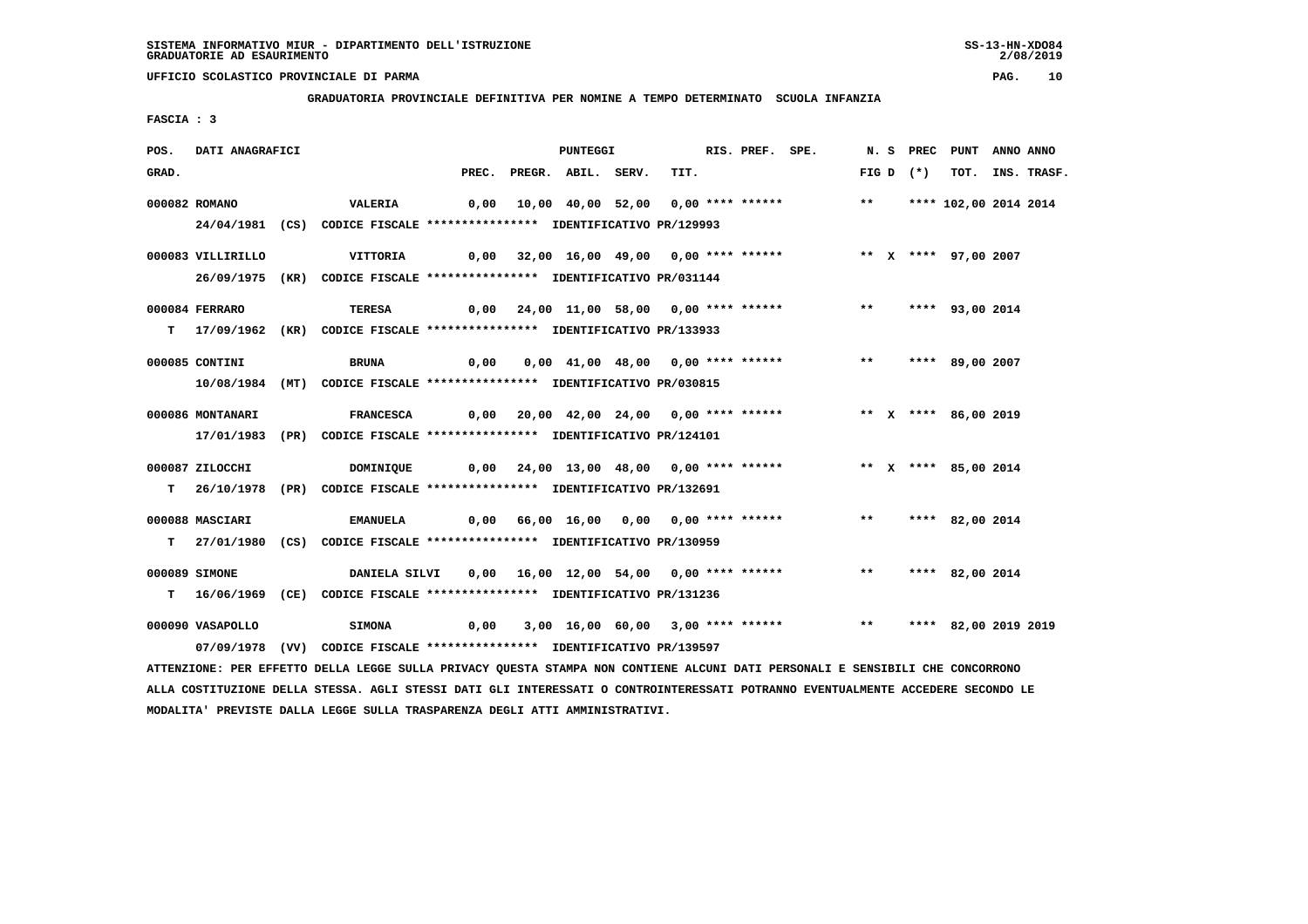**GRADUATORIA PROVINCIALE DEFINITIVA PER NOMINE A TEMPO DETERMINATO SCUOLA INFANZIA**

 **FASCIA : 3**

| POS.  | DATI ANAGRAFICI   |                                                                                                                                 |      | <b>PUNTEGGI</b>                               |      | RIS. PREF. SPE. |                                                                 |       |             | N. S PREC PUNT ANNO ANNO |                  |
|-------|-------------------|---------------------------------------------------------------------------------------------------------------------------------|------|-----------------------------------------------|------|-----------------|-----------------------------------------------------------------|-------|-------------|--------------------------|------------------|
| GRAD. |                   |                                                                                                                                 |      | PREC. PREGR. ABIL. SERV.                      | TIT. |                 |                                                                 |       | $FIG D (*)$ |                          | TOT. INS. TRASF. |
|       | 000082 ROMANO     | <b>VALERIA</b>                                                                                                                  |      |                                               |      |                 |                                                                 |       |             | ** **** 102,00 2014 2014 |                  |
|       |                   | 24/04/1981 (CS) CODICE FISCALE *************** IDENTIFICATIVO PR/129993                                                         |      |                                               |      |                 |                                                                 |       |             |                          |                  |
|       |                   |                                                                                                                                 |      |                                               |      |                 |                                                                 |       |             |                          |                  |
|       | 000083 VILLIRILLO | VITTORIA                                                                                                                        |      | 0,00 32,00 16,00 49,00 0,00 **** ******       |      |                 |                                                                 |       |             | ** X **** 97,00 2007     |                  |
|       |                   | 26/09/1975 (KR) CODICE FISCALE *************** IDENTIFICATIVO PR/031144                                                         |      |                                               |      |                 |                                                                 |       |             |                          |                  |
|       |                   |                                                                                                                                 |      |                                               |      |                 |                                                                 |       |             |                          |                  |
|       | 000084 FERRARO    | TERESA                                                                                                                          |      |                                               |      |                 | 0,00 24,00 11,00 58,00 0,00 **** ****** *** *** **** 93,00 2014 |       |             |                          |                  |
|       |                   | T 17/09/1962 (KR) CODICE FISCALE **************** IDENTIFICATIVO PR/133933                                                      |      |                                               |      |                 |                                                                 |       |             |                          |                  |
|       | 000085 CONTINI    | BRUNA                                                                                                                           | 0,00 |                                               |      |                 | 0,00 41,00 48,00 0,00 **** ******                               |       |             | ** **** 89,00 2007       |                  |
|       |                   |                                                                                                                                 |      |                                               |      |                 |                                                                 |       |             |                          |                  |
|       |                   | 10/08/1984 (MT) CODICE FISCALE *************** IDENTIFICATIVO PR/030815                                                         |      |                                               |      |                 |                                                                 |       |             |                          |                  |
|       | 000086 MONTANARI  | <b>FRANCESCA</b>                                                                                                                |      | 0,00  20,00  42,00  24,00  0,00  ****  ****** |      |                 |                                                                 |       |             | ** X **** 86,00 2019     |                  |
|       |                   | 17/01/1983 (PR) CODICE FISCALE *************** IDENTIFICATIVO PR/124101                                                         |      |                                               |      |                 |                                                                 |       |             |                          |                  |
|       |                   |                                                                                                                                 |      |                                               |      |                 |                                                                 |       |             |                          |                  |
|       | 000087 ZILOCCHI   | DOMINIQUE 0,00 24,00 13,00 48,00 0,00 **** ****** *** ** ** *** 85,00 2014                                                      |      |                                               |      |                 |                                                                 |       |             |                          |                  |
|       |                   | T 26/10/1978 (PR) CODICE FISCALE *************** IDENTIFICATIVO PR/132691                                                       |      |                                               |      |                 |                                                                 |       |             |                          |                  |
|       |                   |                                                                                                                                 |      |                                               |      |                 |                                                                 |       |             |                          |                  |
|       | 000088 MASCIARI   | <b>EMANUELA</b>                                                                                                                 |      |                                               |      |                 | 0,00 66,00 16,00 0,00 0,00 **** ******                          | $***$ |             | **** 82,00 2014          |                  |
|       |                   | T 27/01/1980 (CS) CODICE FISCALE *************** IDENTIFICATIVO PR/130959                                                       |      |                                               |      |                 |                                                                 |       |             |                          |                  |
|       | 000089 SIMONE     | DANIELA SILVI          0,00        16,00     12,00    54,00     0,00    ****    ******                                          |      |                                               |      |                 |                                                                 |       |             | ** **** 82,00 2014       |                  |
|       |                   | T 16/06/1969 (CE) CODICE FISCALE **************** IDENTIFICATIVO PR/131236                                                      |      |                                               |      |                 |                                                                 |       |             |                          |                  |
|       |                   |                                                                                                                                 |      |                                               |      |                 |                                                                 |       |             |                          |                  |
|       | 000090 VASAPOLLO  | <b>SIMONA</b>                                                                                                                   | 0,00 |                                               |      |                 | 3,00 16,00 60,00 3,00 **** ****** *** *** **** 82,00 2019 2019  |       |             |                          |                  |
|       |                   | 07/09/1978 (VV) CODICE FISCALE *************** IDENTIFICATIVO PR/139597                                                         |      |                                               |      |                 |                                                                 |       |             |                          |                  |
|       |                   | ATTENZIONE: PER EFFETTO DELLA LEGGE SULLA PRIVACY QUESTA STAMPA NON CONTIENE ALCUNI DATI PERSONALI E SENSIBILI CHE CONCORRONO   |      |                                               |      |                 |                                                                 |       |             |                          |                  |
|       |                   | ALLA COSTITUZIONE DELLA STESSA. AGLI STESSI DATI GLI INTERESSATI O CONTROINTERESSATI POTRANNO EVENTUALMENTE ACCEDERE SECONDO LE |      |                                               |      |                 |                                                                 |       |             |                          |                  |

 **MODALITA' PREVISTE DALLA LEGGE SULLA TRASPARENZA DEGLI ATTI AMMINISTRATIVI.**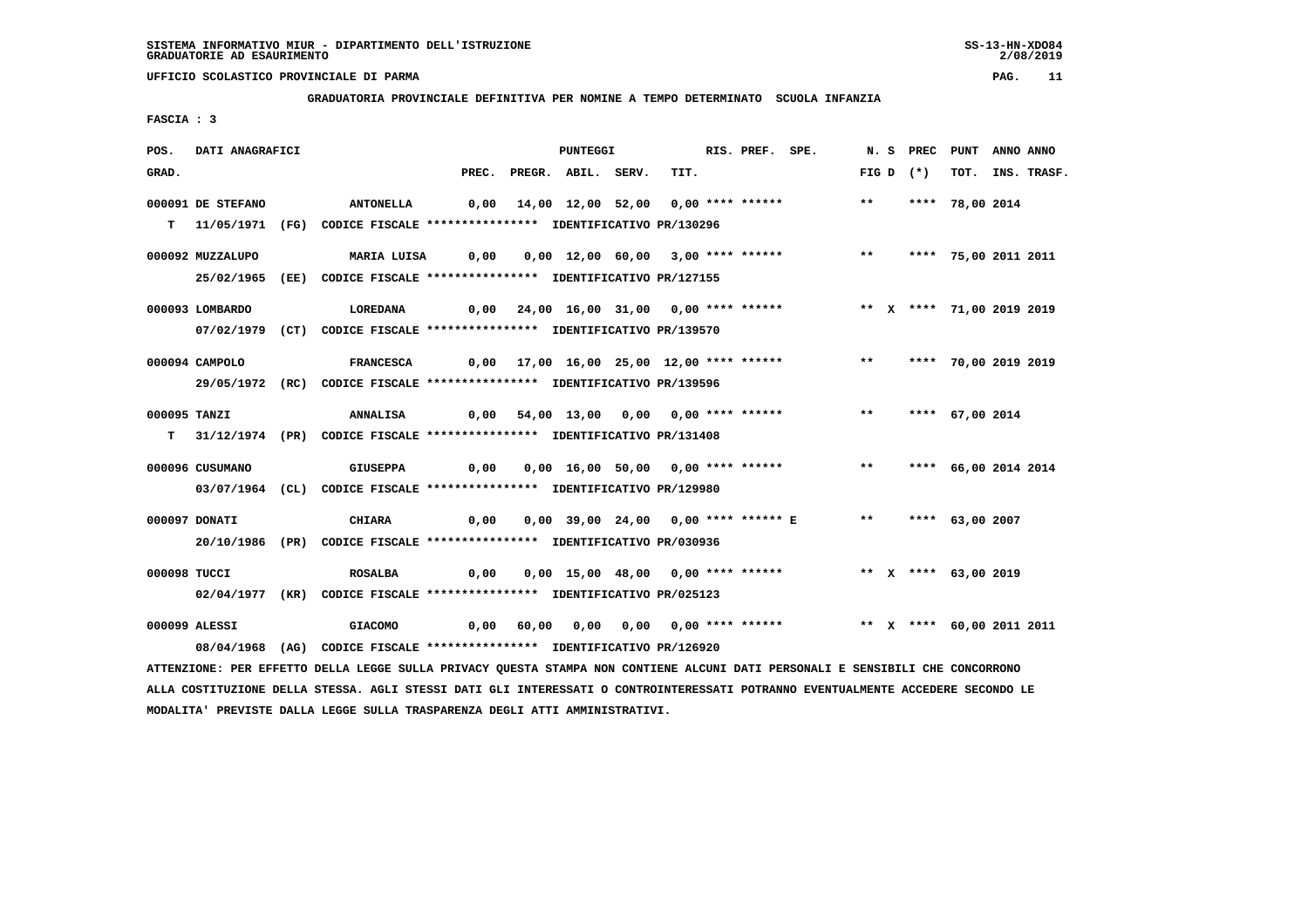**GRADUATORIA PROVINCIALE DEFINITIVA PER NOMINE A TEMPO DETERMINATO SCUOLA INFANZIA**

 **FASCIA : 3**

| POS.         | DATI ANAGRAFICI   |                                                                                                                               |       | PUNTEGGI           |                                                                        | RIS. PREF. SPE. |       | N.S PREC    | PUNT                      | ANNO ANNO |                  |
|--------------|-------------------|-------------------------------------------------------------------------------------------------------------------------------|-------|--------------------|------------------------------------------------------------------------|-----------------|-------|-------------|---------------------------|-----------|------------------|
| GRAD.        |                   |                                                                                                                               | PREC. | PREGR. ABIL. SERV. | TIT.                                                                   |                 |       | FIG D $(*)$ |                           |           | TOT. INS. TRASF. |
|              | 000091 DE STEFANO | ANTONELLA                                                                                                                     | 0,00  |                    | 14,00 12,00 52,00 0,00 **** ******                                     |                 | $***$ |             | **** 78,00 2014           |           |                  |
|              |                   |                                                                                                                               |       |                    |                                                                        |                 |       |             |                           |           |                  |
|              |                   | T 11/05/1971 (FG) CODICE FISCALE *************** IDENTIFICATIVO PR/130296                                                     |       |                    |                                                                        |                 |       |             |                           |           |                  |
|              | 000092 MUZZALUPO  | MARIA LUISA                                                                                                                   | 0,00  |                    | 0,00 12,00 60,00 3,00 **** ******                                      |                 | $***$ |             | **** 75,00 2011 2011      |           |                  |
|              |                   | 25/02/1965 (EE) CODICE FISCALE *************** IDENTIFICATIVO PR/127155                                                       |       |                    |                                                                        |                 |       |             |                           |           |                  |
|              |                   |                                                                                                                               |       |                    |                                                                        |                 |       |             |                           |           |                  |
|              | 000093 LOMBARDO   | LOREDANA                                                                                                                      |       |                    | 0,00 24,00 16,00 31,00 0,00 **** ****** *** ** ** **** 71,00 2019 2019 |                 |       |             |                           |           |                  |
|              |                   | 07/02/1979 (CT) CODICE FISCALE *************** IDENTIFICATIVO PR/139570                                                       |       |                    |                                                                        |                 |       |             |                           |           |                  |
|              |                   |                                                                                                                               |       |                    |                                                                        |                 |       |             |                           |           |                  |
|              | 000094 CAMPOLO    | <b>FRANCESCA</b>                                                                                                              |       |                    | 0,00 17,00 16,00 25,00 12,00 **** ******                               |                 | $***$ |             | **** 70,00 2019 2019      |           |                  |
|              |                   | 29/05/1972 (RC) CODICE FISCALE *************** IDENTIFICATIVO PR/139596                                                       |       |                    |                                                                        |                 |       |             |                           |           |                  |
|              |                   |                                                                                                                               |       |                    |                                                                        |                 |       |             |                           |           |                  |
| 000095 TANZI |                   | <b>ANNALISA</b>                                                                                                               |       |                    | 0,00 54,00 13,00 0,00 0,00 **** ******                                 |                 | $***$ |             | **** 67,00 2014           |           |                  |
|              |                   | T 31/12/1974 (PR) CODICE FISCALE **************** IDENTIFICATIVO PR/131408                                                    |       |                    |                                                                        |                 |       |             |                           |           |                  |
|              | 000096 CUSUMANO   | <b>GIUSEPPA</b>                                                                                                               | 0,00  |                    | 0,00 16,00 50,00 0,00 **** ******                                      |                 | $***$ |             | **** 66,00 2014 2014      |           |                  |
|              |                   | 03/07/1964 (CL) CODICE FISCALE **************** IDENTIFICATIVO PR/129980                                                      |       |                    |                                                                        |                 |       |             |                           |           |                  |
|              |                   |                                                                                                                               |       |                    |                                                                        |                 |       |             |                           |           |                  |
|              | 000097 DONATI     | <b>CHIARA</b>                                                                                                                 | 0,00  |                    | 0,00 39,00 24,00 0,00 **** ****** E                                    |                 |       |             | ** **** 63,00 2007        |           |                  |
|              |                   | 20/10/1986 (PR) CODICE FISCALE *************** IDENTIFICATIVO PR/030936                                                       |       |                    |                                                                        |                 |       |             |                           |           |                  |
|              |                   |                                                                                                                               |       |                    |                                                                        |                 |       |             |                           |           |                  |
| 000098 TUCCI |                   | ROSALBA                                                                                                                       | 0,00  |                    | 0,00 15,00 48,00 0,00 **** ****** *** ** ** ** *** 63,00 2019          |                 |       |             |                           |           |                  |
|              |                   | 02/04/1977 (KR) CODICE FISCALE *************** IDENTIFICATIVO PR/025123                                                       |       |                    |                                                                        |                 |       |             |                           |           |                  |
|              |                   |                                                                                                                               |       |                    |                                                                        |                 |       |             |                           |           |                  |
|              | 000099 ALESSI     | <b>GIACOMO</b>                                                                                                                |       |                    | $0,00$ 60,00 0,00 0,00 0,00 **** ******                                |                 |       |             | ** X **** 60,00 2011 2011 |           |                  |
|              |                   | 08/04/1968 (AG) CODICE FISCALE **************** IDENTIFICATIVO PR/126920                                                      |       |                    |                                                                        |                 |       |             |                           |           |                  |
|              |                   | ATTENZIONE: PER EFFETTO DELLA LEGGE SULLA PRIVACY QUESTA STAMPA NON CONTIENE ALCUNI DATI PERSONALI E SENSIBILI CHE CONCORRONO |       |                    |                                                                        |                 |       |             |                           |           |                  |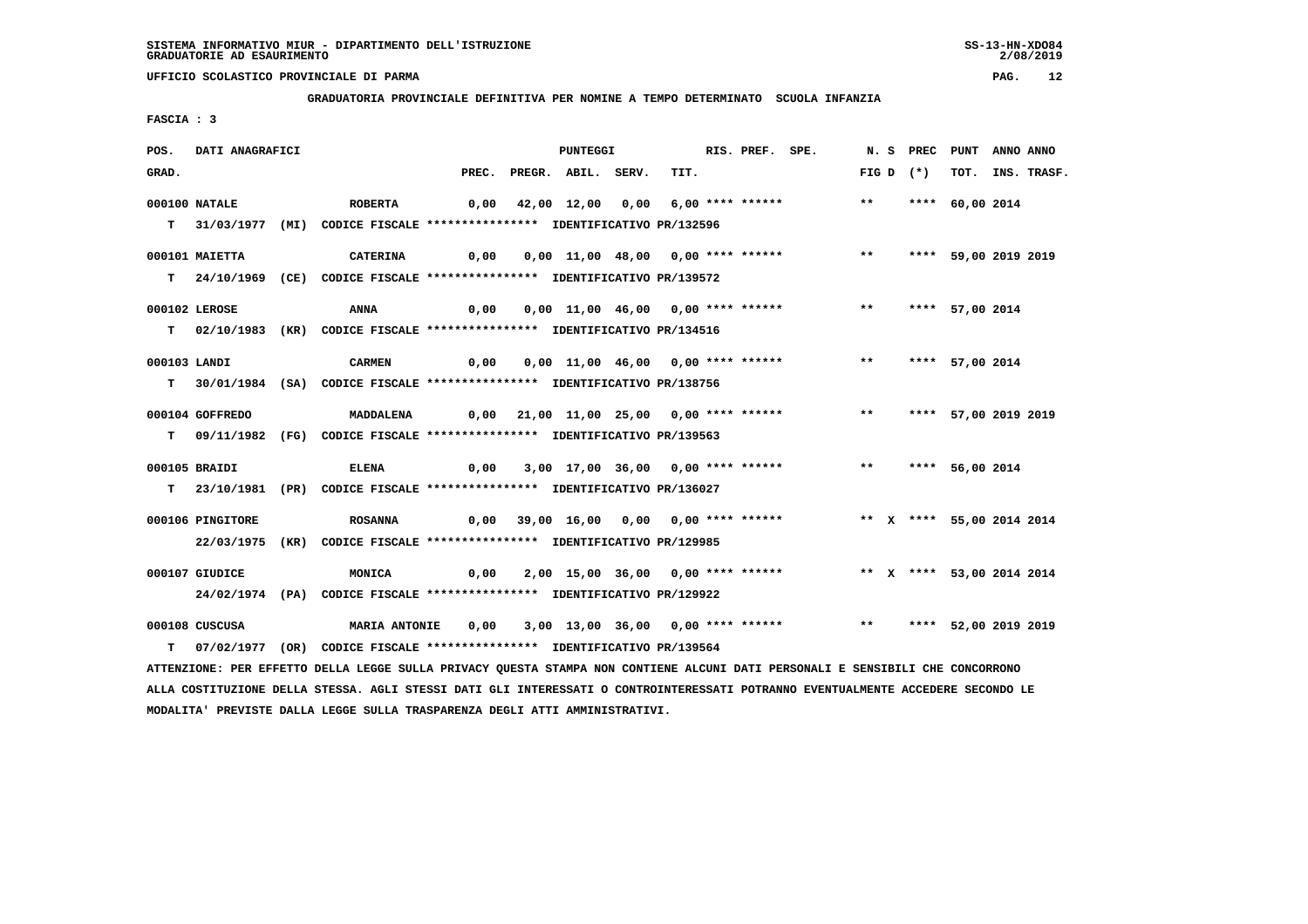**GRADUATORIA PROVINCIALE DEFINITIVA PER NOMINE A TEMPO DETERMINATO SCUOLA INFANZIA**

 **FASCIA : 3**

| POS.         | DATI ANAGRAFICI  |                                                                                                                                 |       | <b>PUNTEGGI</b>    |                                         | RIS. PREF. SPE. |                                                                       |       |       |             | N. S PREC PUNT ANNO ANNO |                  |
|--------------|------------------|---------------------------------------------------------------------------------------------------------------------------------|-------|--------------------|-----------------------------------------|-----------------|-----------------------------------------------------------------------|-------|-------|-------------|--------------------------|------------------|
| GRAD.        |                  |                                                                                                                                 | PREC. | PREGR. ABIL. SERV. | TIT.                                    |                 |                                                                       |       |       | FIG D $(*)$ |                          | TOT. INS. TRASF. |
|              | 000100 NATALE    | <b>ROBERTA</b>                                                                                                                  | 0,00  |                    | 42,00 12,00 0,00 6,00 **** ******       |                 |                                                                       | $***$ |       |             | **** 60,00 2014          |                  |
|              |                  |                                                                                                                                 |       |                    |                                         |                 |                                                                       |       |       |             |                          |                  |
|              |                  | T 31/03/1977 (MI) CODICE FISCALE *************** IDENTIFICATIVO PR/132596                                                       |       |                    |                                         |                 |                                                                       |       |       |             |                          |                  |
|              | 000101 MAIETTA   | <b>CATERINA</b>                                                                                                                 | 0,00  |                    | 0,00 11,00 48,00 0,00 **** ******       |                 |                                                                       | $***$ |       |             | **** 59,00 2019 2019     |                  |
|              |                  | T 24/10/1969 (CE) CODICE FISCALE **************** IDENTIFICATIVO PR/139572                                                      |       |                    |                                         |                 |                                                                       |       |       |             |                          |                  |
|              |                  |                                                                                                                                 |       |                    |                                         |                 |                                                                       |       |       |             |                          |                  |
|              | 000102 LEROSE    | <b>ANNA</b>                                                                                                                     | 0,00  |                    | 0,00 11,00 46,00 0,00 **** ******       |                 |                                                                       |       |       |             | ** **** 57,00 2014       |                  |
|              |                  | T 02/10/1983 (KR) CODICE FISCALE *************** IDENTIFICATIVO PR/134516                                                       |       |                    |                                         |                 |                                                                       |       |       |             |                          |                  |
|              |                  |                                                                                                                                 |       |                    |                                         |                 |                                                                       |       |       |             |                          |                  |
| 000103 LANDI |                  | <b>CARMEN</b>                                                                                                                   | 0,00  |                    | 0,00 11,00 46,00 0,00 **** ******       |                 |                                                                       | $***$ |       |             | **** 57,00 2014          |                  |
|              |                  | T 30/01/1984 (SA) CODICE FISCALE *************** IDENTIFICATIVO PR/138756                                                       |       |                    |                                         |                 |                                                                       |       |       |             |                          |                  |
|              | 000104 GOFFREDO  | MADDALENA                                                                                                                       |       |                    | 0,00 21,00 11,00 25,00 0,00 **** ****** |                 |                                                                       |       | $***$ |             | **** 57,00 2019 2019     |                  |
|              |                  |                                                                                                                                 |       |                    |                                         |                 |                                                                       |       |       |             |                          |                  |
|              |                  | T 09/11/1982 (FG) CODICE FISCALE **************** IDENTIFICATIVO PR/139563                                                      |       |                    |                                         |                 |                                                                       |       |       |             |                          |                  |
|              | 000105 BRAIDI    | <b>ELENA</b>                                                                                                                    | 0,00  |                    | 3,00 17,00 36,00 0,00 **** ******       |                 |                                                                       |       |       |             | ** **** 56,00 2014       |                  |
|              |                  | T 23/10/1981 (PR) CODICE FISCALE **************** IDENTIFICATIVO PR/136027                                                      |       |                    |                                         |                 |                                                                       |       |       |             |                          |                  |
|              |                  |                                                                                                                                 |       |                    |                                         |                 |                                                                       |       |       |             |                          |                  |
|              | 000106 PINGITORE | <b>ROSANNA</b>                                                                                                                  |       |                    |                                         |                 | 0,00 39,00 16,00 0,00 0,00 **** ****** *** ** ** **** 55,00 2014 2014 |       |       |             |                          |                  |
|              |                  | 22/03/1975 (KR) CODICE FISCALE *************** IDENTIFICATIVO PR/129985                                                         |       |                    |                                         |                 |                                                                       |       |       |             |                          |                  |
|              |                  |                                                                                                                                 |       |                    |                                         |                 |                                                                       |       |       |             |                          |                  |
|              | 000107 GIUDICE   | MONICA                                                                                                                          |       |                    |                                         |                 | 0,00 2,00 15,00 36,00 0,00 **** ****** * ** * **** 53,00 2014 2014    |       |       |             |                          |                  |
|              |                  | 24/02/1974 (PA) CODICE FISCALE **************** IDENTIFICATIVO PR/129922                                                        |       |                    |                                         |                 |                                                                       |       |       |             |                          |                  |
|              | 000108 CUSCUSA   | <b>MARIA ANTONIE</b>                                                                                                            | 0,00  |                    |                                         |                 | 3,00 13,00 36,00 0,00 **** ******                                     |       |       |             | ** **** 52,00 2019 2019  |                  |
| т            |                  | 07/02/1977 (OR) CODICE FISCALE **************** IDENTIFICATIVO PR/139564                                                        |       |                    |                                         |                 |                                                                       |       |       |             |                          |                  |
|              |                  |                                                                                                                                 |       |                    |                                         |                 |                                                                       |       |       |             |                          |                  |
|              |                  | ATTENZIONE: PER EFFETTO DELLA LEGGE SULLA PRIVACY QUESTA STAMPA NON CONTIENE ALCUNI DATI PERSONALI E SENSIBILI CHE CONCORRONO   |       |                    |                                         |                 |                                                                       |       |       |             |                          |                  |
|              |                  | ALLA COSTITUZIONE DELLA STESSA. AGLI STESSI DATI GLI INTERESSATI O CONTROINTERESSATI POTRANNO EVENTUALMENTE ACCEDERE SECONDO LE |       |                    |                                         |                 |                                                                       |       |       |             |                          |                  |

 **MODALITA' PREVISTE DALLA LEGGE SULLA TRASPARENZA DEGLI ATTI AMMINISTRATIVI.**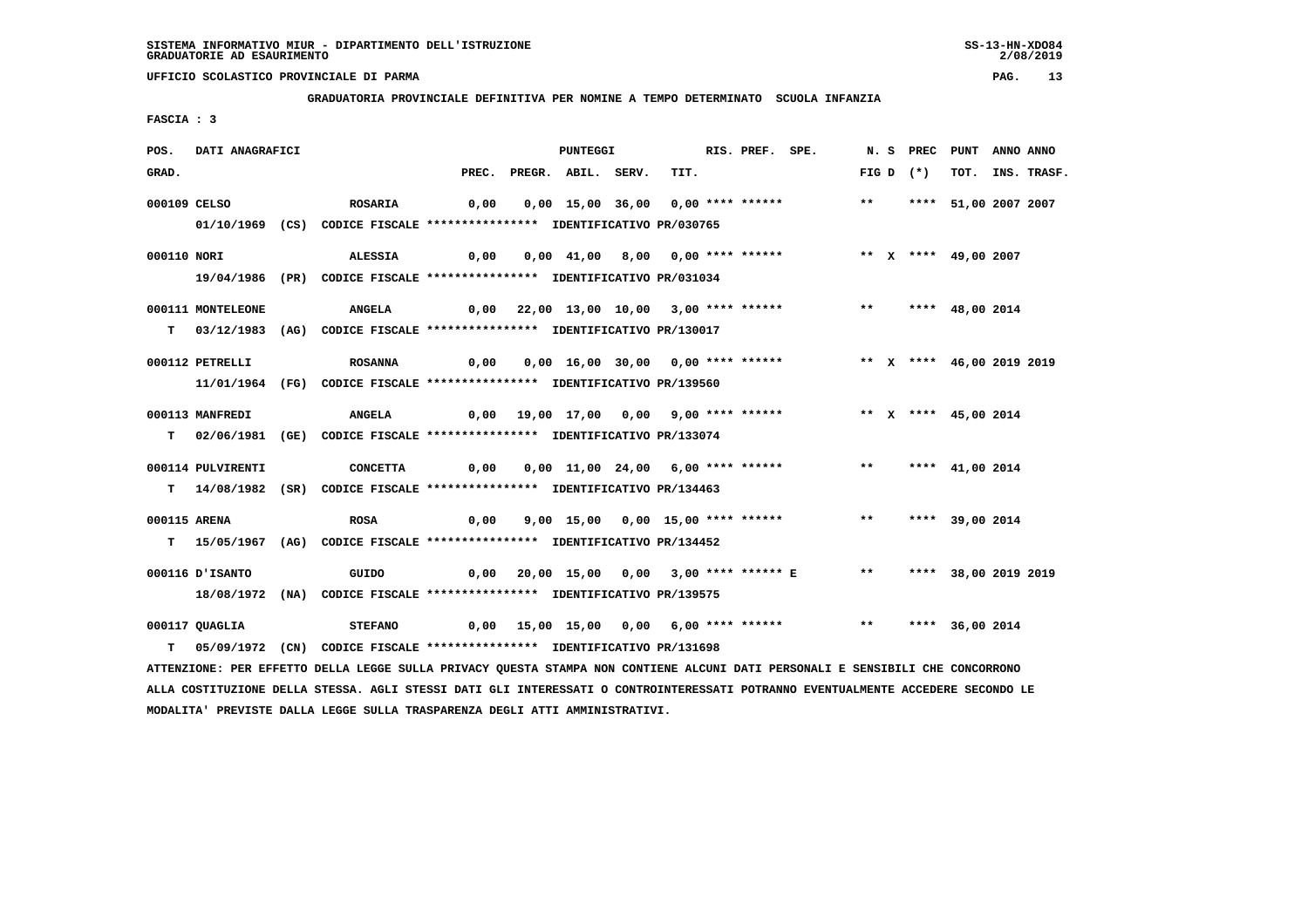**GRADUATORIA PROVINCIALE DEFINITIVA PER NOMINE A TEMPO DETERMINATO SCUOLA INFANZIA**

 **FASCIA : 3**

| POS.         | DATI ANAGRAFICI   |                                                                                                                               |      | PUNTEGGI                 |                                   | RIS. PREF. SPE. |                                                                    |               |             | N. S PREC PUNT ANNO ANNO  |                  |
|--------------|-------------------|-------------------------------------------------------------------------------------------------------------------------------|------|--------------------------|-----------------------------------|-----------------|--------------------------------------------------------------------|---------------|-------------|---------------------------|------------------|
| GRAD.        |                   |                                                                                                                               |      | PREC. PREGR. ABIL. SERV. | TIT.                              |                 |                                                                    |               | FIG D $(*)$ |                           | TOT. INS. TRASF. |
| 000109 CELSO |                   | ROSARIA                                                                                                                       | 0,00 |                          | 0,00 15,00 36,00 0,00 **** ****** |                 |                                                                    | $***$         |             | **** 51,00 2007 2007      |                  |
|              |                   | 01/10/1969 (CS) CODICE FISCALE *************** IDENTIFICATIVO PR/030765                                                       |      |                          |                                   |                 |                                                                    |               |             |                           |                  |
|              |                   |                                                                                                                               |      |                          |                                   |                 |                                                                    |               |             |                           |                  |
| 000110 NORI  |                   | <b>ALESSIA</b>                                                                                                                | 0,00 |                          |                                   |                 | 0,00 41,00 8,00 0,00 **** ******             ** x **** 49,00 2007  |               |             |                           |                  |
|              |                   | 19/04/1986 (PR) CODICE FISCALE *************** IDENTIFICATIVO PR/031034                                                       |      |                          |                                   |                 |                                                                    |               |             |                           |                  |
|              | 000111 MONTELEONE | <b>ANGELA</b>                                                                                                                 |      |                          |                                   |                 | $0,00$ 22,00 13,00 10,00 3,00 **** ******                          |               |             | ** **** 48,00 2014        |                  |
|              |                   | T 03/12/1983 (AG) CODICE FISCALE *************** IDENTIFICATIVO PR/130017                                                     |      |                          |                                   |                 |                                                                    |               |             |                           |                  |
|              | 000112 PETRELLI   | <b>ROSANNA</b>                                                                                                                | 0,00 |                          | 0,00 16,00 30,00 0,00 **** ****** |                 |                                                                    |               |             | ** X **** 46,00 2019 2019 |                  |
|              |                   |                                                                                                                               |      |                          |                                   |                 |                                                                    |               |             |                           |                  |
|              |                   | 11/01/1964 (FG) CODICE FISCALE *************** IDENTIFICATIVO PR/139560                                                       |      |                          |                                   |                 |                                                                    |               |             |                           |                  |
|              | 000113 MANFREDI   | <b>ANGELA</b>                                                                                                                 |      |                          |                                   |                 | 0,00 19,00 17,00 0,00 9,00 **** ****** *** ** ** ** *** 45,00 2014 |               |             |                           |                  |
|              |                   | T 02/06/1981 (GE) CODICE FISCALE *************** IDENTIFICATIVO PR/133074                                                     |      |                          |                                   |                 |                                                                    |               |             |                           |                  |
|              | 000114 PULVIRENTI | <b>CONCETTA</b>                                                                                                               | 0,00 |                          |                                   |                 | 0,00 11,00 24,00 6,00 **** ******                                  | $***$         |             | **** 41,00 2014           |                  |
|              |                   |                                                                                                                               |      |                          |                                   |                 |                                                                    |               |             |                           |                  |
|              |                   | T 14/08/1982 (SR) CODICE FISCALE *************** IDENTIFICATIVO PR/134463                                                     |      |                          |                                   |                 |                                                                    |               |             |                           |                  |
| 000115 ARENA |                   | <b>ROSA</b>                                                                                                                   | 0,00 |                          | 9,00 15,00 0,00 15,00 **** ****** |                 |                                                                    | $\star \star$ |             | **** 39,00 2014           |                  |
|              |                   | T 15/05/1967 (AG) CODICE FISCALE **************** IDENTIFICATIVO PR/134452                                                    |      |                          |                                   |                 |                                                                    |               |             |                           |                  |
|              | 000116 D'ISANTO   | GUIDO                                                                                                                         |      |                          |                                   |                 | 0,00 20,00 15,00 0,00 3,00 **** ****** E ** **** 38,00 2019 2019   |               |             |                           |                  |
|              |                   |                                                                                                                               |      |                          |                                   |                 |                                                                    |               |             |                           |                  |
|              |                   | 18/08/1972 (NA) CODICE FISCALE *************** IDENTIFICATIVO PR/139575                                                       |      |                          |                                   |                 |                                                                    |               |             |                           |                  |
|              | 000117 QUAGLIA    | <b>STEFANO</b>                                                                                                                |      |                          |                                   |                 | 0,00 15,00 15,00 0,00 6,00 **** ****** *** *** **** 36,00 2014     |               |             |                           |                  |
|              |                   | T 05/09/1972 (CN) CODICE FISCALE *************** IDENTIFICATIVO PR/131698                                                     |      |                          |                                   |                 |                                                                    |               |             |                           |                  |
|              |                   | ATTENZIONE: PER EFFETTO DELLA LEGGE SULLA PRIVACY QUESTA STAMPA NON CONTIENE ALCUNI DATI PERSONALI E SENSIBILI CHE CONCORRONO |      |                          |                                   |                 |                                                                    |               |             |                           |                  |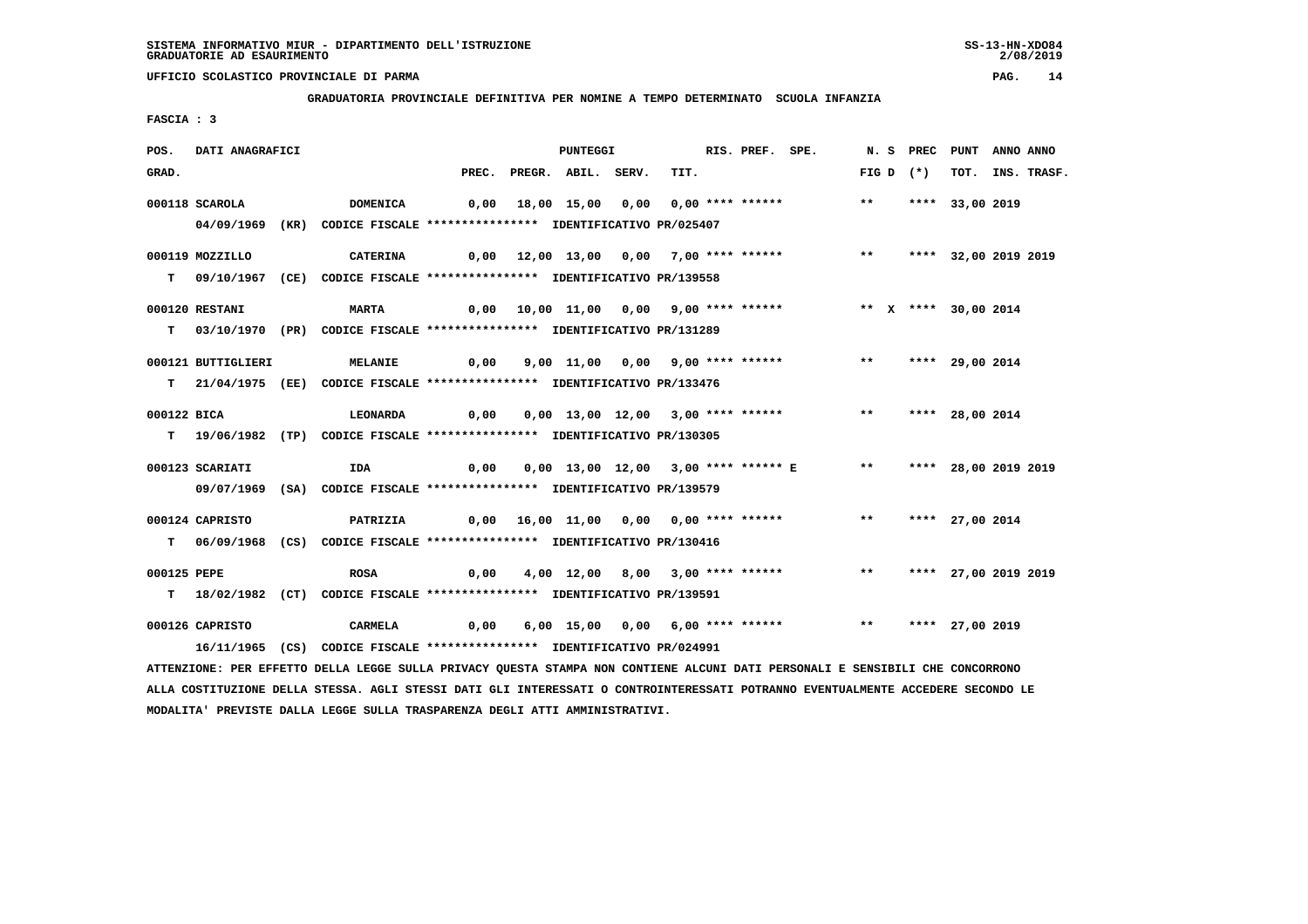**GRADUATORIA PROVINCIALE DEFINITIVA PER NOMINE A TEMPO DETERMINATO SCUOLA INFANZIA**

 **FASCIA : 3**

| POS.        | DATI ANAGRAFICI    |                                                                                                                               |      | PUNTEGGI                 |                                                                 | RIS. PREF. SPE. |                    | N. S PREC PUNT       | ANNO ANNO |                  |
|-------------|--------------------|-------------------------------------------------------------------------------------------------------------------------------|------|--------------------------|-----------------------------------------------------------------|-----------------|--------------------|----------------------|-----------|------------------|
| GRAD.       |                    |                                                                                                                               |      | PREC. PREGR. ABIL. SERV. | TIT.                                                            |                 | FIG D $(*)$        |                      |           | TOT. INS. TRASF. |
|             | 000118 SCAROLA     | DOMENICA                                                                                                                      |      |                          | 0,00 18,00 15,00 0,00 0,00 **** ******                          |                 | $***$              | **** 33,00 2019      |           |                  |
|             |                    |                                                                                                                               |      |                          |                                                                 |                 |                    |                      |           |                  |
|             |                    | 04/09/1969 (KR) CODICE FISCALE *************** IDENTIFICATIVO PR/025407                                                       |      |                          |                                                                 |                 |                    |                      |           |                  |
|             | 000119 MOZZILLO    | <b>CATERINA</b>                                                                                                               |      |                          | 0,00 12,00 13,00 0,00 7,00 **** ******                          |                 | $\star \star$      | **** 32,00 2019 2019 |           |                  |
|             |                    | T 09/10/1967 (CE) CODICE FISCALE **************** IDENTIFICATIVO PR/139558                                                    |      |                          |                                                                 |                 |                    |                      |           |                  |
|             |                    |                                                                                                                               |      |                          |                                                                 |                 |                    |                      |           |                  |
|             | 000120 RESTANI     | <b>MARTA</b>                                                                                                                  |      |                          | 0,00 10,00 11,00 0,00 9,00 **** ****** *** ** ** *** 30,00 2014 |                 |                    |                      |           |                  |
|             |                    | T 03/10/1970 (PR) CODICE FISCALE *************** IDENTIFICATIVO PR/131289                                                     |      |                          |                                                                 |                 |                    |                      |           |                  |
|             |                    |                                                                                                                               |      |                          |                                                                 |                 |                    |                      |           |                  |
|             | 000121 BUTTIGLIERI | <b>MELANIE</b>                                                                                                                |      |                          | 0,00 9,00 11,00 0,00 9,00 **** ****** *** *** **** 29,00 2014   |                 |                    |                      |           |                  |
|             |                    | T 21/04/1975 (EE) CODICE FISCALE *************** IDENTIFICATIVO PR/133476                                                     |      |                          |                                                                 |                 |                    |                      |           |                  |
| 000122 BICA |                    | <b>LEONARDA</b>                                                                                                               | 0,00 |                          | 0,00 13,00 12,00 3,00 **** ****** *** **                        |                 |                    | **** 28,00 2014      |           |                  |
|             |                    | T 19/06/1982 (TP) CODICE FISCALE *************** IDENTIFICATIVO PR/130305                                                     |      |                          |                                                                 |                 |                    |                      |           |                  |
|             |                    |                                                                                                                               |      |                          |                                                                 |                 |                    |                      |           |                  |
|             | 000123 SCARIATI    | IDA                                                                                                                           | 0,00 |                          | 0,00 13,00 12,00 3,00 **** ****** E ** **** 28,00 2019 2019     |                 |                    |                      |           |                  |
|             |                    | 09/07/1969 (SA) CODICE FISCALE *************** IDENTIFICATIVO PR/139579                                                       |      |                          |                                                                 |                 |                    |                      |           |                  |
|             |                    |                                                                                                                               |      |                          |                                                                 |                 |                    |                      |           |                  |
|             | 000124 CAPRISTO    | PATRIZIA                                                                                                                      |      |                          |                                                                 |                 | ** **** 27,00 2014 |                      |           |                  |
|             |                    | T 06/09/1968 (CS) CODICE FISCALE *************** IDENTIFICATIVO PR/130416                                                     |      |                          |                                                                 |                 |                    |                      |           |                  |
| 000125 PEPE |                    | <b>ROSA</b>                                                                                                                   | 0,00 |                          | 4,00 12,00 8,00 3,00 **** ******                                |                 | $***$              | **** 27,00 2019 2019 |           |                  |
|             |                    | T 18/02/1982 (CT) CODICE FISCALE **************** IDENTIFICATIVO PR/139591                                                    |      |                          |                                                                 |                 |                    |                      |           |                  |
|             |                    |                                                                                                                               |      |                          |                                                                 |                 |                    |                      |           |                  |
|             | 000126 CAPRISTO    | CARMELA                                                                                                                       | 0,00 |                          | 6,00 15,00 0,00 6,00 **** ******                                |                 | $***$              | **** 27,00 2019      |           |                  |
|             |                    | 16/11/1965 (CS) CODICE FISCALE **************** IDENTIFICATIVO PR/024991                                                      |      |                          |                                                                 |                 |                    |                      |           |                  |
|             |                    | ATTENZIONE: PER EFFETTO DELLA LEGGE SULLA PRIVACY QUESTA STAMPA NON CONTIENE ALCUNI DATI PERSONALI E SENSIBILI CHE CONCORRONO |      |                          |                                                                 |                 |                    |                      |           |                  |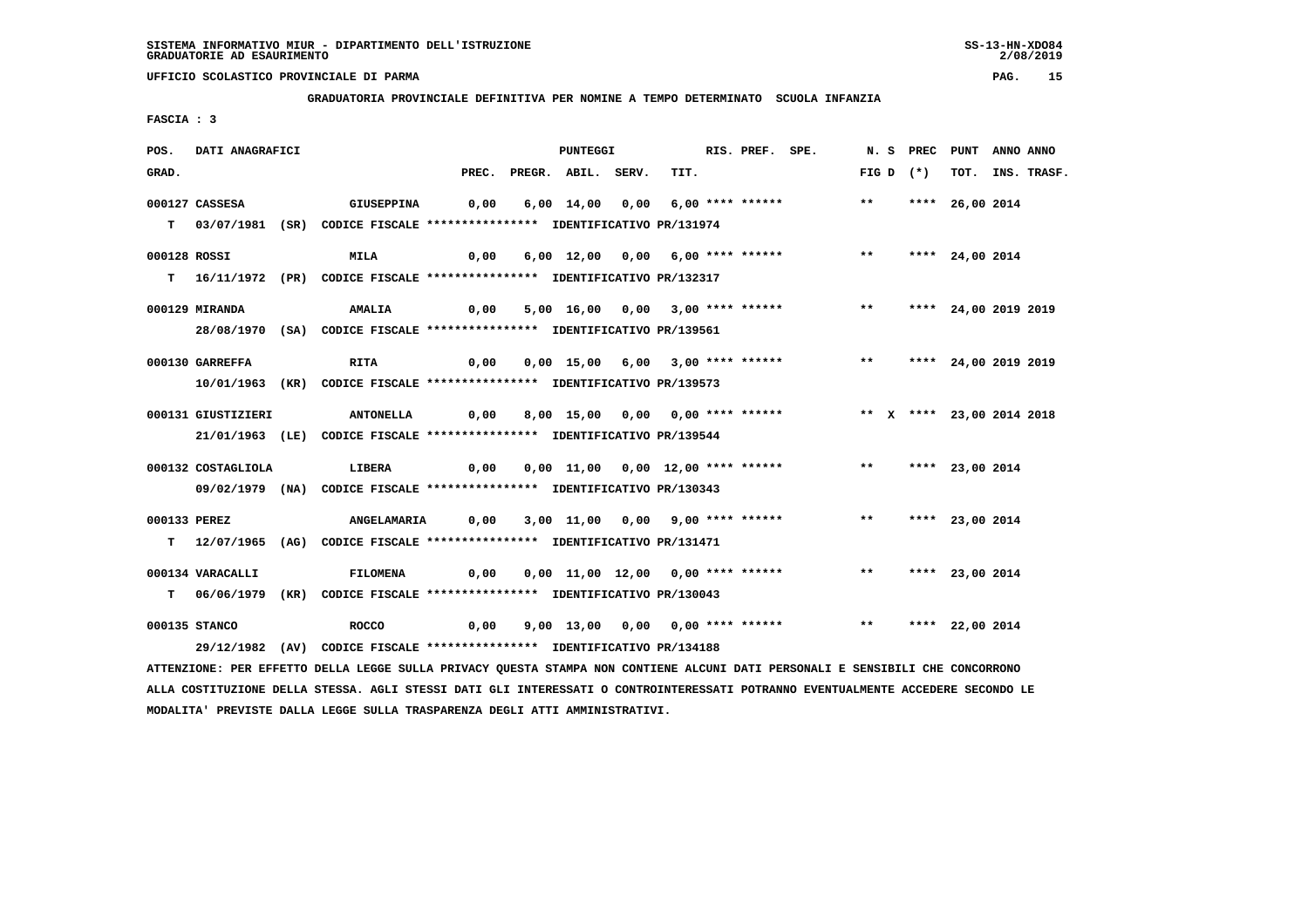**GRADUATORIA PROVINCIALE DEFINITIVA PER NOMINE A TEMPO DETERMINATO SCUOLA INFANZIA**

 **FASCIA : 3**

| POS.         | <b>DATI ANAGRAFICI</b> |                                                                                                                               |                                                    | <b>PUNTEGGI</b>          |      | RIS. PREF. SPE. |                                                                | N. S PREC PUNT ANNO ANNO |                 |                  |
|--------------|------------------------|-------------------------------------------------------------------------------------------------------------------------------|----------------------------------------------------|--------------------------|------|-----------------|----------------------------------------------------------------|--------------------------|-----------------|------------------|
| GRAD.        |                        |                                                                                                                               |                                                    | PREC. PREGR. ABIL. SERV. | TIT. |                 |                                                                | FIG D $(*)$              |                 | TOT. INS. TRASF. |
|              | 000127 CASSESA         | GIUSEPPINA                                                                                                                    |                                                    |                          |      |                 | 0,00 6,00 14,00 0,00 6,00 **** ****** *** **                   |                          | **** 26,00 2014 |                  |
|              |                        |                                                                                                                               |                                                    |                          |      |                 |                                                                |                          |                 |                  |
|              |                        | T 03/07/1981 (SR) CODICE FISCALE *************** IDENTIFICATIVO PR/131974                                                     |                                                    |                          |      |                 |                                                                |                          |                 |                  |
| 000128 ROSSI |                        | <b>MILA</b>                                                                                                                   |                                                    |                          |      |                 | 0,00 6,00 12,00 0,00 6,00 **** ****** *** **                   |                          | **** 24,00 2014 |                  |
|              |                        | T 16/11/1972 (PR) CODICE FISCALE **************** IDENTIFICATIVO PR/132317                                                    |                                                    |                          |      |                 |                                                                |                          |                 |                  |
|              |                        |                                                                                                                               |                                                    |                          |      |                 |                                                                |                          |                 |                  |
|              | 000129 MIRANDA         | <b>AMALIA</b>                                                                                                                 | 0,00                                               |                          |      |                 | 5,00 16,00 0,00 3,00 **** ****** *** *** **** 24,00 2019 2019  |                          |                 |                  |
|              |                        | 28/08/1970 (SA) CODICE FISCALE *************** IDENTIFICATIVO PR/139561                                                       |                                                    |                          |      |                 |                                                                |                          |                 |                  |
|              |                        |                                                                                                                               |                                                    |                          |      |                 |                                                                |                          |                 |                  |
|              | 000130 GARREFFA        | RITA                                                                                                                          | 0,00                                               |                          |      |                 | 0,00 15,00 6,00 3,00 **** ****** *** *** **** 24,00 2019 2019  |                          |                 |                  |
|              |                        | 10/01/1963 (KR) CODICE FISCALE *************** IDENTIFICATIVO PR/139573                                                       |                                                    |                          |      |                 |                                                                |                          |                 |                  |
|              | 000131 GIUSTIZIERI     | ANTONELLA     0,00     8,00    15,00    0,00    0,00    ****    *****    **    **    x    ****    23,00    2014    2018       |                                                    |                          |      |                 |                                                                |                          |                 |                  |
|              |                        |                                                                                                                               |                                                    |                          |      |                 |                                                                |                          |                 |                  |
|              |                        | 21/01/1963 (LE) CODICE FISCALE *************** IDENTIFICATIVO PR/139544                                                       |                                                    |                          |      |                 |                                                                |                          |                 |                  |
|              | 000132 COSTAGLIOLA     | <b>LIBERA</b>                                                                                                                 |                                                    |                          |      |                 | 0,00 0,00 11,00 0,00 12,00 **** ****** *** *** **** 23,00 2014 |                          |                 |                  |
|              |                        | 09/02/1979 (NA) CODICE FISCALE *************** IDENTIFICATIVO PR/130343                                                       |                                                    |                          |      |                 |                                                                |                          |                 |                  |
|              |                        |                                                                                                                               |                                                    |                          |      |                 |                                                                |                          |                 |                  |
| 000133 PEREZ |                        | <b>ANGELAMARIA</b>                                                                                                            | 0,00 3,00 11,00 0,00 9,00 **** ******           ** |                          |      |                 |                                                                |                          | **** 23,00 2014 |                  |
|              |                        | T 12/07/1965 (AG) CODICE FISCALE **************** IDENTIFICATIVO PR/131471                                                    |                                                    |                          |      |                 |                                                                |                          |                 |                  |
|              |                        |                                                                                                                               |                                                    |                          |      |                 |                                                                |                          |                 |                  |
|              | 000134 VARACALLI       | FILOMENA                                                                                                                      |                                                    |                          |      |                 | 0,00 0,00 11,00 12,00 0,00 **** ****** *** *** **** 23,00 2014 |                          |                 |                  |
|              |                        | T 06/06/1979 (KR) CODICE FISCALE **************** IDENTIFICATIVO PR/130043                                                    |                                                    |                          |      |                 |                                                                |                          |                 |                  |
|              | 000135 STANCO          | ROCCO 6,00 9,00 13,00 0,00 0,00 **** ****** *** *** **** 22,00 2014                                                           |                                                    |                          |      |                 |                                                                |                          |                 |                  |
|              |                        |                                                                                                                               |                                                    |                          |      |                 |                                                                |                          |                 |                  |
|              |                        | 29/12/1982 (AV) CODICE FISCALE *************** IDENTIFICATIVO PR/134188                                                       |                                                    |                          |      |                 |                                                                |                          |                 |                  |
|              |                        | ATTENZIONE: PER EFFETTO DELLA LEGGE SULLA PRIVACY QUESTA STAMPA NON CONTIENE ALCUNI DATI PERSONALI E SENSIBILI CHE CONCORRONO |                                                    |                          |      |                 |                                                                |                          |                 |                  |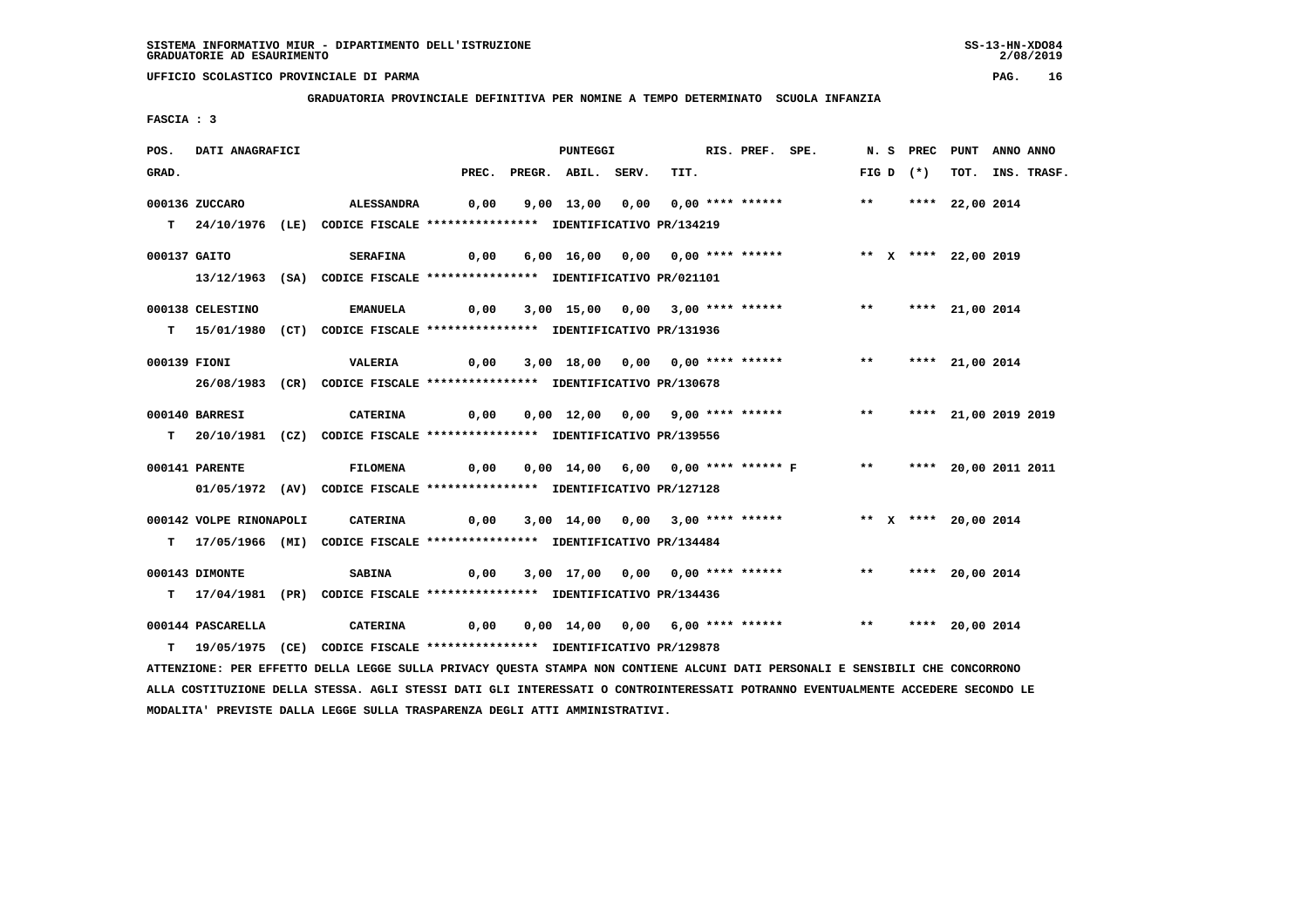**GRADUATORIA PROVINCIALE DEFINITIVA PER NOMINE A TEMPO DETERMINATO SCUOLA INFANZIA**

 **FASCIA : 3**

| POS.         | DATI ANAGRAFICI         |                                                                                                                               |                                                                                             | <b>PUNTEGGI</b>          |                                                                            | RIS. PREF. SPE. |                    |  | N. S PREC PUNT ANNO ANNO |                  |
|--------------|-------------------------|-------------------------------------------------------------------------------------------------------------------------------|---------------------------------------------------------------------------------------------|--------------------------|----------------------------------------------------------------------------|-----------------|--------------------|--|--------------------------|------------------|
| GRAD.        |                         |                                                                                                                               |                                                                                             | PREC. PREGR. ABIL. SERV. | TIT.                                                                       |                 | FIG D $(*)$        |  |                          | TOT. INS. TRASF. |
|              | 000136 ZUCCARO          | <b>ALESSANDRA</b>                                                                                                             |                                                                                             |                          | 0,00 9,00 13,00 0,00 0,00 **** ******               **     **** 22,00 2014 |                 |                    |  |                          |                  |
|              |                         |                                                                                                                               |                                                                                             |                          |                                                                            |                 |                    |  |                          |                  |
|              |                         | T 24/10/1976 (LE) CODICE FISCALE **************** IDENTIFICATIVO PR/134219                                                    |                                                                                             |                          |                                                                            |                 |                    |  |                          |                  |
| 000137 GAITO |                         | <b>SERAFINA</b>                                                                                                               | 0,00                                                                                        |                          |                                                                            |                 |                    |  |                          |                  |
|              |                         | 13/12/1963 (SA) CODICE FISCALE *************** IDENTIFICATIVO PR/021101                                                       |                                                                                             |                          |                                                                            |                 |                    |  |                          |                  |
|              | 000138 CELESTINO        | <b>EMANUELA</b>                                                                                                               | 0,00                                                                                        |                          | 3,00 15,00 0,00 3,00 **** ****** *** *** **** 21,00 2014                   |                 |                    |  |                          |                  |
|              |                         |                                                                                                                               |                                                                                             |                          |                                                                            |                 |                    |  |                          |                  |
|              |                         | T 15/01/1980 (CT) CODICE FISCALE *************** IDENTIFICATIVO PR/131936                                                     |                                                                                             |                          |                                                                            |                 |                    |  |                          |                  |
| 000139 FIONI |                         | <b>VALERIA</b>                                                                                                                |                                                                                             |                          | 0,00 3,00 18,00 0,00 0,00 **** ******                                      |                 | ** **** 21,00 2014 |  |                          |                  |
|              |                         | 26/08/1983 (CR) CODICE FISCALE *************** IDENTIFICATIVO PR/130678                                                       |                                                                                             |                          |                                                                            |                 |                    |  |                          |                  |
|              |                         |                                                                                                                               |                                                                                             |                          |                                                                            |                 |                    |  |                          |                  |
|              | 000140 BARRESI          | <b>CATERINA</b>                                                                                                               | 0,00  0,00  12,00  0,00  9,00  ****  ******    **        ***    ****    21,00  2019    2019 |                          |                                                                            |                 |                    |  |                          |                  |
|              |                         | T 20/10/1981 (CZ) CODICE FISCALE *************** IDENTIFICATIVO PR/139556                                                     |                                                                                             |                          |                                                                            |                 |                    |  |                          |                  |
|              |                         |                                                                                                                               |                                                                                             |                          |                                                                            |                 |                    |  |                          |                  |
|              | 000141 PARENTE          | <b>FILOMENA</b>                                                                                                               | 0,00                                                                                        |                          | 0,00 14,00 6,00 0,00 **** ****** F ** ***** 20,00 2011 2011                |                 |                    |  |                          |                  |
|              |                         | 01/05/1972 (AV) CODICE FISCALE *************** IDENTIFICATIVO PR/127128                                                       |                                                                                             |                          |                                                                            |                 |                    |  |                          |                  |
|              |                         |                                                                                                                               |                                                                                             |                          |                                                                            |                 |                    |  |                          |                  |
|              | 000142 VOLPE RINONAPOLI | CATERINA                                                                                                                      |                                                                                             |                          | 0,00 3,00 14,00 0,00 3,00 **** ****** * *** * **** 20,00 2014              |                 |                    |  |                          |                  |
|              |                         | T 17/05/1966 (MI) CODICE FISCALE *************** IDENTIFICATIVO PR/134484                                                     |                                                                                             |                          |                                                                            |                 |                    |  |                          |                  |
|              |                         |                                                                                                                               |                                                                                             |                          |                                                                            |                 |                    |  |                          |                  |
|              | 000143 DIMONTE          | <b>SABINA</b>                                                                                                                 |                                                                                             |                          | 0,00 3,00 17,00 0,00 0,00 **** ******             **     **** 20,00 2014   |                 |                    |  |                          |                  |
|              |                         | T 17/04/1981 (PR) CODICE FISCALE *************** IDENTIFICATIVO PR/134436                                                     |                                                                                             |                          |                                                                            |                 |                    |  |                          |                  |
|              | 000144 PASCARELLA       | <b>CATERINA</b>                                                                                                               |                                                                                             |                          |                                                                            |                 |                    |  |                          |                  |
|              |                         | T 19/05/1975 (CE) CODICE FISCALE *************** IDENTIFICATIVO PR/129878                                                     |                                                                                             |                          |                                                                            |                 |                    |  |                          |                  |
|              |                         | ATTENZIONE: PER EFFETTO DELLA LEGGE SULLA PRIVACY QUESTA STAMPA NON CONTIENE ALCUNI DATI PERSONALI E SENSIBILI CHE CONCORRONO |                                                                                             |                          |                                                                            |                 |                    |  |                          |                  |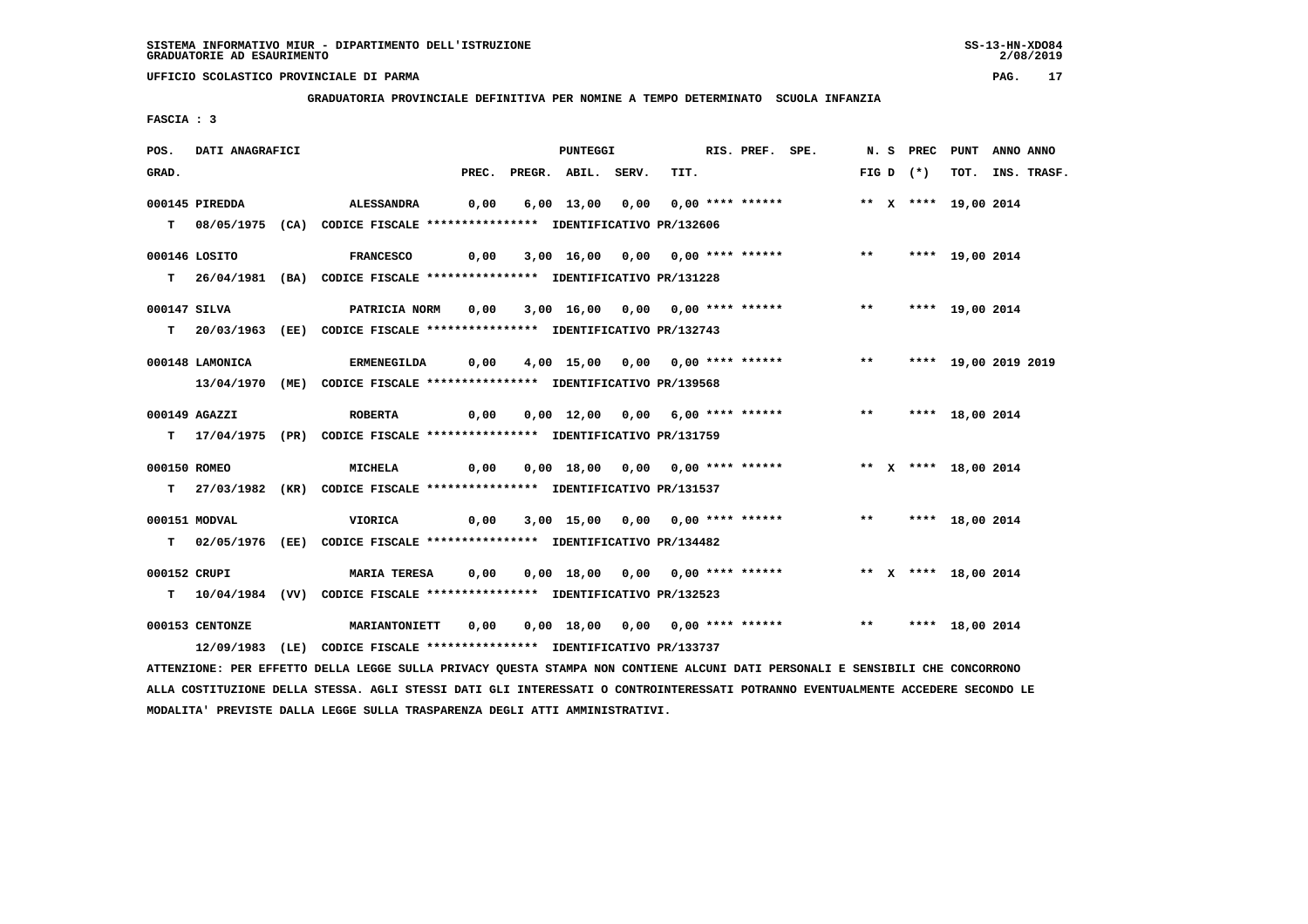**GRADUATORIA PROVINCIALE DEFINITIVA PER NOMINE A TEMPO DETERMINATO SCUOLA INFANZIA**

 **FASCIA : 3**

| POS.         | DATI ANAGRAFICI |                                                                                                                               | PUNTEGGI<br>PREC. PREGR. ABIL. SERV. |  |  |  |                                       |  |      | RIS. PREF. SPE.                                                |  |             | N. S PREC PUNT ANNO ANNO |  |
|--------------|-----------------|-------------------------------------------------------------------------------------------------------------------------------|--------------------------------------|--|--|--|---------------------------------------|--|------|----------------------------------------------------------------|--|-------------|--------------------------|--|
| GRAD.        |                 |                                                                                                                               |                                      |  |  |  |                                       |  | TIT. |                                                                |  | $FIG D (*)$ | TOT. INS. TRASF.         |  |
|              | 000145 PIREDDA  | <b>ALESSANDRA</b>                                                                                                             |                                      |  |  |  | 0,00 6,00 13,00 0,00 0,00 **** ****** |  |      |                                                                |  |             | ** X **** 19,00 2014     |  |
|              |                 | T 08/05/1975 (CA) CODICE FISCALE **************** IDENTIFICATIVO PR/132606                                                    |                                      |  |  |  |                                       |  |      |                                                                |  |             |                          |  |
|              |                 |                                                                                                                               |                                      |  |  |  |                                       |  |      |                                                                |  |             |                          |  |
|              | 000146 LOSITO   | FRANCESCO      0,00   3,00  16,00  0,00  0,00 **** ******      **   ****  19,00 2014                                          |                                      |  |  |  |                                       |  |      |                                                                |  |             |                          |  |
|              |                 | T 26/04/1981 (BA) CODICE FISCALE **************** IDENTIFICATIVO PR/131228                                                    |                                      |  |  |  |                                       |  |      |                                                                |  |             |                          |  |
| 000147 SILVA |                 | PATRICIA NORM 0,00 3,00 16,00 0,00 **** ******* **** **** 19,00 2014                                                          |                                      |  |  |  |                                       |  |      |                                                                |  |             |                          |  |
|              |                 | T 20/03/1963 (EE) CODICE FISCALE *************** IDENTIFICATIVO PR/132743                                                     |                                      |  |  |  |                                       |  |      |                                                                |  |             |                          |  |
|              |                 |                                                                                                                               |                                      |  |  |  |                                       |  |      |                                                                |  |             |                          |  |
|              | 000148 LAMONICA | <b>ERMENEGILDA</b>                                                                                                            |                                      |  |  |  |                                       |  |      | 0,00 4,00 15,00 0,00 0,00 **** ****** *** **** 19,00 2019 2019 |  |             |                          |  |
|              |                 | 13/04/1970 (ME) CODICE FISCALE *************** IDENTIFICATIVO PR/139568                                                       |                                      |  |  |  |                                       |  |      |                                                                |  |             |                          |  |
|              | 000149 AGAZZI   | <b>ROBERTA</b>                                                                                                                |                                      |  |  |  |                                       |  |      | 0,00 0,00 12,00 0,00 6,00 **** ****** *** *** **** 18,00 2014  |  |             |                          |  |
|              |                 | T 17/04/1975 (PR) CODICE FISCALE *************** IDENTIFICATIVO PR/131759                                                     |                                      |  |  |  |                                       |  |      |                                                                |  |             |                          |  |
|              |                 |                                                                                                                               |                                      |  |  |  |                                       |  |      |                                                                |  |             |                          |  |
| 000150 ROMEO |                 | <b>MICHELA</b>                                                                                                                |                                      |  |  |  |                                       |  |      |                                                                |  |             |                          |  |
|              |                 | T 27/03/1982 (KR) CODICE FISCALE *************** IDENTIFICATIVO PR/131537                                                     |                                      |  |  |  |                                       |  |      |                                                                |  |             |                          |  |
|              |                 |                                                                                                                               |                                      |  |  |  |                                       |  |      |                                                                |  |             |                          |  |
|              | 000151 MODVAL   | VIORICA                                                                                                                       |                                      |  |  |  |                                       |  |      | 0,00 3,00 15,00 0,00 0,00 **** ****** *** *** **** 18,00 2014  |  |             |                          |  |
|              |                 | T 02/05/1976 (EE) CODICE FISCALE *************** IDENTIFICATIVO PR/134482                                                     |                                      |  |  |  |                                       |  |      |                                                                |  |             |                          |  |
| 000152 CRUPI |                 | MARIA TERESA 0,00 0,00 18,00 0,00 0,00 **** ****** *** ** ** **** 18,00 2014                                                  |                                      |  |  |  |                                       |  |      |                                                                |  |             |                          |  |
|              |                 | T 10/04/1984 (VV) CODICE FISCALE **************** IDENTIFICATIVO PR/132523                                                    |                                      |  |  |  |                                       |  |      |                                                                |  |             |                          |  |
|              | 000153 CENTONZE |                                                                                                                               |                                      |  |  |  |                                       |  |      |                                                                |  |             |                          |  |
|              |                 | 12/09/1983 (LE) CODICE FISCALE *************** IDENTIFICATIVO PR/133737                                                       |                                      |  |  |  |                                       |  |      |                                                                |  |             |                          |  |
|              |                 | ATTENZIONE: PER EFFETTO DELLA LEGGE SULLA PRIVACY QUESTA STAMPA NON CONTIENE ALCUNI DATI PERSONALI E SENSIBILI CHE CONCORRONO |                                      |  |  |  |                                       |  |      |                                                                |  |             |                          |  |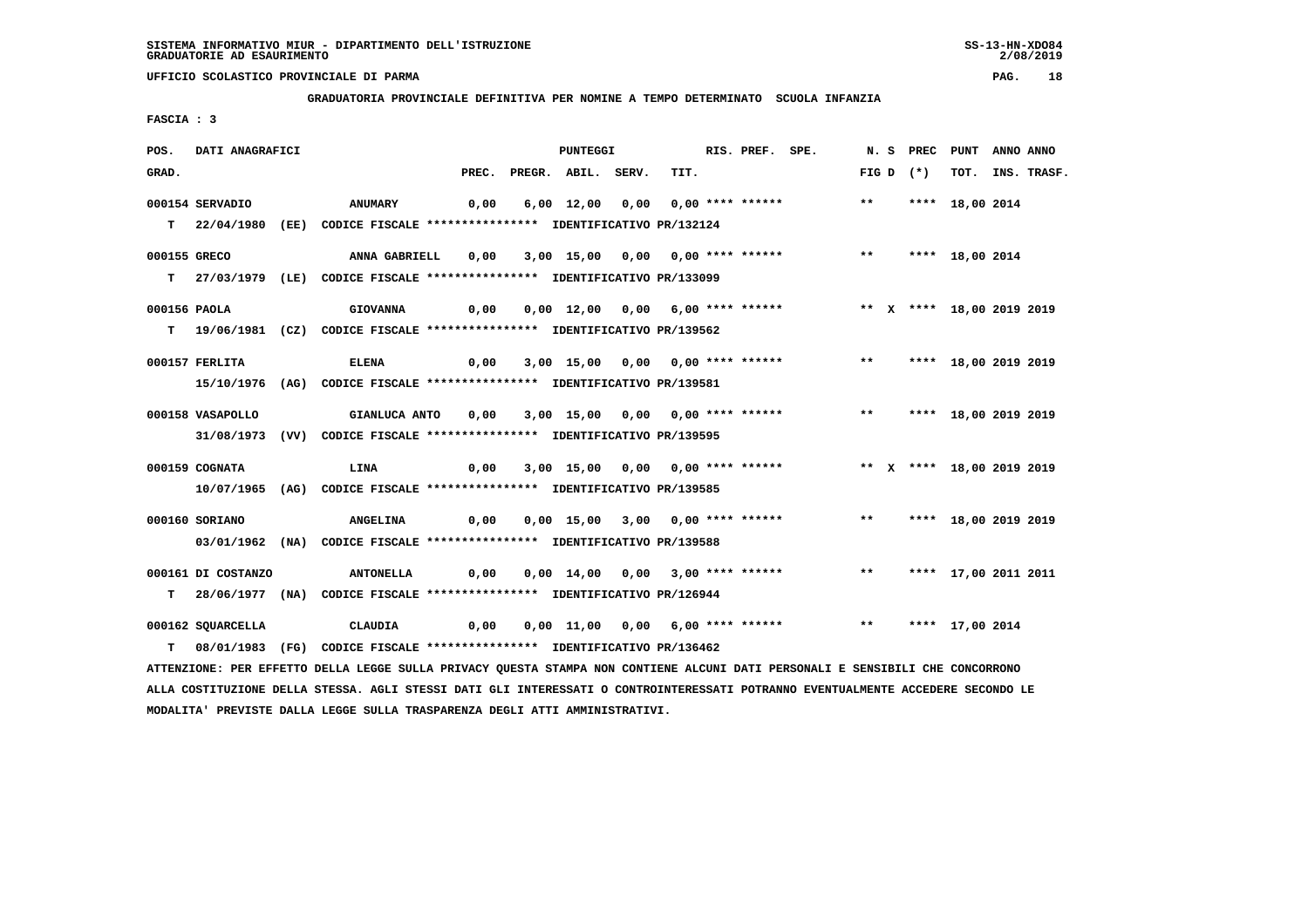**GRADUATORIA PROVINCIALE DEFINITIVA PER NOMINE A TEMPO DETERMINATO SCUOLA INFANZIA**

 **FASCIA : 3**

| POS.         | DATI ANAGRAFICI    |                                                                                                                               |       | PUNTEGGI           |                                                                        | RIS. PREF. SPE. |       |       |             | N. S PREC PUNT ANNO ANNO |                  |
|--------------|--------------------|-------------------------------------------------------------------------------------------------------------------------------|-------|--------------------|------------------------------------------------------------------------|-----------------|-------|-------|-------------|--------------------------|------------------|
| GRAD.        |                    |                                                                                                                               | PREC. | PREGR. ABIL. SERV. | TIT.                                                                   |                 |       |       | FIG D $(*)$ |                          | TOT. INS. TRASF. |
|              | 000154 SERVADIO    | <b>ANUMARY</b>                                                                                                                | 0,00  |                    | 6,00 12,00 0,00 0,00 **** ******                                       |                 | $***$ |       |             | **** 18,00 2014          |                  |
|              |                    | T 22/04/1980 (EE) CODICE FISCALE **************** IDENTIFICATIVO PR/132124                                                    |       |                    |                                                                        |                 |       |       |             |                          |                  |
| 000155 GRECO |                    | ANNA GABRIELL                                                                                                                 | 0,00  |                    | 3,00 15,00 0,00 0,00 **** ******                                       |                 |       | $***$ |             | **** 18,00 2014          |                  |
|              |                    | T 27/03/1979 (LE) CODICE FISCALE *************** IDENTIFICATIVO PR/133099                                                     |       |                    |                                                                        |                 |       |       |             |                          |                  |
| 000156 PAOLA |                    | <b>GIOVANNA</b>                                                                                                               | 0,00  |                    | 0,00 12,00 0,00 6,00 **** ******             ** x **** 18,00 2019 2019 |                 |       |       |             |                          |                  |
|              |                    | T 19/06/1981 (CZ) CODICE FISCALE *************** IDENTIFICATIVO PR/139562                                                     |       |                    |                                                                        |                 |       |       |             |                          |                  |
|              |                    |                                                                                                                               |       |                    |                                                                        |                 |       |       |             |                          |                  |
|              | 000157 FERLITA     | <b>ELENA</b>                                                                                                                  | 0,00  |                    | 3,00 15,00 0,00 0,00 **** ******                                       |                 |       |       |             | ** **** 18,00 2019 2019  |                  |
|              |                    | 15/10/1976 (AG) CODICE FISCALE *************** IDENTIFICATIVO PR/139581                                                       |       |                    |                                                                        |                 |       |       |             |                          |                  |
|              | 000158 VASAPOLLO   | GIANLUCA ANTO                                                                                                                 | 0,00  |                    | 3,00 15,00 0,00 0,00 **** ******                                       |                 |       |       |             | ** **** 18,00 2019 2019  |                  |
|              |                    | 31/08/1973 (VV) CODICE FISCALE *************** IDENTIFICATIVO PR/139595                                                       |       |                    |                                                                        |                 |       |       |             |                          |                  |
|              |                    |                                                                                                                               |       |                    |                                                                        |                 |       |       |             |                          |                  |
|              | 000159 COGNATA     | LINA                                                                                                                          | 0,00  |                    | 3,00 15,00 0,00 0,00 **** ****** * *** X **** 18,00 2019 2019          |                 |       |       |             |                          |                  |
|              |                    | 10/07/1965 (AG) CODICE FISCALE *************** IDENTIFICATIVO PR/139585                                                       |       |                    |                                                                        |                 |       |       |             |                          |                  |
|              | 000160 SORIANO     | <b>ANGELINA</b>                                                                                                               | 0,00  |                    | 0,00 15,00 3,00 0,00 **** ******                                       |                 | $***$ |       |             | **** 18,00 2019 2019     |                  |
|              |                    | 03/01/1962 (NA) CODICE FISCALE *************** IDENTIFICATIVO PR/139588                                                       |       |                    |                                                                        |                 |       |       |             |                          |                  |
|              |                    |                                                                                                                               |       |                    |                                                                        |                 |       |       |             |                          |                  |
|              | 000161 DI COSTANZO | <b>ANTONELLA</b>                                                                                                              | 0,00  |                    | 0,00 14,00 0,00 3,00 **** ****** *** **                                |                 |       |       |             | **** 17,00 2011 2011     |                  |
|              |                    | T 28/06/1977 (NA) CODICE FISCALE *************** IDENTIFICATIVO PR/126944                                                     |       |                    |                                                                        |                 |       |       |             |                          |                  |
|              | 000162 SQUARCELLA  | CLAUDIA                                                                                                                       | 0,00  |                    | 0,00 11,00 0,00 6,00 **** ****** *** **                                |                 |       |       |             | **** 17,00 2014          |                  |
| T.           |                    | 08/01/1983 (FG) CODICE FISCALE *************** IDENTIFICATIVO PR/136462                                                       |       |                    |                                                                        |                 |       |       |             |                          |                  |
|              |                    | ATTENZIONE: PER EFFETTO DELLA LEGGE SULLA PRIVACY QUESTA STAMPA NON CONTIENE ALCUNI DATI PERSONALI E SENSIBILI CHE CONCORRONO |       |                    |                                                                        |                 |       |       |             |                          |                  |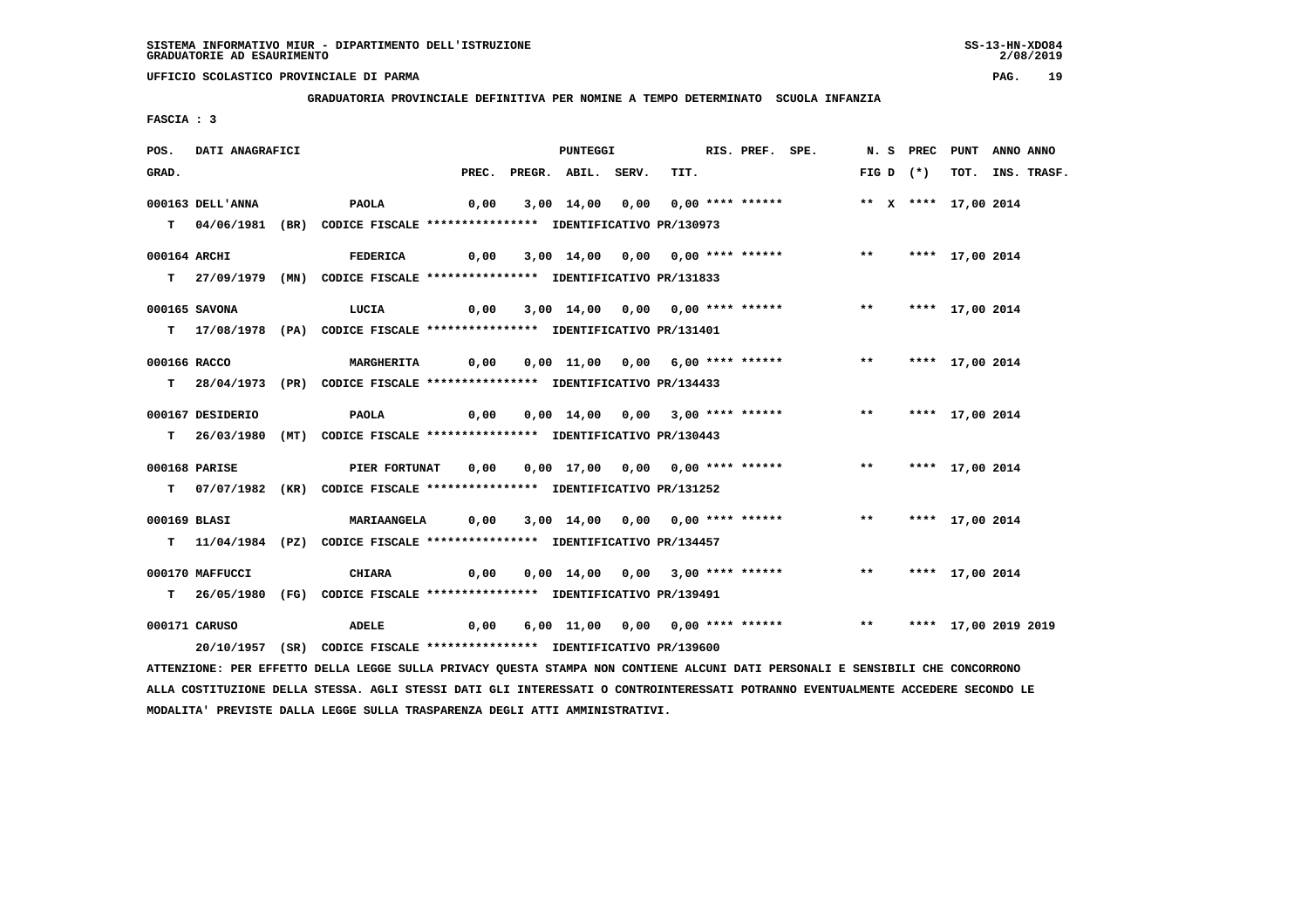**GRADUATORIA PROVINCIALE DEFINITIVA PER NOMINE A TEMPO DETERMINATO SCUOLA INFANZIA**

 **FASCIA : 3**

| POS.         | DATI ANAGRAFICI  |                                                                                                                                                                                                                                                                            |       | <b>PUNTEGGI</b>    |                                       | RIS. PREF. SPE. |                                                                             |  |             | N. S PREC PUNT ANNO ANNO |                  |
|--------------|------------------|----------------------------------------------------------------------------------------------------------------------------------------------------------------------------------------------------------------------------------------------------------------------------|-------|--------------------|---------------------------------------|-----------------|-----------------------------------------------------------------------------|--|-------------|--------------------------|------------------|
| GRAD.        |                  |                                                                                                                                                                                                                                                                            | PREC. | PREGR. ABIL. SERV. | TIT.                                  |                 |                                                                             |  | $FIG D (*)$ |                          | TOT. INS. TRASF. |
|              | 000163 DELL'ANNA | PAOLA                                                                                                                                                                                                                                                                      | 0,00  |                    |                                       |                 | 3,00 14,00 0,00 0,00 **** ****** **** ** ** **** 17,00 2014                 |  |             |                          |                  |
|              |                  |                                                                                                                                                                                                                                                                            |       |                    |                                       |                 |                                                                             |  |             |                          |                  |
|              |                  | T 04/06/1981 (BR) CODICE FISCALE *************** IDENTIFICATIVO PR/130973                                                                                                                                                                                                  |       |                    |                                       |                 |                                                                             |  |             |                          |                  |
| 000164 ARCHI |                  | <b>FEDERICA</b>                                                                                                                                                                                                                                                            | 0,00  |                    | 3,00 14,00 0,00 0,00 **** ******      |                 |                                                                             |  |             | ** **** 17,00 2014       |                  |
|              |                  | T 27/09/1979 (MN) CODICE FISCALE *************** IDENTIFICATIVO PR/131833                                                                                                                                                                                                  |       |                    |                                       |                 |                                                                             |  |             |                          |                  |
|              |                  |                                                                                                                                                                                                                                                                            |       |                    |                                       |                 |                                                                             |  |             |                          |                  |
|              | 000165 SAVONA    | LUCIA                                                                                                                                                                                                                                                                      |       |                    | 0,00 3,00 14,00 0,00 0,00 **** ****** |                 |                                                                             |  |             | ** **** 17,00 2014       |                  |
|              |                  | T 17/08/1978 (PA) CODICE FISCALE **************** IDENTIFICATIVO PR/131401                                                                                                                                                                                                 |       |                    |                                       |                 |                                                                             |  |             |                          |                  |
|              |                  |                                                                                                                                                                                                                                                                            |       |                    |                                       |                 |                                                                             |  |             |                          |                  |
| 000166 RACCO |                  | <b>MARGHERITA</b>                                                                                                                                                                                                                                                          | 0,00  |                    |                                       |                 | 0,00 11,00 0,00 6,00 **** ****** *** **                                     |  |             | **** 17,00 2014          |                  |
|              |                  | T 28/04/1973 (PR) CODICE FISCALE **************** IDENTIFICATIVO PR/134433                                                                                                                                                                                                 |       |                    |                                       |                 |                                                                             |  |             |                          |                  |
|              | 000167 DESIDERIO | PAOLA                                                                                                                                                                                                                                                                      | 0,00  |                    | 0,00 14,00 0,00 3,00 **** ******      |                 |                                                                             |  |             | ** **** 17,00 2014       |                  |
|              |                  | T 26/03/1980 (MT) CODICE FISCALE *************** IDENTIFICATIVO PR/130443                                                                                                                                                                                                  |       |                    |                                       |                 |                                                                             |  |             |                          |                  |
|              |                  |                                                                                                                                                                                                                                                                            |       |                    |                                       |                 |                                                                             |  |             |                          |                  |
|              | 000168 PARISE    | PIER FORTUNAT 0,00                                                                                                                                                                                                                                                         |       |                    |                                       |                 | 0,00 17,00 0,00 0,00 **** ****** *** *** **** 17,00 2014                    |  |             |                          |                  |
|              |                  | T 07/07/1982 (KR) CODICE FISCALE **************** IDENTIFICATIVO PR/131252                                                                                                                                                                                                 |       |                    |                                       |                 |                                                                             |  |             |                          |                  |
|              |                  |                                                                                                                                                                                                                                                                            |       |                    |                                       |                 |                                                                             |  |             |                          |                  |
| 000169 BLASI |                  | MARIAANGELA 0,00                                                                                                                                                                                                                                                           |       |                    |                                       |                 | 3,00 14,00 0,00 0,00 **** ****** *** **                                     |  |             | **** 17,00 2014          |                  |
|              |                  | T 11/04/1984 (PZ) CODICE FISCALE **************** IDENTIFICATIVO PR/134457                                                                                                                                                                                                 |       |                    |                                       |                 |                                                                             |  |             |                          |                  |
|              |                  |                                                                                                                                                                                                                                                                            |       |                    |                                       |                 |                                                                             |  |             |                          |                  |
|              |                  |                                                                                                                                                                                                                                                                            |       |                    |                                       |                 |                                                                             |  |             |                          |                  |
|              |                  | T 26/05/1980 (FG) CODICE FISCALE **************** IDENTIFICATIVO PR/139491                                                                                                                                                                                                 |       |                    |                                       |                 |                                                                             |  |             |                          |                  |
|              | 000171 CARUSO    | ADELE                                                                                                                                                                                                                                                                      |       |                    |                                       |                 | 0,00 6,00 11,00 0,00 0,00 **** ******           **     **** 17,00 2019 2019 |  |             |                          |                  |
|              |                  | 20/10/1957 (SR) CODICE FISCALE *************** IDENTIFICATIVO PR/139600                                                                                                                                                                                                    |       |                    |                                       |                 |                                                                             |  |             |                          |                  |
|              |                  |                                                                                                                                                                                                                                                                            |       |                    |                                       |                 |                                                                             |  |             |                          |                  |
|              |                  |                                                                                                                                                                                                                                                                            |       |                    |                                       |                 |                                                                             |  |             |                          |                  |
|              | 000170 MAFFUCCI  | CHIARA<br>ATTENZIONE: PER EFFETTO DELLA LEGGE SULLA PRIVACY QUESTA STAMPA NON CONTIENE ALCUNI DATI PERSONALI E SENSIBILI CHE CONCORRONO<br>ALLA COSTITUZIONE DELLA STESSA. AGLI STESSI DATI GLI INTERESSATI O CONTROINTERESSATI POTRANNO EVENTUALMENTE ACCEDERE SECONDO LE |       |                    |                                       |                 |                                                                             |  |             | ** **** 17,00 2014       |                  |

 **MODALITA' PREVISTE DALLA LEGGE SULLA TRASPARENZA DEGLI ATTI AMMINISTRATIVI.**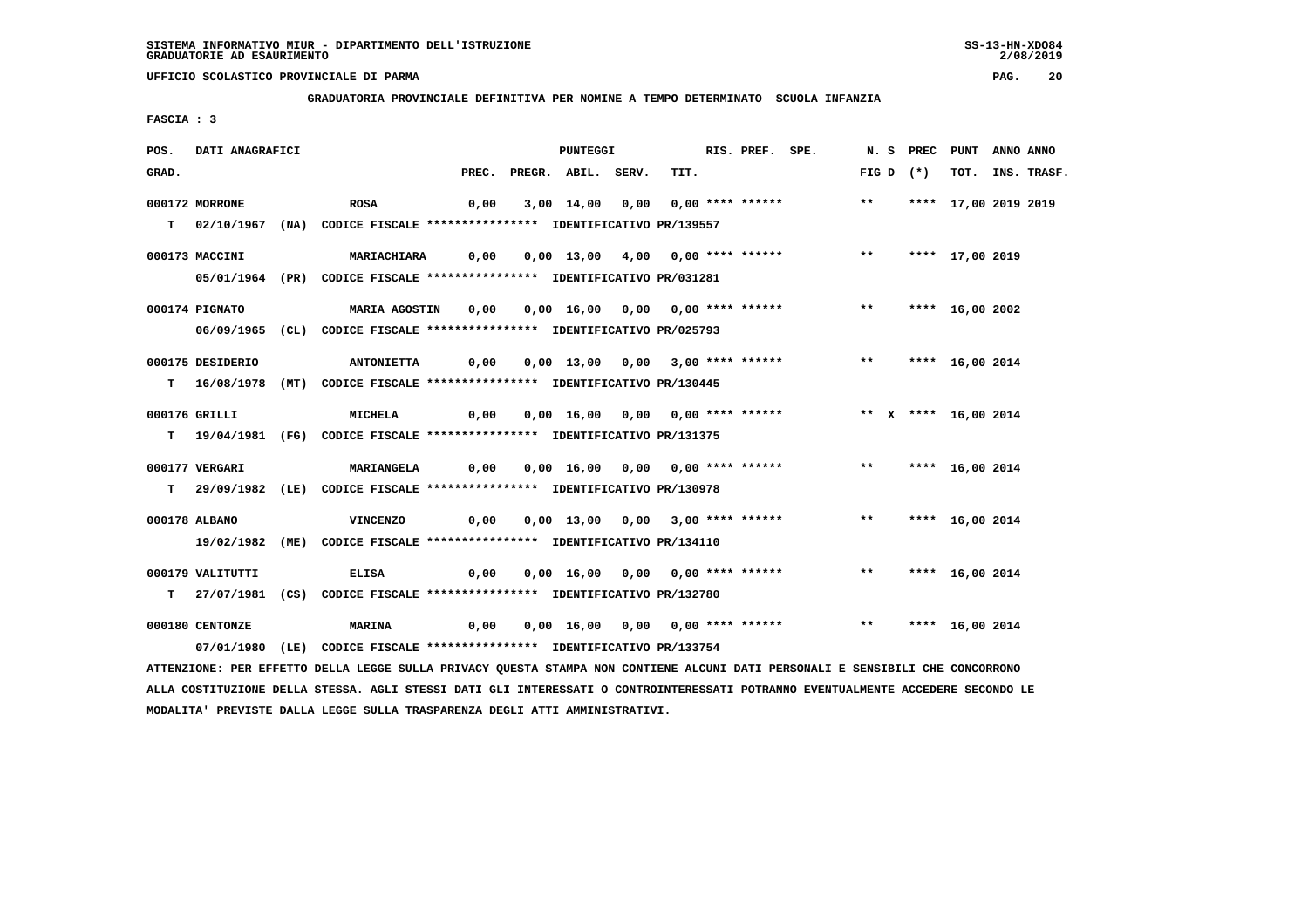**GRADUATORIA PROVINCIALE DEFINITIVA PER NOMINE A TEMPO DETERMINATO SCUOLA INFANZIA**

 **FASCIA : 3**

| POS.  | DATI ANAGRAFICI  |                                                                                                                               |      | <b>PUNTEGGI</b>          |                                  |      | RIS. PREF. SPE.                                                                      |                    |             | N. S PREC PUNT ANNO ANNO |                  |
|-------|------------------|-------------------------------------------------------------------------------------------------------------------------------|------|--------------------------|----------------------------------|------|--------------------------------------------------------------------------------------|--------------------|-------------|--------------------------|------------------|
| GRAD. |                  |                                                                                                                               |      | PREC. PREGR. ABIL. SERV. |                                  | TIT. |                                                                                      |                    | FIG D $(*)$ |                          | TOT. INS. TRASF. |
|       | 000172 MORRONE   | ROSA                                                                                                                          | 0,00 |                          |                                  |      | 3,00 14,00 0,00 0,00 **** ****** *** **                                              |                    |             | **** 17,00 2019 2019     |                  |
|       |                  | T 02/10/1967 (NA) CODICE FISCALE *************** IDENTIFICATIVO PR/139557                                                     |      |                          |                                  |      |                                                                                      |                    |             |                          |                  |
|       | 000173 MACCINI   | <b>MARIACHIARA</b>                                                                                                            |      |                          |                                  |      |                                                                                      |                    |             |                          |                  |
|       |                  | 05/01/1964 (PR) CODICE FISCALE *************** IDENTIFICATIVO PR/031281                                                       |      |                          |                                  |      |                                                                                      |                    |             |                          |                  |
|       | 000174 PIGNATO   | <b>MARIA AGOSTIN 0,00</b>                                                                                                     |      |                          |                                  |      | 0,00 16,00 0,00 0,00 **** ******             **                                      |                    |             | **** 16,00 2002          |                  |
|       |                  | 06/09/1965 (CL) CODICE FISCALE *************** IDENTIFICATIVO PR/025793                                                       |      |                          |                                  |      |                                                                                      |                    |             |                          |                  |
|       | 000175 DESIDERIO | <b>ANTONIETTA</b>                                                                                                             |      |                          |                                  |      | 0,00  0,00  13,00  0,00  3,00  ****  ******                **    ****    16,00  2014 |                    |             |                          |                  |
|       |                  | T 16/08/1978 (MT) CODICE FISCALE *************** IDENTIFICATIVO PR/130445                                                     |      |                          |                                  |      |                                                                                      |                    |             |                          |                  |
|       | 000176 GRILLI    | MICHELA                                                                                                                       |      |                          |                                  |      |                                                                                      |                    |             |                          |                  |
|       |                  | T 19/04/1981 (FG) CODICE FISCALE *************** IDENTIFICATIVO PR/131375                                                     |      |                          |                                  |      |                                                                                      |                    |             |                          |                  |
|       |                  |                                                                                                                               |      |                          |                                  |      |                                                                                      |                    |             |                          |                  |
|       | 000177 VERGARI   | <b>MARIANGELA</b>                                                                                                             |      |                          |                                  |      |                                                                                      |                    |             |                          |                  |
|       |                  | T 29/09/1982 (LE) CODICE FISCALE *************** IDENTIFICATIVO PR/130978                                                     |      |                          |                                  |      |                                                                                      |                    |             |                          |                  |
|       | 000178 ALBANO    | <b>VINCENZO</b>                                                                                                               | 0,00 |                          |                                  |      | 0,00 13,00 0,00 3,00 **** ****** *** *** **** 16,00 2014                             |                    |             |                          |                  |
|       |                  | 19/02/1982 (ME) CODICE FISCALE *************** IDENTIFICATIVO PR/134110                                                       |      |                          |                                  |      |                                                                                      |                    |             |                          |                  |
|       | 000179 VALITUTTI | <b>ELISA</b>                                                                                                                  | 0,00 |                          | 0,00 16,00 0,00 0,00 **** ****** |      |                                                                                      | ** **** 16,00 2014 |             |                          |                  |
|       |                  | T 27/07/1981 (CS) CODICE FISCALE **************** IDENTIFICATIVO PR/132780                                                    |      |                          |                                  |      |                                                                                      |                    |             |                          |                  |
|       | 000180 CENTONZE  | <b>MARINA</b><br>0,00                                                                                                         |      |                          |                                  |      | 0,00 16,00 0,00 0,00 **** ****** *** *** **** 16,00 2014                             |                    |             |                          |                  |
|       |                  | 07/01/1980 (LE) CODICE FISCALE *************** IDENTIFICATIVO PR/133754                                                       |      |                          |                                  |      |                                                                                      |                    |             |                          |                  |
|       |                  | ATTENZIONE: PER EFFETTO DELLA LEGGE SULLA PRIVACY QUESTA STAMPA NON CONTIENE ALCUNI DATI PERSONALI E SENSIBILI CHE CONCORRONO |      |                          |                                  |      |                                                                                      |                    |             |                          |                  |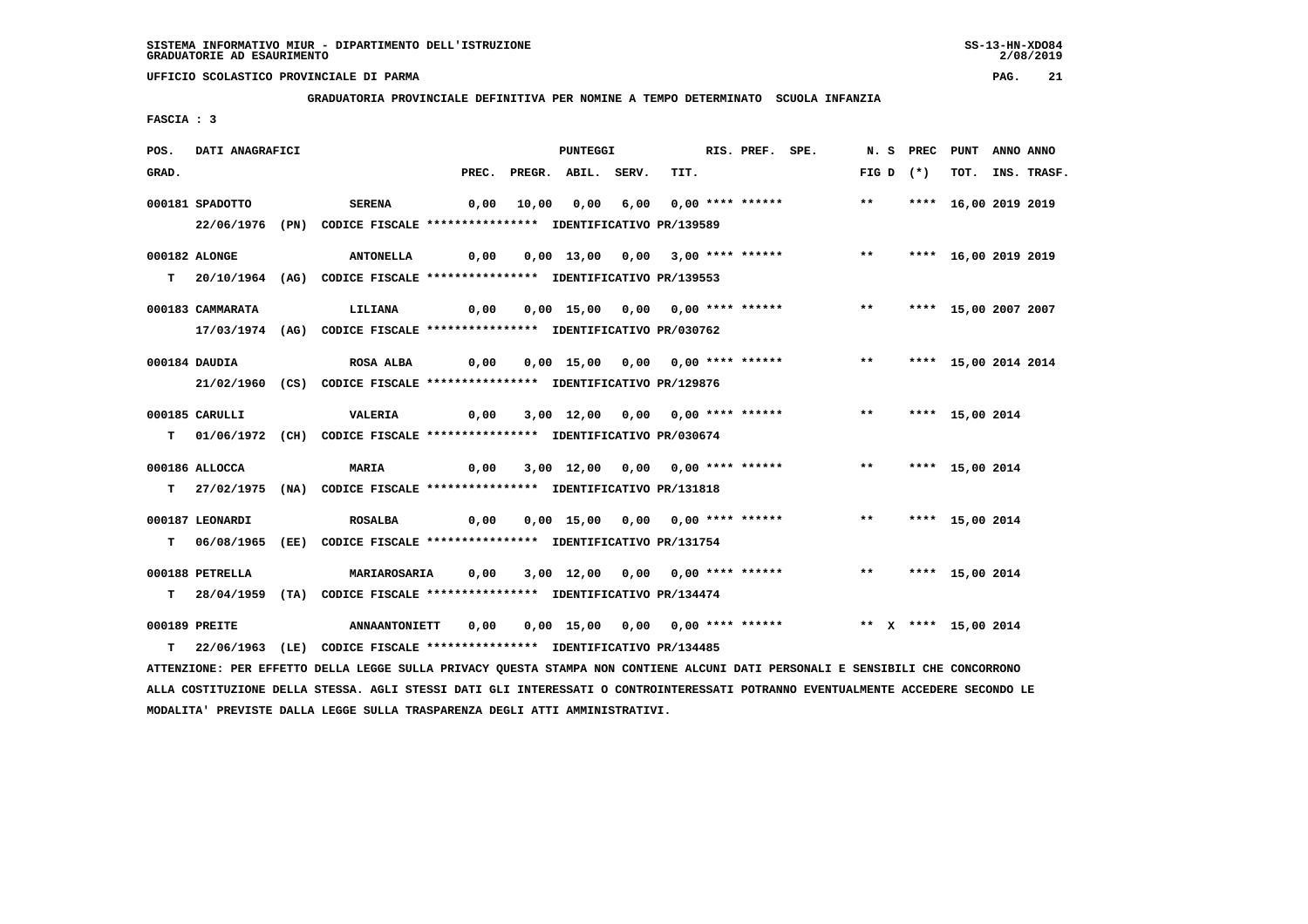**GRADUATORIA PROVINCIALE DEFINITIVA PER NOMINE A TEMPO DETERMINATO SCUOLA INFANZIA**

 **FASCIA : 3**

| POS.  | <b>DATI ANAGRAFICI</b> |                                                                                                                               |      |                          | <b>PUNTEGGI</b> |                                                               | RIS. PREF. SPE. |             | N. S PREC PUNT ANNO ANNO |                  |
|-------|------------------------|-------------------------------------------------------------------------------------------------------------------------------|------|--------------------------|-----------------|---------------------------------------------------------------|-----------------|-------------|--------------------------|------------------|
| GRAD. |                        |                                                                                                                               |      | PREC. PREGR. ABIL. SERV. |                 | TIT.                                                          |                 | FIG D $(*)$ |                          | TOT. INS. TRASF. |
|       | 000181 SPADOTTO        | <b>SERENA</b>                                                                                                                 |      |                          |                 | 0,00 10,00 0,00 6,00 0,00 **** ****** *** **                  |                 |             | **** 16,00 2019 2019     |                  |
|       |                        |                                                                                                                               |      |                          |                 |                                                               |                 |             |                          |                  |
|       |                        | 22/06/1976 (PN) CODICE FISCALE *************** IDENTIFICATIVO PR/139589                                                       |      |                          |                 |                                                               |                 |             |                          |                  |
|       | 000182 ALONGE          | ANTONELLA 0,00 0,00 13,00 0,00 3,00 **** ****** *** **** 16,00 2019 2019                                                      |      |                          |                 |                                                               |                 |             |                          |                  |
|       |                        | T 20/10/1964 (AG) CODICE FISCALE *************** IDENTIFICATIVO PR/139553                                                     |      |                          |                 |                                                               |                 |             |                          |                  |
|       |                        |                                                                                                                               |      |                          |                 |                                                               |                 |             |                          |                  |
|       | 000183 CAMMARATA       | LILIANA                                                                                                                       | 0,00 |                          |                 | 0,00 15,00 0,00 0,00 **** ****** *** **                       |                 |             | **** 15,00 2007 2007     |                  |
|       |                        | 17/03/1974 (AG) CODICE FISCALE *************** IDENTIFICATIVO PR/030762                                                       |      |                          |                 |                                                               |                 |             |                          |                  |
|       |                        |                                                                                                                               |      |                          |                 |                                                               |                 |             |                          |                  |
|       | 000184 DAUDIA          | ROSA ALBA 6,00 0,00 15,00 0,00 0,00 **** ****** **** *** **** 15,00 2014 2014                                                 |      |                          |                 |                                                               |                 |             |                          |                  |
|       |                        | 21/02/1960 (CS) CODICE FISCALE *************** IDENTIFICATIVO PR/129876                                                       |      |                          |                 |                                                               |                 |             |                          |                  |
|       | 000185 CARULLI         | VALERIA                                                                                                                       |      |                          |                 | 0,00 3,00 12,00 0,00 0,00 **** ****** *** **** 15,00 2014     |                 |             |                          |                  |
|       |                        |                                                                                                                               |      |                          |                 |                                                               |                 |             |                          |                  |
|       |                        | T 01/06/1972 (CH) CODICE FISCALE *************** IDENTIFICATIVO PR/030674                                                     |      |                          |                 |                                                               |                 |             |                          |                  |
|       | 000186 ALLOCCA         | <b>MARIA</b>                                                                                                                  |      |                          |                 | 0,00 3,00 12,00 0,00 0,00 **** ****** *** **                  |                 |             | **** 15,00 2014          |                  |
|       |                        | T 27/02/1975 (NA) CODICE FISCALE *************** IDENTIFICATIVO PR/131818                                                     |      |                          |                 |                                                               |                 |             |                          |                  |
|       |                        |                                                                                                                               |      |                          |                 |                                                               |                 |             |                          |                  |
|       | 000187 LEONARDI        | <b>ROSALBA</b>                                                                                                                | 0,00 |                          |                 | 0,00 15,00 0,00 0,00 **** ******               **             |                 |             | **** 15,00 2014          |                  |
|       |                        | T 06/08/1965 (EE) CODICE FISCALE *************** IDENTIFICATIVO PR/131754                                                     |      |                          |                 |                                                               |                 |             |                          |                  |
|       |                        |                                                                                                                               |      |                          |                 |                                                               |                 |             |                          |                  |
|       | 000188 PETRELLA        | <b>MARIAROSARIA</b>                                                                                                           |      |                          |                 | 0,00 3,00 12,00 0,00 0,00 **** ****** *** *** **** 15,00 2014 |                 |             |                          |                  |
|       |                        | T 28/04/1959 (TA) CODICE FISCALE *************** IDENTIFICATIVO PR/134474                                                     |      |                          |                 |                                                               |                 |             |                          |                  |
|       | 000189 PREITE          |                                                                                                                               |      |                          |                 |                                                               |                 |             |                          |                  |
|       |                        | T 22/06/1963 (LE) CODICE FISCALE *************** IDENTIFICATIVO PR/134485                                                     |      |                          |                 |                                                               |                 |             |                          |                  |
|       |                        | ATTENZIONE: PER EFFETTO DELLA LEGGE SULLA PRIVACY QUESTA STAMPA NON CONTIENE ALCUNI DATI PERSONALI E SENSIBILI CHE CONCORRONO |      |                          |                 |                                                               |                 |             |                          |                  |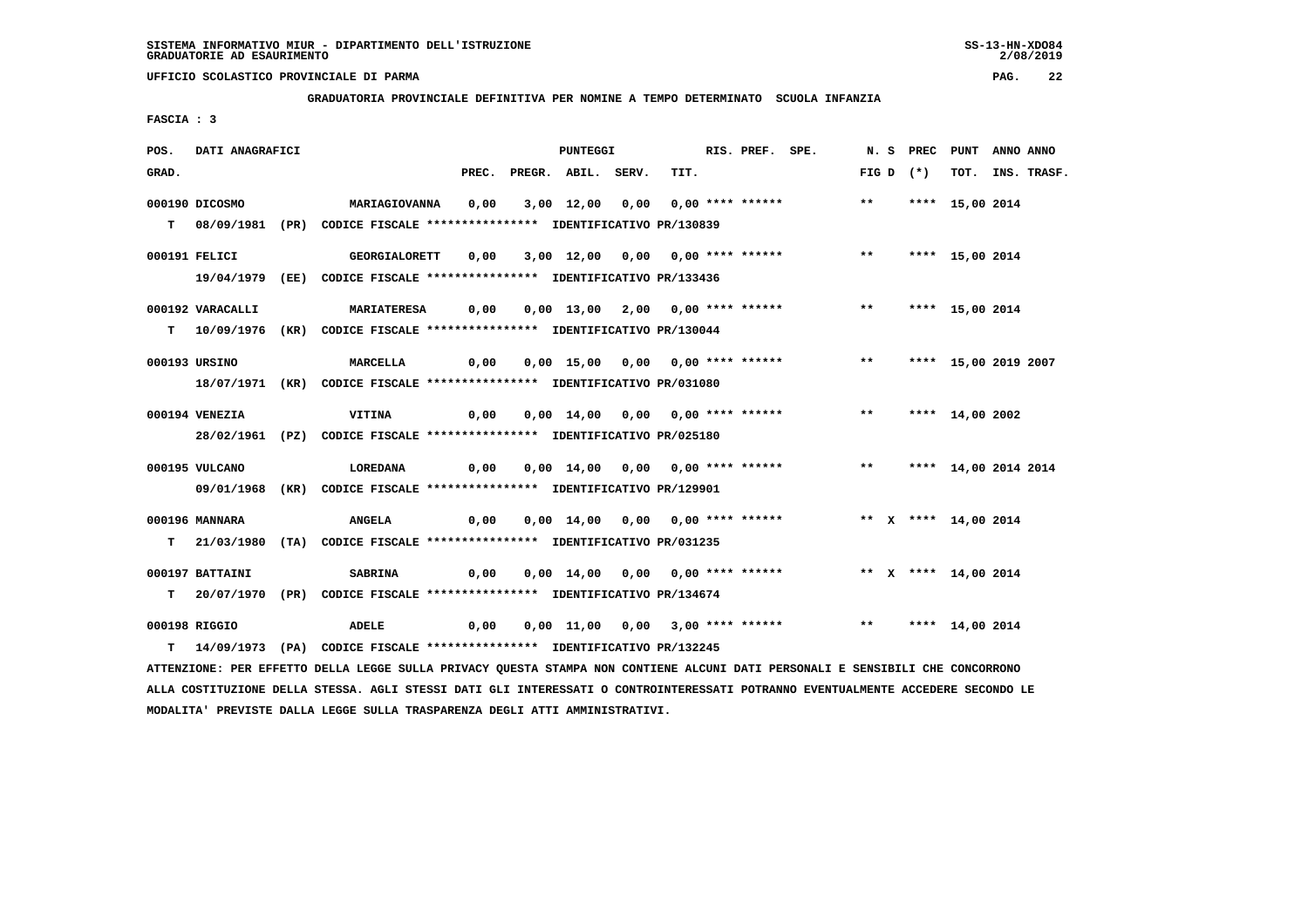**GRADUATORIA PROVINCIALE DEFINITIVA PER NOMINE A TEMPO DETERMINATO SCUOLA INFANZIA**

 **FASCIA : 3**

| POS.  | <b>DATI ANAGRAFICI</b> |                                                                                                                               |      | PUNTEGGI                 |  | RIS. PREF. SPE. |                                                                             |  |             | N. S PREC PUNT ANNO ANNO |                  |
|-------|------------------------|-------------------------------------------------------------------------------------------------------------------------------|------|--------------------------|--|-----------------|-----------------------------------------------------------------------------|--|-------------|--------------------------|------------------|
| GRAD. |                        |                                                                                                                               |      | PREC. PREGR. ABIL. SERV. |  | TIT.            |                                                                             |  | FIG D $(*)$ |                          | TOT. INS. TRASF. |
|       | 000190 DICOSMO         | <b>MARIAGIOVANNA</b>                                                                                                          | 0,00 |                          |  |                 | 3,00 12,00 0,00 0,00 **** ****** *** **                                     |  |             | **** 15,00 2014          |                  |
|       |                        | T 08/09/1981 (PR) CODICE FISCALE **************** IDENTIFICATIVO PR/130839                                                    |      |                          |  |                 |                                                                             |  |             |                          |                  |
|       | 000191 FELICI          | GEORGIALORETT  0,00  3,00  12,00  0,00  0,00  ****  ******    **    ****    15,00  2014                                       |      |                          |  |                 |                                                                             |  |             |                          |                  |
|       |                        | 19/04/1979 (EE) CODICE FISCALE *************** IDENTIFICATIVO PR/133436                                                       |      |                          |  |                 |                                                                             |  |             |                          |                  |
|       |                        |                                                                                                                               |      |                          |  |                 |                                                                             |  |             |                          |                  |
|       | 000192 VARACALLI       | MARIATERESA     0,00     0,00    13,00    2,00    0,00 **** ******            ***       ****    15,00    2014                 |      |                          |  |                 |                                                                             |  |             |                          |                  |
|       |                        | T 10/09/1976 (KR) CODICE FISCALE *************** IDENTIFICATIVO PR/130044                                                     |      |                          |  |                 |                                                                             |  |             |                          |                  |
|       |                        |                                                                                                                               |      |                          |  |                 |                                                                             |  |             |                          |                  |
|       | 000193 URSINO          | MARCELLA                                                                                                                      |      |                          |  |                 |                                                                             |  |             |                          |                  |
|       |                        | 18/07/1971 (KR) CODICE FISCALE *************** IDENTIFICATIVO PR/031080                                                       |      |                          |  |                 |                                                                             |  |             |                          |                  |
|       | 000194 VENEZIA         | VITINA                                                                                                                        |      |                          |  |                 | 0,00  0,00  14,00  0,00  0,00  ****  ******    ***    ****    14,00    2002 |  |             |                          |                  |
|       |                        | 28/02/1961 (PZ) CODICE FISCALE **************** IDENTIFICATIVO PR/025180                                                      |      |                          |  |                 |                                                                             |  |             |                          |                  |
|       |                        |                                                                                                                               |      |                          |  |                 |                                                                             |  |             |                          |                  |
|       | 000195 VULCANO         |                                                                                                                               |      |                          |  |                 |                                                                             |  |             |                          |                  |
|       |                        | 09/01/1968 (KR) CODICE FISCALE *************** IDENTIFICATIVO PR/129901                                                       |      |                          |  |                 |                                                                             |  |             |                          |                  |
|       | 000196 MANNARA         | <b>ANGELA</b>                                                                                                                 | 0,00 |                          |  |                 | 0,00 14,00 0,00 0,00 **** ****** * *** * * *** 14,00 2014                   |  |             |                          |                  |
|       |                        | T 21/03/1980 (TA) CODICE FISCALE *************** IDENTIFICATIVO PR/031235                                                     |      |                          |  |                 |                                                                             |  |             |                          |                  |
|       |                        |                                                                                                                               |      |                          |  |                 |                                                                             |  |             |                          |                  |
|       | 000197 BATTAINI        | <b>SABRINA</b>                                                                                                                |      |                          |  |                 | 0,00 0,00 14,00 0,00 0,00 **** ****** *** ** ** **** 14,00 2014             |  |             |                          |                  |
|       |                        | T 20/07/1970 (PR) CODICE FISCALE *************** IDENTIFICATIVO PR/134674                                                     |      |                          |  |                 |                                                                             |  |             |                          |                  |
|       | 000198 RIGGIO          | ADELE 0,00 0,00 11,00 0,00 3,00 **** ****** *** **** 14,00 2014                                                               |      |                          |  |                 |                                                                             |  |             |                          |                  |
|       |                        | T 14/09/1973 (PA) CODICE FISCALE *************** IDENTIFICATIVO PR/132245                                                     |      |                          |  |                 |                                                                             |  |             |                          |                  |
|       |                        | ATTENZIONE: PER EFFETTO DELLA LEGGE SULLA PRIVACY QUESTA STAMPA NON CONTIENE ALCUNI DATI PERSONALI E SENSIBILI CHE CONCORRONO |      |                          |  |                 |                                                                             |  |             |                          |                  |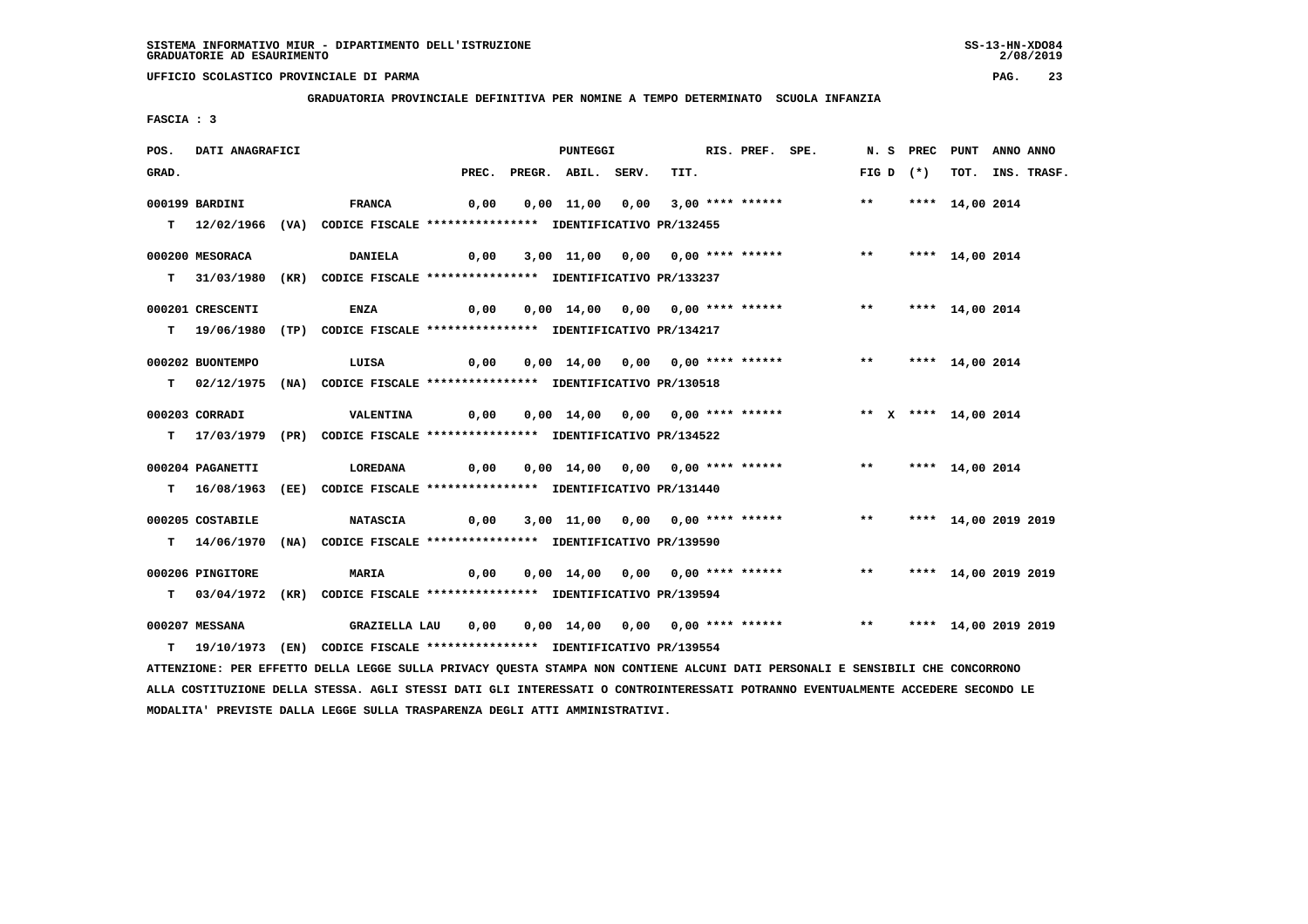**MODALITA' PREVISTE DALLA LEGGE SULLA TRASPARENZA DEGLI ATTI AMMINISTRATIVI.**

 **UFFICIO SCOLASTICO PROVINCIALE DI PARMA PAG. 23**

 **GRADUATORIA PROVINCIALE DEFINITIVA PER NOMINE A TEMPO DETERMINATO SCUOLA INFANZIA**

 **FASCIA : 3**

| POS.  | DATI ANAGRAFICI  |                                                                                                                                 |      | PUNTEGGI                 |                                                                         | RIS. PREF. SPE. |                         | N. S PREC PUNT ANNO ANNO |                  |
|-------|------------------|---------------------------------------------------------------------------------------------------------------------------------|------|--------------------------|-------------------------------------------------------------------------|-----------------|-------------------------|--------------------------|------------------|
| GRAD. |                  |                                                                                                                                 |      | PREC. PREGR. ABIL. SERV. | TIT.                                                                    |                 | FIG D $(*)$             |                          | TOT. INS. TRASF. |
|       | 000199 BARDINI   | <b>FRANCA</b>                                                                                                                   | 0,00 |                          | $0,00$ 11,00 $0,00$ 3,00 **** ******                                    |                 | $***$                   | **** 14,00 2014          |                  |
|       |                  | T 12/02/1966 (VA) CODICE FISCALE *************** IDENTIFICATIVO PR/132455                                                       |      |                          |                                                                         |                 |                         |                          |                  |
|       |                  |                                                                                                                                 |      |                          |                                                                         |                 |                         |                          |                  |
|       | 000200 MESORACA  | <b>DANIELA</b>                                                                                                                  | 0,00 |                          | 3,00 11,00 0,00 0,00 **** ******                                        |                 | $***$                   | **** 14,00 2014          |                  |
|       |                  | T 31/03/1980 (KR) CODICE FISCALE *************** IDENTIFICATIVO PR/133237                                                       |      |                          |                                                                         |                 |                         |                          |                  |
|       |                  |                                                                                                                                 |      |                          |                                                                         |                 |                         |                          |                  |
|       | 000201 CRESCENTI | <b>ENZA</b>                                                                                                                     | 0,00 |                          | 0,00 14,00 0,00 0,00 **** ******                                        |                 | $***$                   | **** 14,00 2014          |                  |
|       |                  | T 19/06/1980 (TP) CODICE FISCALE **************** IDENTIFICATIVO PR/134217                                                      |      |                          |                                                                         |                 |                         |                          |                  |
|       |                  |                                                                                                                                 |      |                          |                                                                         |                 |                         |                          |                  |
|       | 000202 BUONTEMPO | LUISA                                                                                                                           | 0,00 |                          | 0,00 14,00 0,00 0,00 **** ******                                        |                 | $\star \star$           | **** 14,00 2014          |                  |
|       |                  | T 02/12/1975 (NA) CODICE FISCALE **************** IDENTIFICATIVO PR/130518                                                      |      |                          |                                                                         |                 |                         |                          |                  |
|       | 000203 CORRADI   | <b>VALENTINA</b>                                                                                                                | 0,00 |                          | 0,00 14,00 0,00 0,00 **** ******                                        |                 | ** X **** 14,00 2014    |                          |                  |
|       |                  | T 17/03/1979 (PR) CODICE FISCALE **************** IDENTIFICATIVO PR/134522                                                      |      |                          |                                                                         |                 |                         |                          |                  |
|       |                  |                                                                                                                                 |      |                          |                                                                         |                 |                         |                          |                  |
|       | 000204 PAGANETTI | LOREDANA                                                                                                                        | 0,00 |                          | 0,00 14,00 0,00 0,00 **** ******                                        |                 | ** **** 14,00 2014      |                          |                  |
|       |                  | T 16/08/1963 (EE) CODICE FISCALE *************** IDENTIFICATIVO PR/131440                                                       |      |                          |                                                                         |                 |                         |                          |                  |
|       |                  |                                                                                                                                 |      |                          |                                                                         |                 |                         |                          |                  |
|       | 000205 COSTABILE | <b>NATASCIA</b>                                                                                                                 | 0,00 |                          | 3,00 11,00 0,00 0,00 **** ******                                        |                 | $***$                   | **** 14,00 2019 2019     |                  |
|       |                  | T 14/06/1970 (NA) CODICE FISCALE **************** IDENTIFICATIVO PR/139590                                                      |      |                          |                                                                         |                 |                         |                          |                  |
|       |                  |                                                                                                                                 |      |                          |                                                                         |                 |                         |                          |                  |
|       | 000206 PINGITORE | <b>MARIA</b>                                                                                                                    | 0,00 |                          | 0,00 14,00 0,00 0,00 **** ******                                        |                 | ** **** 14,00 2019 2019 |                          |                  |
|       |                  | T 03/04/1972 (KR) CODICE FISCALE *************** IDENTIFICATIVO PR/139594                                                       |      |                          |                                                                         |                 |                         |                          |                  |
|       | 000207 MESSANA   | GRAZIELLA LAU                                                                                                                   | 0,00 |                          | 0,00 14,00 0,00 0,00 **** ******    **    ***    ***    14,00 2019 2019 |                 |                         |                          |                  |
| т     |                  | 19/10/1973 (EN) CODICE FISCALE **************** IDENTIFICATIVO PR/139554                                                        |      |                          |                                                                         |                 |                         |                          |                  |
|       |                  | ATTENZIONE: PER EFFETTO DELLA LEGGE SULLA PRIVACY QUESTA STAMPA NON CONTIENE ALCUNI DATI PERSONALI E SENSIBILI CHE CONCORRONO   |      |                          |                                                                         |                 |                         |                          |                  |
|       |                  | ALLA COSTITUZIONE DELLA STESSA. AGLI STESSI DATI GLI INTERESSATI O CONTROINTERESSATI POTRANNO EVENTUALMENTE ACCEDERE SECONDO LE |      |                          |                                                                         |                 |                         |                          |                  |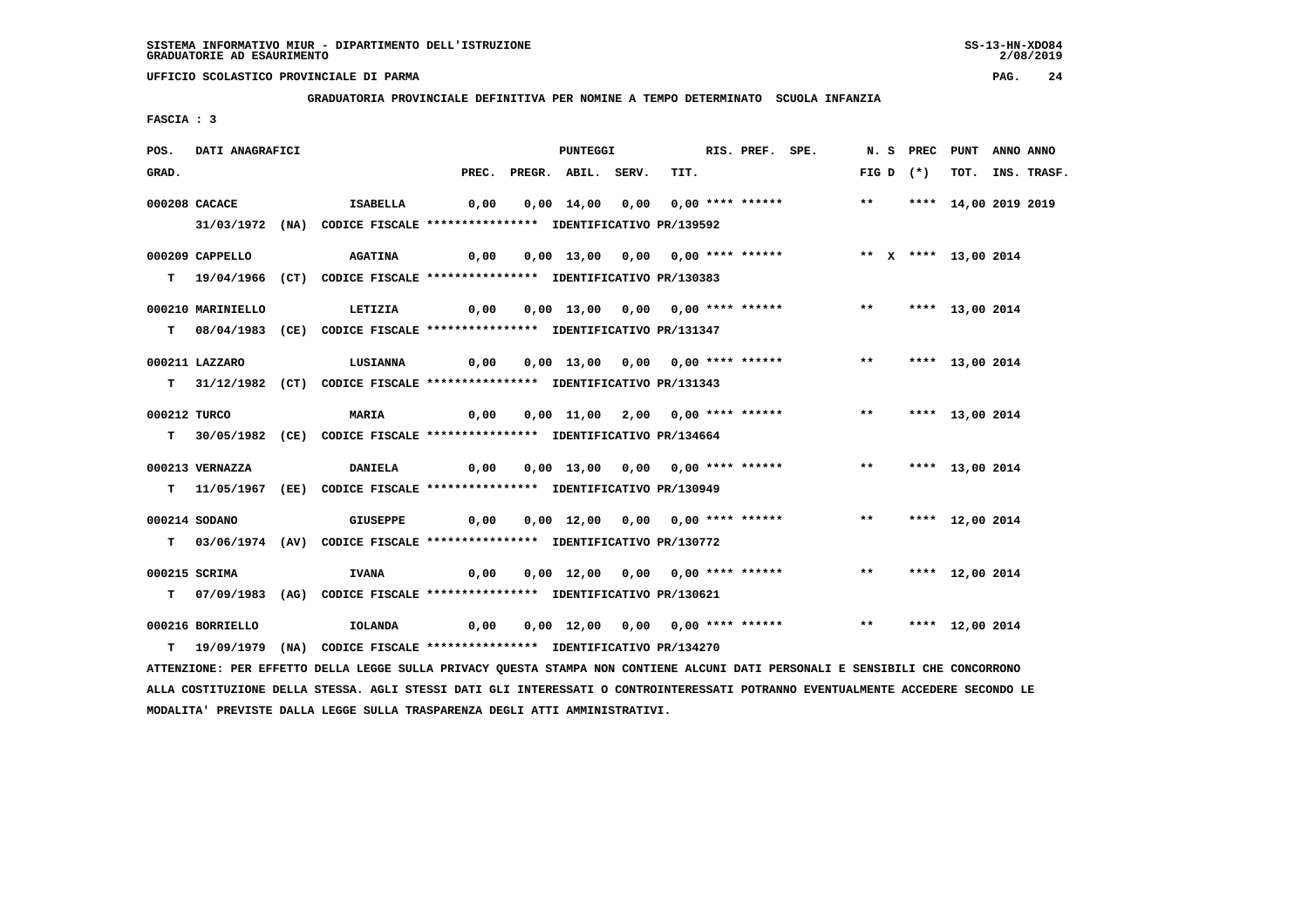**GRADUATORIA PROVINCIALE DEFINITIVA PER NOMINE A TEMPO DETERMINATO SCUOLA INFANZIA**

 **FASCIA : 3**

| POS.         | DATI ANAGRAFICI   |                                                                                                                               |       | <b>PUNTEGGI</b>    |                                  | RIS. PREF. SPE. |                                                                                    |  |             | N. S PREC PUNT ANNO ANNO |                  |
|--------------|-------------------|-------------------------------------------------------------------------------------------------------------------------------|-------|--------------------|----------------------------------|-----------------|------------------------------------------------------------------------------------|--|-------------|--------------------------|------------------|
| GRAD.        |                   |                                                                                                                               | PREC. | PREGR. ABIL. SERV. |                                  | TIT.            |                                                                                    |  | FIG D $(*)$ |                          | TOT. INS. TRASF. |
|              | 000208 CACACE     | <b>Example 15 ABELLA</b>                                                                                                      | 0,00  |                    |                                  |                 | 0,00 14,00 0,00 0,00 **** ****** *** *** **** 14,00 2019 2019                      |  |             |                          |                  |
|              |                   | 31/03/1972 (NA) CODICE FISCALE *************** IDENTIFICATIVO PR/139592                                                       |       |                    |                                  |                 |                                                                                    |  |             |                          |                  |
|              |                   |                                                                                                                               |       |                    |                                  |                 |                                                                                    |  |             |                          |                  |
|              | 000209 CAPPELLO   | <b>AGATINA</b>                                                                                                                |       |                    |                                  |                 |                                                                                    |  |             |                          |                  |
|              |                   | T 19/04/1966 (CT) CODICE FISCALE **************** IDENTIFICATIVO PR/130383                                                    |       |                    |                                  |                 |                                                                                    |  |             |                          |                  |
|              | 000210 MARINIELLO | LETIZIA                                                                                                                       |       |                    |                                  |                 |                                                                                    |  |             |                          |                  |
|              |                   | T 08/04/1983 (CE) CODICE FISCALE *************** IDENTIFICATIVO PR/131347                                                     |       |                    |                                  |                 |                                                                                    |  |             |                          |                  |
|              | 000211 LAZZARO    |                                                                                                                               |       |                    |                                  |                 |                                                                                    |  |             |                          |                  |
|              |                   | LUSIANNA                                                                                                                      |       |                    |                                  |                 |                                                                                    |  |             |                          |                  |
|              |                   | T 31/12/1982 (CT) CODICE FISCALE *************** IDENTIFICATIVO PR/131343                                                     |       |                    |                                  |                 |                                                                                    |  |             |                          |                  |
| 000212 TURCO |                   | <b>MARIA</b>                                                                                                                  |       |                    |                                  |                 | 0,00  0,00  11,00  2,00  0,00  ****  ******    **        ***    ***    13,00  2014 |  |             |                          |                  |
|              |                   | T 30/05/1982 (CE) CODICE FISCALE *************** IDENTIFICATIVO PR/134664                                                     |       |                    |                                  |                 |                                                                                    |  |             |                          |                  |
|              |                   |                                                                                                                               |       |                    |                                  |                 |                                                                                    |  |             |                          |                  |
|              | 000213 VERNAZZA   | <b>DANIELA</b>                                                                                                                |       |                    |                                  |                 |                                                                                    |  |             |                          |                  |
|              |                   | T 11/05/1967 (EE) CODICE FISCALE **************** IDENTIFICATIVO PR/130949                                                    |       |                    |                                  |                 |                                                                                    |  |             |                          |                  |
|              | 000214 SODANO     | <b>GIUSEPPE</b>                                                                                                               |       |                    |                                  |                 |                                                                                    |  |             |                          |                  |
|              |                   | T 03/06/1974 (AV) CODICE FISCALE *************** IDENTIFICATIVO PR/130772                                                     |       |                    |                                  |                 |                                                                                    |  |             |                          |                  |
|              |                   |                                                                                                                               |       |                    |                                  |                 |                                                                                    |  |             |                          |                  |
|              | 000215 SCRIMA     | <b>IVANA</b>                                                                                                                  | 0,00  |                    | 0,00 12,00 0,00 0,00 **** ****** |                 |                                                                                    |  |             | ** **** 12,00 2014       |                  |
|              |                   | T 07/09/1983 (AG) CODICE FISCALE *************** IDENTIFICATIVO PR/130621                                                     |       |                    |                                  |                 |                                                                                    |  |             |                          |                  |
|              | 000216 BORRIELLO  | IOLANDA                                                                                                                       |       |                    |                                  |                 |                                                                                    |  |             |                          |                  |
|              |                   | T 19/09/1979 (NA) CODICE FISCALE *************** IDENTIFICATIVO PR/134270                                                     |       |                    |                                  |                 |                                                                                    |  |             |                          |                  |
|              |                   | ATTENZIONE: PER EFFETTO DELLA LEGGE SULLA PRIVACY QUESTA STAMPA NON CONTIENE ALCUNI DATI PERSONALI E SENSIBILI CHE CONCORRONO |       |                    |                                  |                 |                                                                                    |  |             |                          |                  |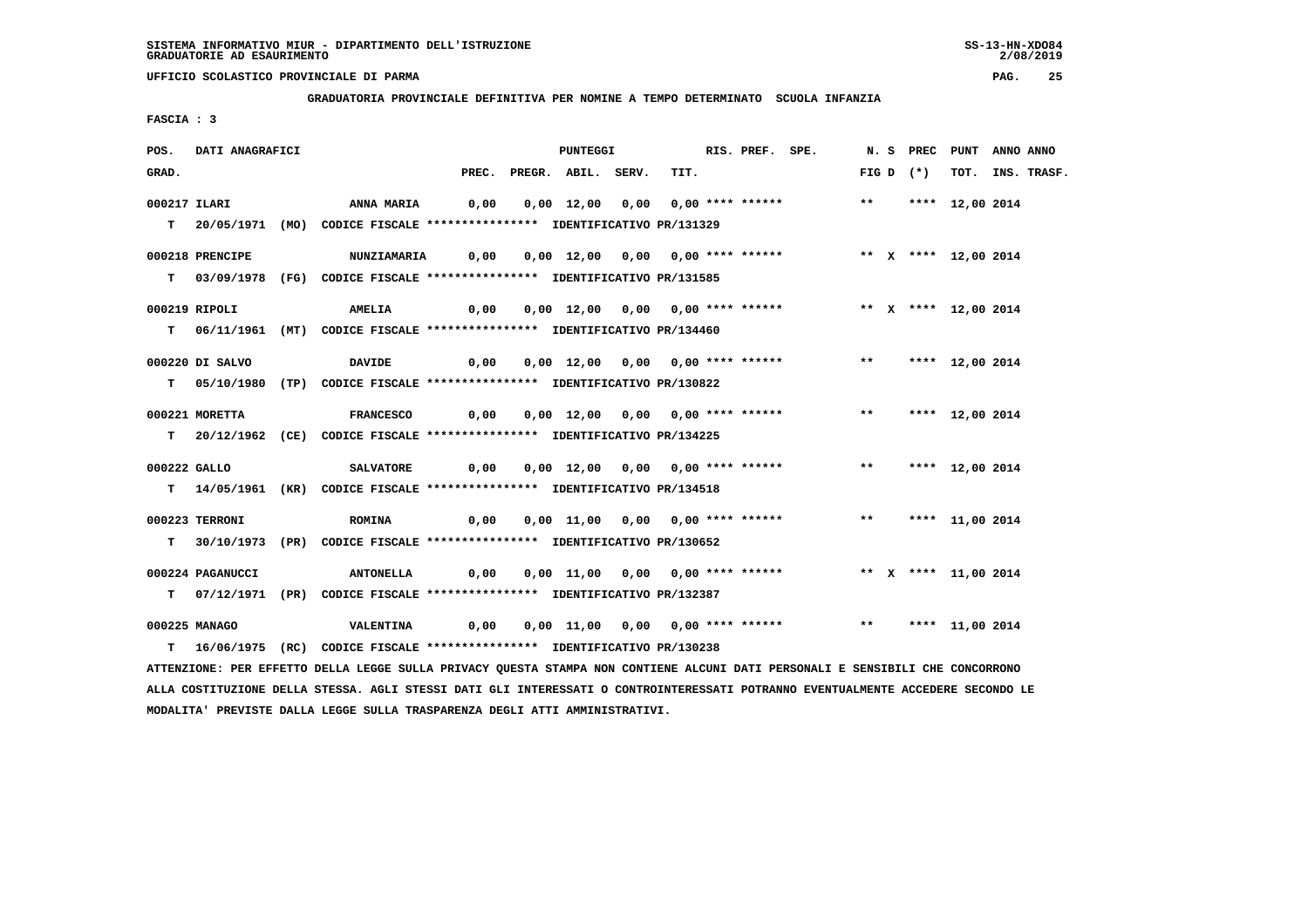**GRADUATORIA PROVINCIALE DEFINITIVA PER NOMINE A TEMPO DETERMINATO SCUOLA INFANZIA**

 **FASCIA : 3**

| POS.         | DATI ANAGRAFICI  |                                                                                                                               | RIS. PREF. SPE.<br>PUNTEGGI |                          |  |  |      |                                                                                    | N. S PREC PUNT ANNO ANNO |             |                    |                  |
|--------------|------------------|-------------------------------------------------------------------------------------------------------------------------------|-----------------------------|--------------------------|--|--|------|------------------------------------------------------------------------------------|--------------------------|-------------|--------------------|------------------|
| GRAD.        |                  |                                                                                                                               |                             | PREC. PREGR. ABIL. SERV. |  |  | TIT. |                                                                                    |                          | FIG D $(*)$ |                    | TOT. INS. TRASF. |
| 000217 ILARI |                  | <b>ANNA MARIA</b>                                                                                                             |                             |                          |  |  |      | 0,00  0,00  12,00  0,00  0,00  ****  ******                ***      12,00  2014    |                          |             |                    |                  |
|              |                  | T 20/05/1971 (MO) CODICE FISCALE *************** IDENTIFICATIVO PR/131329                                                     |                             |                          |  |  |      |                                                                                    |                          |             |                    |                  |
|              | 000218 PRENCIPE  | <b>NUNZIAMARIA</b>                                                                                                            | 0,00                        |                          |  |  |      | 0,00 12,00 0,00 0,00 **** ******             ** x **** 12,00 2014                  |                          |             |                    |                  |
|              |                  | T 03/09/1978 (FG) CODICE FISCALE *************** IDENTIFICATIVO PR/131585                                                     |                             |                          |  |  |      |                                                                                    |                          |             |                    |                  |
|              | 000219 RIPOLI    | <b>AMELIA</b>                                                                                                                 | 0,00                        |                          |  |  |      | 0,00 12,00 0,00 0,00 **** ******               ** x **** 12,00 2014                |                          |             |                    |                  |
|              |                  | T 06/11/1961 (MT) CODICE FISCALE *************** IDENTIFICATIVO PR/134460                                                     |                             |                          |  |  |      |                                                                                    |                          |             |                    |                  |
|              | 000220 DI SALVO  | <b>DAVIDE</b>                                                                                                                 |                             |                          |  |  |      | 0,00  0,00  12,00  0,00  0,00  ****  ******    **        ***    ***    12,00  2014 |                          |             |                    |                  |
|              |                  | T 05/10/1980 (TP) CODICE FISCALE *************** IDENTIFICATIVO PR/130822                                                     |                             |                          |  |  |      |                                                                                    |                          |             |                    |                  |
|              | 000221 MORETTA   | FRANCESCO $0,00$ $0,00$ $12,00$ $0,00$ $0,00$ $***$ *******   ****   ****   12,00   2014                                      |                             |                          |  |  |      |                                                                                    |                          |             |                    |                  |
|              |                  | T 20/12/1962 (CE) CODICE FISCALE *************** IDENTIFICATIVO PR/134225                                                     |                             |                          |  |  |      |                                                                                    |                          |             |                    |                  |
| 000222 GALLO |                  | <b>SALVATORE</b>                                                                                                              | 0,00                        |                          |  |  |      | 0,00 12,00 0,00 0,00 **** ******                                                   |                          |             | ** **** 12,00 2014 |                  |
|              |                  | T 14/05/1961 (KR) CODICE FISCALE **************** IDENTIFICATIVO PR/134518                                                    |                             |                          |  |  |      |                                                                                    |                          |             |                    |                  |
|              |                  |                                                                                                                               |                             |                          |  |  |      |                                                                                    |                          |             |                    |                  |
|              | 000223 TERRONI   | <b>ROMINA</b><br>T 30/10/1973 (PR) CODICE FISCALE **************** IDENTIFICATIVO PR/130652                                   | 0,00                        |                          |  |  |      | 0,00 11,00 0,00 0,00 **** ******             **     **** 11,00 2014                |                          |             |                    |                  |
|              |                  |                                                                                                                               |                             |                          |  |  |      |                                                                                    |                          |             |                    |                  |
|              | 000224 PAGANUCCI | ANTONELLA 0,00 0,00 11,00 0,00 0,00 **** ****** *** ** ** **** 11,00 2014                                                     |                             |                          |  |  |      |                                                                                    |                          |             |                    |                  |
|              |                  | T 07/12/1971 (PR) CODICE FISCALE *************** IDENTIFICATIVO PR/132387                                                     |                             |                          |  |  |      |                                                                                    |                          |             |                    |                  |
|              | 000225 MANAGO    | <b>VALENTINA</b>                                                                                                              | 0,00                        |                          |  |  |      | 0,00 11,00 0,00 0,00 **** ****** *** *** **** 11,00 2014                           |                          |             |                    |                  |
|              |                  | T 16/06/1975 (RC) CODICE FISCALE *************** IDENTIFICATIVO PR/130238                                                     |                             |                          |  |  |      |                                                                                    |                          |             |                    |                  |
|              |                  | ATTENZIONE: PER EFFETTO DELLA LEGGE SULLA PRIVACY QUESTA STAMPA NON CONTIENE ALCUNI DATI PERSONALI E SENSIBILI CHE CONCORRONO |                             |                          |  |  |      |                                                                                    |                          |             |                    |                  |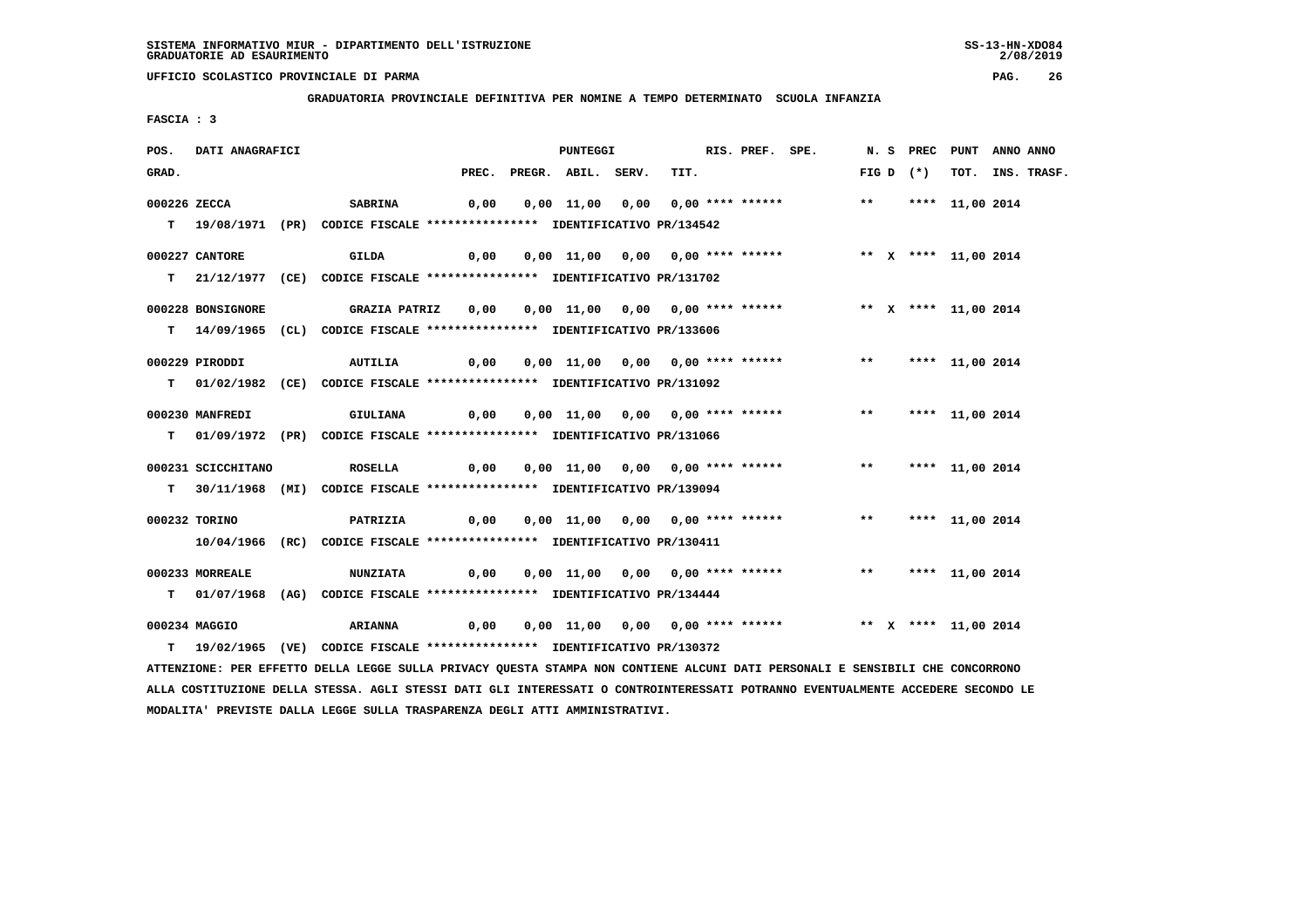**GRADUATORIA PROVINCIALE DEFINITIVA PER NOMINE A TEMPO DETERMINATO SCUOLA INFANZIA**

 **FASCIA : 3**

| POS.         | DATI ANAGRAFICI    | <b>PUNTEGGI</b>                                                                                                               |       |  |                    |  |  | RIS. PREF. SPE. |                                                                                      |  |             | N. S PREC PUNT ANNO ANNO |                  |
|--------------|--------------------|-------------------------------------------------------------------------------------------------------------------------------|-------|--|--------------------|--|--|-----------------|--------------------------------------------------------------------------------------|--|-------------|--------------------------|------------------|
| GRAD.        |                    |                                                                                                                               | PREC. |  | PREGR. ABIL. SERV. |  |  | TIT.            |                                                                                      |  | FIG D $(*)$ |                          | TOT. INS. TRASF. |
| 000226 ZECCA |                    | <b>SABRINA</b>                                                                                                                | 0,00  |  |                    |  |  |                 | 0,00 11,00 0,00 0,00 **** ******               **       **** 11,00 2014              |  |             |                          |                  |
|              |                    | T 19/08/1971 (PR) CODICE FISCALE *************** IDENTIFICATIVO PR/134542                                                     |       |  |                    |  |  |                 |                                                                                      |  |             |                          |                  |
|              | 000227 CANTORE     | GILDA                                                                                                                         |       |  |                    |  |  |                 |                                                                                      |  |             |                          |                  |
|              |                    | T 21/12/1977 (CE) CODICE FISCALE *************** IDENTIFICATIVO PR/131702                                                     |       |  |                    |  |  |                 |                                                                                      |  |             |                          |                  |
|              | 000228 BONSIGNORE  | GRAZIA PATRIZ     0,00     0,00   11,00   0,00   0,00  ****  ******                                                           |       |  |                    |  |  |                 |                                                                                      |  |             | ** X **** 11,00 2014     |                  |
|              |                    | T 14/09/1965 (CL) CODICE FISCALE *************** IDENTIFICATIVO PR/133606                                                     |       |  |                    |  |  |                 |                                                                                      |  |             |                          |                  |
|              | 000229 PIRODDI     | AUTILIA                                                                                                                       |       |  |                    |  |  |                 |                                                                                      |  |             |                          |                  |
|              |                    | T 01/02/1982 (CE) CODICE FISCALE *************** IDENTIFICATIVO PR/131092                                                     |       |  |                    |  |  |                 |                                                                                      |  |             |                          |                  |
|              | 000230 MANFREDI    | GIULIANA                                                                                                                      |       |  |                    |  |  |                 | 0,00  0,00  11,00  0,00  0,00  ****  ******    **         ***    ***    11,00  2014  |  |             |                          |                  |
|              |                    | T 01/09/1972 (PR) CODICE FISCALE *************** IDENTIFICATIVO PR/131066                                                     |       |  |                    |  |  |                 |                                                                                      |  |             |                          |                  |
|              | 000231 SCICCHITANO | <b>ROSELLA</b>                                                                                                                |       |  |                    |  |  |                 | 0,00  0,00  11,00  0,00  0,00  ****  ******            **          **** 11,00  2014  |  |             |                          |                  |
|              |                    | T 30/11/1968 (MI) CODICE FISCALE **************** IDENTIFICATIVO PR/139094                                                    |       |  |                    |  |  |                 |                                                                                      |  |             |                          |                  |
|              | 000232 TORINO      |                                                                                                                               |       |  |                    |  |  |                 |                                                                                      |  |             |                          |                  |
|              |                    | <b>PATRIZIA</b><br>10/04/1966 (RC) CODICE FISCALE *************** IDENTIFICATIVO PR/130411                                    |       |  |                    |  |  |                 |                                                                                      |  |             |                          |                  |
|              |                    |                                                                                                                               |       |  |                    |  |  |                 |                                                                                      |  |             |                          |                  |
|              | 000233 MORREALE    | <b>NUNZIATA</b><br>T 01/07/1968 (AG) CODICE FISCALE *************** IDENTIFICATIVO PR/134444                                  |       |  |                    |  |  |                 |                                                                                      |  |             | ** **** 11,00 2014       |                  |
|              |                    |                                                                                                                               |       |  |                    |  |  |                 |                                                                                      |  |             |                          |                  |
|              | 000234 MAGGIO      | <b>ARIANNA</b>                                                                                                                |       |  |                    |  |  |                 | 0,00  0,00  11,00  0,00  0,00  ****  ******                 **    x **** 11,00  2014 |  |             |                          |                  |
|              |                    | T 19/02/1965 (VE) CODICE FISCALE *************** IDENTIFICATIVO PR/130372                                                     |       |  |                    |  |  |                 |                                                                                      |  |             |                          |                  |
|              |                    | ATTENZIONE: PER EFFETTO DELLA LEGGE SULLA PRIVACY QUESTA STAMPA NON CONTIENE ALCUNI DATI PERSONALI E SENSIBILI CHE CONCORRONO |       |  |                    |  |  |                 |                                                                                      |  |             |                          |                  |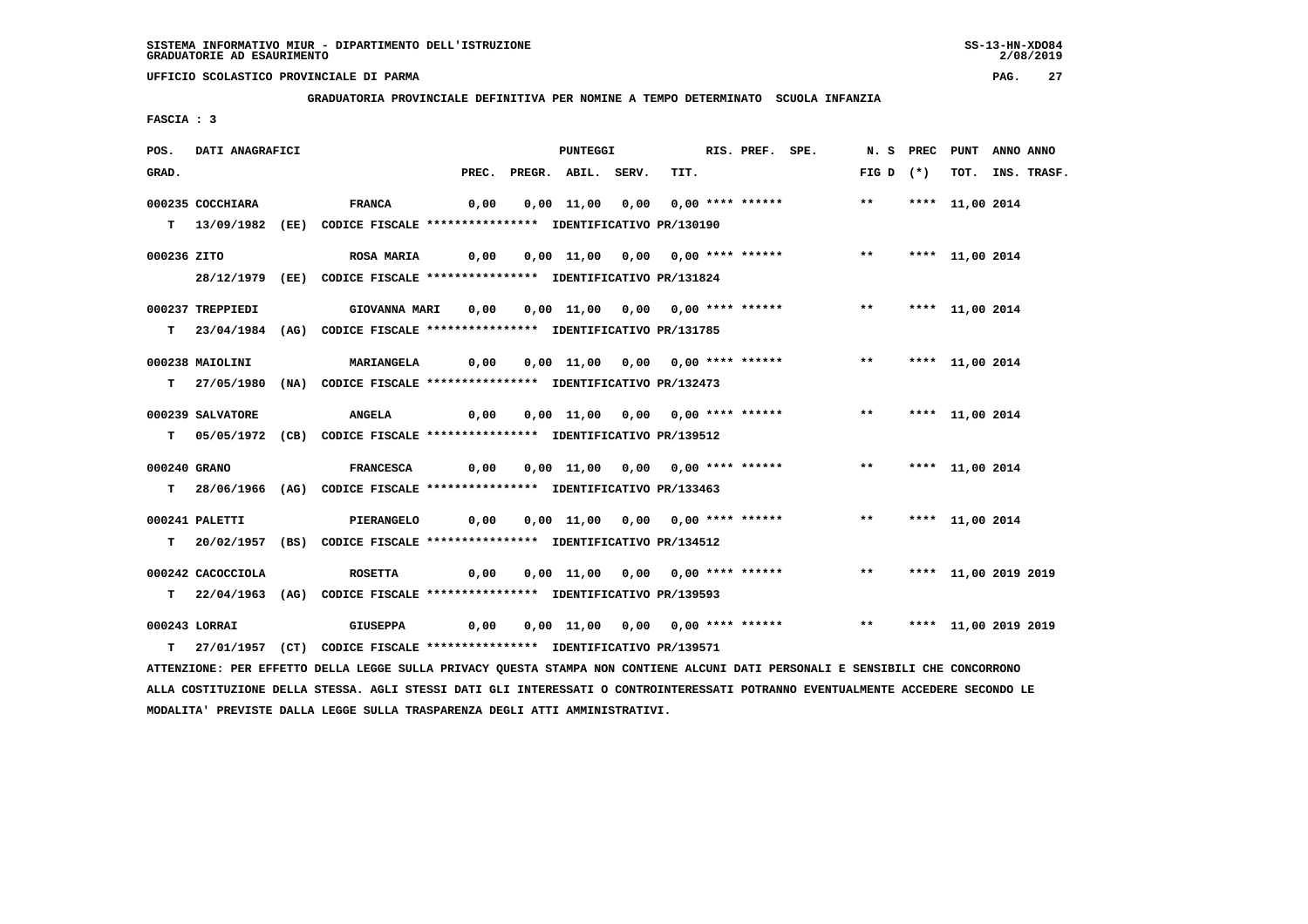**GRADUATORIA PROVINCIALE DEFINITIVA PER NOMINE A TEMPO DETERMINATO SCUOLA INFANZIA**

 **FASCIA : 3**

| POS.         | <b>DATI ANAGRAFICI</b>                                                                                                                                                                                                                                           |  |                                                                            | <b>PUNTEGGI</b> |  |                    |  | RIS. PREF. SPE.                  |  |  |                                                          | N. S PREC PUNT ANNO ANNO |  |                 |                  |
|--------------|------------------------------------------------------------------------------------------------------------------------------------------------------------------------------------------------------------------------------------------------------------------|--|----------------------------------------------------------------------------|-----------------|--|--------------------|--|----------------------------------|--|--|----------------------------------------------------------|--------------------------|--|-----------------|------------------|
| GRAD.        |                                                                                                                                                                                                                                                                  |  |                                                                            | PREC.           |  | PREGR. ABIL. SERV. |  | TIT.                             |  |  |                                                          | FIG D $(*)$              |  |                 | TOT. INS. TRASF. |
|              | 000235 COCCHIARA                                                                                                                                                                                                                                                 |  | <b>FRANCA</b>                                                              | 0,00            |  |                    |  |                                  |  |  | 0,00 11,00 0,00 0,00 **** ****** *** *** **** 11,00 2014 |                          |  |                 |                  |
|              |                                                                                                                                                                                                                                                                  |  |                                                                            |                 |  |                    |  |                                  |  |  |                                                          |                          |  |                 |                  |
|              |                                                                                                                                                                                                                                                                  |  | T 13/09/1982 (EE) CODICE FISCALE *************** IDENTIFICATIVO PR/130190  |                 |  |                    |  |                                  |  |  |                                                          |                          |  |                 |                  |
| 000236 ZITO  |                                                                                                                                                                                                                                                                  |  | <b>ROSA MARIA</b>                                                          | 0,00            |  |                    |  | 0,00 11,00 0,00 0,00 **** ****** |  |  |                                                          | $***$                    |  | **** 11,00 2014 |                  |
|              |                                                                                                                                                                                                                                                                  |  | 28/12/1979 (EE) CODICE FISCALE *************** IDENTIFICATIVO PR/131824    |                 |  |                    |  |                                  |  |  |                                                          |                          |  |                 |                  |
|              |                                                                                                                                                                                                                                                                  |  |                                                                            |                 |  |                    |  |                                  |  |  |                                                          |                          |  |                 |                  |
|              | 000237 TREPPIEDI                                                                                                                                                                                                                                                 |  | GIOVANNA MARI 0,00 0,00 11,00 0,00 0,00 **** ******                        |                 |  |                    |  |                                  |  |  |                                                          | ** **** 11,00 2014       |  |                 |                  |
|              |                                                                                                                                                                                                                                                                  |  | T 23/04/1984 (AG) CODICE FISCALE **************** IDENTIFICATIVO PR/131785 |                 |  |                    |  |                                  |  |  |                                                          |                          |  |                 |                  |
|              | 000238 MAIOLINI                                                                                                                                                                                                                                                  |  | <b>MARIANGELA</b>                                                          | 0,00            |  |                    |  |                                  |  |  | 0,00 11,00 0,00 0,00 **** ****** *** **                  |                          |  | **** 11,00 2014 |                  |
|              |                                                                                                                                                                                                                                                                  |  |                                                                            |                 |  |                    |  |                                  |  |  |                                                          |                          |  |                 |                  |
|              |                                                                                                                                                                                                                                                                  |  | T 27/05/1980 (NA) CODICE FISCALE **************** IDENTIFICATIVO PR/132473 |                 |  |                    |  |                                  |  |  |                                                          |                          |  |                 |                  |
|              | 000239 SALVATORE                                                                                                                                                                                                                                                 |  | <b>ANGELA</b>                                                              | 0,00            |  |                    |  | 0,00 11,00 0,00 0,00 **** ****** |  |  |                                                          | $***$                    |  | **** 11,00 2014 |                  |
|              |                                                                                                                                                                                                                                                                  |  | T 05/05/1972 (CB) CODICE FISCALE *************** IDENTIFICATIVO PR/139512  |                 |  |                    |  |                                  |  |  |                                                          |                          |  |                 |                  |
|              |                                                                                                                                                                                                                                                                  |  |                                                                            |                 |  |                    |  |                                  |  |  |                                                          |                          |  |                 |                  |
| 000240 GRANO |                                                                                                                                                                                                                                                                  |  | FRANCESCA 0,00                                                             |                 |  |                    |  |                                  |  |  | 0,00 11,00 0,00 0,00 **** ****** *** *** **** 11,00 2014 |                          |  |                 |                  |
|              |                                                                                                                                                                                                                                                                  |  | T 28/06/1966 (AG) CODICE FISCALE **************** IDENTIFICATIVO PR/133463 |                 |  |                    |  |                                  |  |  |                                                          |                          |  |                 |                  |
|              |                                                                                                                                                                                                                                                                  |  |                                                                            |                 |  |                    |  |                                  |  |  |                                                          |                          |  |                 |                  |
|              | 000241 PALETTI                                                                                                                                                                                                                                                   |  | <b>PIERANGELO</b>                                                          | 0,00            |  |                    |  |                                  |  |  | 0,00 11,00 0,00 0,00 **** ******               **        |                          |  | **** 11,00 2014 |                  |
|              |                                                                                                                                                                                                                                                                  |  | T 20/02/1957 (BS) CODICE FISCALE *************** IDENTIFICATIVO PR/134512  |                 |  |                    |  |                                  |  |  |                                                          |                          |  |                 |                  |
|              | 000242 CACOCCIOLA                                                                                                                                                                                                                                                |  | <b>ROSETTA</b>                                                             |                 |  |                    |  |                                  |  |  |                                                          | ** **** 11,00 2019 2019  |  |                 |                  |
|              |                                                                                                                                                                                                                                                                  |  |                                                                            |                 |  |                    |  |                                  |  |  |                                                          |                          |  |                 |                  |
|              |                                                                                                                                                                                                                                                                  |  | T 22/04/1963 (AG) CODICE FISCALE **************** IDENTIFICATIVO PR/139593 |                 |  |                    |  |                                  |  |  |                                                          |                          |  |                 |                  |
|              | 000243 LORRAI                                                                                                                                                                                                                                                    |  | GIUSEPPA                                                                   |                 |  |                    |  |                                  |  |  |                                                          |                          |  |                 |                  |
|              |                                                                                                                                                                                                                                                                  |  | T 27/01/1957 (CT) CODICE FISCALE *************** IDENTIFICATIVO PR/139571  |                 |  |                    |  |                                  |  |  |                                                          |                          |  |                 |                  |
|              |                                                                                                                                                                                                                                                                  |  |                                                                            |                 |  |                    |  |                                  |  |  |                                                          |                          |  |                 |                  |
|              | ATTENZIONE: PER EFFETTO DELLA LEGGE SULLA PRIVACY QUESTA STAMPA NON CONTIENE ALCUNI DATI PERSONALI E SENSIBILI CHE CONCORRONO<br>ALLA COSTITUZIONE DELLA STESSA. AGLI STESSI DATI GLI INTERESSATI O CONTROINTERESSATI POTRANNO EVENTUALMENTE ACCEDERE SECONDO LE |  |                                                                            |                 |  |                    |  |                                  |  |  |                                                          |                          |  |                 |                  |

 **MODALITA' PREVISTE DALLA LEGGE SULLA TRASPARENZA DEGLI ATTI AMMINISTRATIVI.**